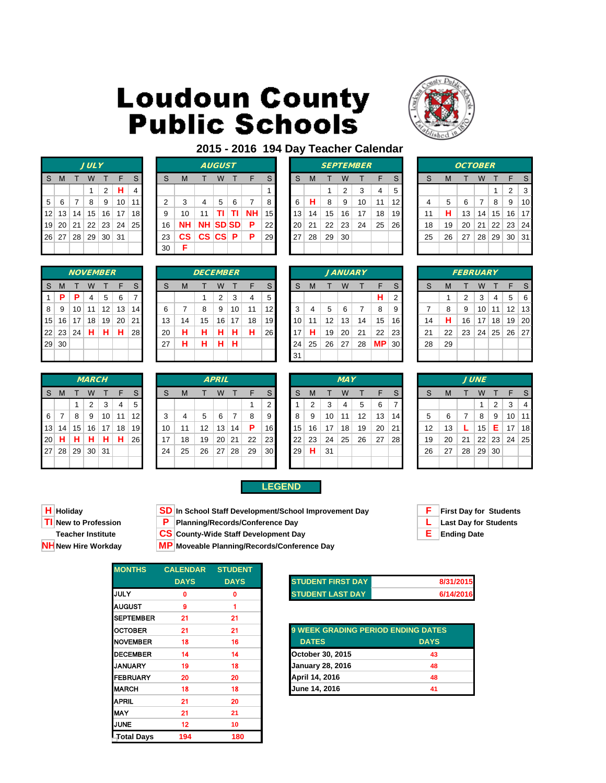

|    |   |              | <b>JULY</b>       |        |                        |    |
|----|---|--------------|-------------------|--------|------------------------|----|
| S. | M | $\mathsf{T}$ | W                 | $\top$ | F                      | S  |
|    |   |              | 1                 | 2      | н                      | 4  |
| 5  | 6 | 7 8          |                   | 9      | 10                     | 11 |
| 12 |   |              |                   |        | 13   14   15   16   17 | 18 |
| 19 |   |              |                   |        | 20 21 22 23 24 25      |    |
|    |   |              | 26 27 28 29 30 31 |        |                        |    |
|    |   |              |                   |        |                        |    |

|                 |       |                 | <b>NOVEMBER</b> |                   |    |    |
|-----------------|-------|-----------------|-----------------|-------------------|----|----|
| S               | M     | т               | W               | т                 | F  | S  |
| 1               | P     | Р               | 4               | 5                 | 6  | 7  |
| 8               | 9     | 10              | 11              | $12 \overline{ }$ | 13 | 14 |
| 15 <sup>2</sup> | 16    | 17 <sup>1</sup> | 18              | 19                | 20 | 21 |
|                 | 22 23 | 24              | н               | н                 | н  | 28 |
| 29              | 30    |                 |                 |                   |    |    |
|                 |       |                 |                 |                   |    |    |

|    | --             | - - | .            | .  | .  | --              | -- | . | . | .            | . | . | --           | .            | .  | $\cdot$ | --         | - - | --        | --              | - - | -- |             |   |
|----|----------------|-----|--------------|----|----|-----------------|----|---|---|--------------|---|---|--------------|--------------|----|---------|------------|-----|-----------|-----------------|-----|----|-------------|---|
|    | $9 \,   \, 30$ |     |              |    |    |                 | 27 | н | н | н            | н |   |              | 24           | 25 | 26      | 27         | 28  | <b>MP</b> | 30 <sup>1</sup> | 28  | 29 |             |   |
|    |                |     |              |    |    |                 |    |   |   |              |   |   |              | 31           |    |         |            |     |           |                 |     |    |             |   |
|    |                |     |              |    |    |                 |    |   |   |              |   |   |              |              |    |         |            |     |           |                 |     |    |             |   |
|    |                |     | <b>MARCH</b> |    |    |                 |    |   |   | <b>APRIL</b> |   |   |              |              |    |         | <b>MAY</b> |     |           |                 |     |    | <b>JUNE</b> |   |
| S. | M              |     | W            |    | F  | S               | S  | M |   | W            |   |   | <sub>S</sub> | <sub>S</sub> | M  |         | W          |     | F         | S               | S   | M  |             | W |
|    |                |     | 2            | 3  | 4  | 5               |    |   |   |              |   |   | $\sim$       |              | ◠  | 3       | 4          | 5   | 6         | 7               |     |    |             | 1 |
|    |                | 8   | 9            | 10 | 11 | 12 <sub>1</sub> | 3  | 4 | 5 | 6            |   | 8 | 9            | 8            | 9  | 10      | 11         | 12  | 13        | 14              | 5   | 6  |             | 8 |
|    |                |     |              |    |    |                 |    |   |   |              |   |   |              |              |    |         |            |     |           |                 |     |    |             |   |

|                 |       |    | <b>NOVEMBER</b> |    |    |                 |    |    | <b>DECEMBER</b> |    |    |    |                 |    |    |    |    | <b>JANUARY</b> |           |                 |    |    | <b>FEBRUARY</b> |    |                 |              |     |
|-----------------|-------|----|-----------------|----|----|-----------------|----|----|-----------------|----|----|----|-----------------|----|----|----|----|----------------|-----------|-----------------|----|----|-----------------|----|-----------------|--------------|-----|
| S.              | M     |    | W               |    |    | S               | S  | м  |                 | W  |    |    | S               | S  | M  |    | W  |                |           | S               | c  | M  |                 | w  |                 |              | S   |
| 1               | P     | P  | 4               | 5  | 6  |                 |    |    |                 | 2  | 3  | 4  | 5               |    |    |    |    |                | Н.        | $\overline{2}$  |    |    | ◠               | 3  |                 | 5            | 6   |
| 8               | 9     | 10 | 11              | 12 | 13 | 14 <sub>1</sub> | 6  |    | 8               | 9  | 10 | 11 | 12              | 3  | 4  | 5  | 6  |                | 8         | 9               |    | 8  | 9               | 10 | 11              | 12           | -13 |
| 15 <sup>2</sup> | 16    | 17 | 18              | 19 | 20 | 211             | 13 | 14 | 15              | 16 | 17 | 18 | 19 <sup>l</sup> | 10 | 11 | 12 | 13 | 14             | 15        | 16 <sub>l</sub> | 14 | н  | 16              | 17 | 18              | 19           | 2(  |
|                 | 22 23 | 24 | н               | н  | н  | 28 I            | 20 | н  | н               | н  | н  | н  | 26              | 17 | н  | 19 | 20 | 21             | 22        | 23 <sub>l</sub> | 21 | 22 | 23              | 24 | 25 <sup>2</sup> | $26 \mid 27$ |     |
|                 | 29 30 |    |                 |    |    |                 | 27 | н  | н               | н  | н  |    |                 | 24 | 25 | 26 | 27 | 28             | <b>MP</b> | 30 <sub>l</sub> | 28 | 29 |                 |    |                 |              |     |
|                 |       |    |                 |    |    |                 |    |    |                 |    |    |    |                 | 31 |    |    |    |                |           |                 |    |    |                 |    |                 |              |     |

|                         |                         |    |    |    | <i>JANUARY</i> |
|-------------------------|-------------------------|----|----|----|----------------|
| $\overline{\mathbf{s}}$ | S                       | M  | т  | W  |                |
| $\overline{5}$          |                         |    |    |    |                |
| 12                      | 3                       | 4  | 5  | 6  | 7              |
| 19                      | 10                      | 11 | 12 | 13 | 14             |
| 26                      | 17                      | н  | 19 | 20 | 21             |
|                         | 24                      | 25 | 26 | 27 | 28             |
|                         | $\overline{\mathbf{z}}$ |    |    |    |                |

|    |    |    | <i><b>JANUARY</b></i> |    |                |
|----|----|----|-----------------------|----|----------------|
| M  | т  | W  | т                     | F  | S              |
|    |    |    |                       | н  | $\overline{2}$ |
| 4  | 5  | 6  | 7                     | 8  | 9              |
| 11 | 12 | 13 | 14                    | 15 | 16             |
| н  | 19 | 20 | 21                    | 22 | 23             |
| 25 | 26 | 27 | 28                    | MΡ | 3 <sub>C</sub> |
|    |    |    |                       |    |                |

|                |       |    | <b>JULY</b> |                |    |    |    |               |                        | <b>AUGUST</b>   |   |           |                 |                 |    |    |    | <b>SEPTEMBER</b> |    |                 |    |    | <b>OCTOBER</b> |    |    |    |                  |
|----------------|-------|----|-------------|----------------|----|----|----|---------------|------------------------|-----------------|---|-----------|-----------------|-----------------|----|----|----|------------------|----|-----------------|----|----|----------------|----|----|----|------------------|
| S.             | M     |    | W           |                |    |    | S  | M             |                        | W               |   |           | S.              | <sub>S</sub>    | м  |    | W  |                  |    | S               | S  | M  |                | W  |    | F  | - S              |
|                |       |    |             | $\overline{2}$ | н  |    |    |               |                        |                 |   |           |                 |                 |    |    | 2  | 3                | 4  | 5               |    |    |                |    |    | 2  | -3               |
| 5 <sup>1</sup> | - 6   |    | 8           | 9              | 10 | 11 | 2  | 3             | 4                      | 5               | 6 |           | 8               | 6               | н  | 8  | 9  | 10               | 11 | 12              |    | 5  | 6              | 7  | 8  | 9  | 10               |
|                | 12 13 | 14 | 15          | 16             | 17 | 18 | 9  | 10            | 11                     | ΤI              |   | <b>NH</b> | 15 <sup>1</sup> | 13 <sup>1</sup> | 14 | 15 | 16 | 17               | 18 | 19 <sup>l</sup> | 11 | н  | 13             | 14 | 15 |    | 16 17            |
|                | 19 20 | 21 | 22          | 23             | 24 | 25 | 16 | NΗ            | <b>NH</b>              | <b>SD SD</b>    |   | Р         | 22              | 20 <sup>1</sup> | 21 | 22 | 23 | 24               | 25 | <b>26</b>       | 18 | 19 | 20             | 21 | 22 | 23 | 24               |
|                | 26 27 | 28 | 29          | 30             | 31 |    | 23 | $\mathsf{cs}$ | $\mathbf{c}\mathbf{s}$ | cs <sub>l</sub> | P | P         | 29              | 27              | 28 | 29 | 30 |                  |    |                 | 25 | 26 | 27             | 28 | 29 | 30 | $\vert 31 \vert$ |
|                |       |    |             |                |    |    | 30 | F             |                        |                 |   |           |                 |                 |    |    |    |                  |    |                 |    |    |                |    |    |    |                  |

|                 |       |                 | <b>NOVEMBER</b> |    |    |                 |    |    | <b>DECEMBER</b> |    |    |    |                 |                 |    |    |    | <b>JANUARY</b> |    |                 |    |    | <b>FEBRUARY</b> |    |    |    |    |
|-----------------|-------|-----------------|-----------------|----|----|-----------------|----|----|-----------------|----|----|----|-----------------|-----------------|----|----|----|----------------|----|-----------------|----|----|-----------------|----|----|----|----|
| S.              | M     |                 | w               |    | F  | S               | S  | M  |                 | W  |    |    | S               | S               | м  |    | W  |                | F  | c               | S  | M  |                 | w  |    | F  | -S |
| 1               | P     | P               | 4               | 5  | 6  |                 |    |    |                 | 2  | 3  | 4  | 5               |                 |    |    |    |                | н  | ົ               |    |    | ົ               | 3  | 4  | 5  | -6 |
| 8 <sup>1</sup>  | 9     | 10 <sup>1</sup> | 11              | 12 | 13 | 14 <sub>h</sub> | 6  |    | 8               | 9  | 10 | 11 | 12              | 3               | 4  | 5  | 6  |                | 8  | 9               |    | 8  | 9               | 10 | 11 | 12 | 13 |
| 15 <sup>2</sup> | 16    | 17              | 18              | 19 | 20 | 21              | 13 | 14 | 15              | 16 | 17 | 18 | 19 <sup>l</sup> | 10 <sub>1</sub> | 11 | 12 | 13 | 14             | 15 | 16              | 14 | н  | 16              | 17 | 18 | 19 | 20 |
|                 | 22 23 | 24              | н               | н  | н  | 28 L            | 20 | н  | н               | н  | н  | н  | 26              | 17              | н  | 19 | 20 | 21             | 22 | 23 <sub>l</sub> | 21 | 22 | 23              | 24 | 25 | 26 | 27 |
|                 | 29 30 |                 |                 |    |    |                 | 27 | н  | н               | н  | н  |    |                 | 24              | 25 | 26 | 27 | 28             | МP | 30 <sup>1</sup> | 28 | 29 |                 |    |    |    |    |
|                 |       |                 |                 |    |    |                 |    |    |                 |    |    |    |                 | 31              |    |    |    |                |    |                 |    |    |                 |    |    |    |    |

|                |                |                 | <b>MARCH</b>    |                 |    |                 |    |    |    | <b>APRIL</b>    |    |    |                 |                 |    |    | <b>MAY</b> |    |    |    |    |    |    | <b>JUNE</b> |       |    |    |
|----------------|----------------|-----------------|-----------------|-----------------|----|-----------------|----|----|----|-----------------|----|----|-----------------|-----------------|----|----|------------|----|----|----|----|----|----|-------------|-------|----|----|
| S.             | $\mathsf{M}$   |                 | w               |                 | F  |                 | S  | M  |    | W               |    | F. | S               | S               | м  |    | W          |    | F  |    | S  | М  |    | w           |       | F  | -S |
|                |                |                 | $\overline{2}$  | 3               | 4  | 5               |    |    |    |                 |    |    | 2               |                 | 2  | 3  | 4          | 5  | 6  |    |    |    |    |             | 2     | 3  | 4  |
| 6 <sup>1</sup> | $\overline{7}$ | 8               | 9               | 10 <sup>1</sup> | 11 | 12 <sub>l</sub> | 3  |    | 5  | 6               | 7  | 8  | 9               | 8               | 9  | 10 | 11         | 12 | 13 | 14 | 5  | 6  |    | 8           | 9     | 10 | 11 |
|                | 13 14          | 15 <sup>1</sup> | 16              | 17              | 18 | 19 <sup>°</sup> | 10 | 11 | 12 | 13              | 14 | P  | 16              | 15 <sup>1</sup> | 16 | 17 | 18         | 19 | 20 | 21 | 12 | 13 |    | 15          | Е     | 17 | 18 |
| ا 20           | н              | HI              | н.              | н               | н  | <b>26</b>       | 17 | 18 | 19 | 20 <sup>1</sup> | 21 | 22 | 23              | 22 <sub>1</sub> | 23 | 24 | 25         | 26 | 27 | 28 | 19 | 20 | 21 |             | 22 23 | 24 | 25 |
| 27             |                | 28 29           | 30 <sup>1</sup> | ∣ 31            |    |                 | 24 | 25 | 26 | 27 <sup>2</sup> | 28 | 29 | 30 <sub>l</sub> | 29 <sup>°</sup> | н  | 31 |            |    |    |    | 26 | 27 | 28 | 29 30       |       |    |    |
|                |                |                 |                 |                 |    |                 |    |    |    |                 |    |    |                 |                 |    |    |            |    |    |    |    |    |    |             |       |    |    |

- **LEGEND**
- **H** Holiday **SD** In School Staff Development/School Improvement Day **F** First Day for Students
- **TI New to Profession P Planning/Records/Conference Day L Last Day for Students**

**Teacher Institute CS** County-Wide Staff Development Day **E E** Ending Date

**NH** New Hire Workday **MP** Moveable Planning/Records/Conference Day

**MONTHS CALENDAR STUDENT DAYS DAYS** JULY 0 0 AUGUST 9 1 SEPTEMBER 21 21 **NOVEMBER** 18 16 DECEMBER 14 14 **43** JANUARY 19 18 **48 FEBRUARY** 20 20 MARCH 18 18 June 14, 2016 41 APRIL 21 20 MAY 21 **21** JUNE 12 **10 Total Days 194 180**

| <b>STUDENT FIRST DAY</b> | 8/31/2015 |
|--------------------------|-----------|
| <b>STUDENT LAST DAY</b>  | 6/14/2016 |
|                          |           |
|                          |           |

| OCTOBER         | 21 | 21 | <b>9 WEEK GRADING PERIOD ENDING DATES</b> |             |
|-----------------|----|----|-------------------------------------------|-------------|
| NOVEMBER        | 18 | 16 | <b>DATES</b>                              | <b>DAYS</b> |
| <b>DECEMBER</b> | 14 | 14 | October 30, 2015                          | 43          |
| JANUARY         | 19 | 18 | <b>January 28, 2016</b>                   | 48          |
| <b>FEBRUARY</b> | 20 | 20 | April 14, 2016                            | 48          |
| MARCH           | 18 | 18 | June 14, 2016                             | 41          |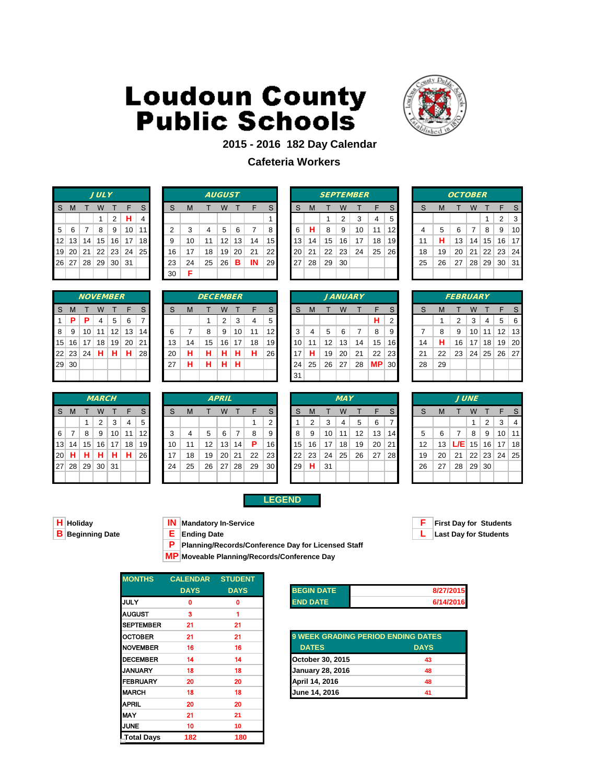

### **2015 - 2016 182 Day Calendar**

### **Cafeteria Workers**

|                |                   |        | <b>JULY</b>  |       |                      |   |
|----------------|-------------------|--------|--------------|-------|----------------------|---|
| S.             | M                 | $\top$ | W            | T     | JF.                  | S |
|                |                   |        | $\mathbf{1}$ | $2$ H |                      |   |
| 5 <sup>1</sup> |                   | 6 7 1  | 8            |       | 9   10   11          |   |
|                |                   |        |              |       | 12 13 14 15 16 17 18 |   |
|                |                   |        |              |       | 19 20 21 22 23 24 25 |   |
|                | 26 27 28 29 30 31 |        |              |       |                      |   |
|                |                   |        |              |       |                      |   |

|                |         |                 | <b>JULY</b> |                 |           |                 |    |    |    | <b>AUGUST</b>   |    |    |                 |    |    |    |    | <b>SEPTEMBER</b> |    |    |    |    | <b>OCTOBER</b> |                 |                 |       |    |
|----------------|---------|-----------------|-------------|-----------------|-----------|-----------------|----|----|----|-----------------|----|----|-----------------|----|----|----|----|------------------|----|----|----|----|----------------|-----------------|-----------------|-------|----|
| S.             | M       |                 | W           |                 |           |                 | S  | M  |    | W               |    | F  | S.              | S  | M  |    | W  |                  | ᄃ  | S  | S  | M  |                | W               |                 |       |    |
|                |         |                 |             | 2               | н         | 4               |    |    |    |                 |    |    |                 |    |    |    | 2  | 3                | 4  | 5  |    |    |                |                 |                 | 2     | 3  |
| 5 <sup>1</sup> | - 6     |                 | 8           | 9               | 10        | 11 <sub>h</sub> | ົ  | 3  | 4  | 5               | 6  |    | 8               | 6  | н  | 8  | 9  | 10               | 11 | 12 |    | 5  | 6              | 7               | 8               | 9     | 10 |
|                | $12$ 13 | 14 <sub>1</sub> | 15          | 16              | 17        | 18              | 9  | 10 | 11 | 12              | 13 | 14 | 15 <sup>1</sup> | 13 | 14 | 15 | 16 | 17               | 18 | 19 | 11 | н  | 13             | 14              | 15 <sup>1</sup> | 16 17 |    |
|                | 19 20   | 21              | 22          | 23              | $24 \mid$ | 25              | 16 | 17 | 18 | 19 <sub>1</sub> | 20 | 21 | 22              | 20 | 21 | 22 | 23 | 24               | 25 | 26 | 18 | 19 | 20             | 21              | 22              | 23 24 |    |
|                | 26 27   | 28 <sup>1</sup> | 29          | 30 <sup>2</sup> | -31       |                 | 23 | 24 | 25 | 26              | в  | IN | <b>29</b>       | 27 | 28 | 29 | 30 |                  |    |    | 25 | 26 | 27             | 28 <sup>1</sup> | 29 30 31        |       |    |
|                |         |                 |             |                 |           |                 | 30 | Е  |    |                 |    |    |                 |    |    |    |    |                  |    |    |    |    |                |                 |                 |       |    |

|    |    |    |    | <b>SEPTEMBER</b> |    |    |
|----|----|----|----|------------------|----|----|
| S  | М  | т  | W  | т                | F  | S  |
|    |    | 1  | 2  | 3                | 4  | 5  |
| 6  | н  | 8  | 9  | 10               | 11 | 12 |
| 13 | 14 | 15 | 16 | 17               | 18 | 19 |
| 20 | 21 | 22 | 23 | 24               | 25 | 26 |
| 27 | 28 | 29 | 30 |                  |    |    |
|    |    |    |    |                  |    |    |

|                |    | <b>OCTOBER</b> |    |       |       |    |
|----------------|----|----------------|----|-------|-------|----|
| S              | M  | т              | W  | т     | F     | S  |
|                |    |                |    | 1     | 2     | 3  |
| $\overline{4}$ | 5  | 6              | 7  | 8     | 9     | 10 |
| 11             | н  | 13             | 14 | 15    | 16    | 17 |
| 18             | 19 | 20             | 21 |       | 22 23 | 24 |
| 25             | 26 | 27             | 28 | 29 30 |       | 31 |
|                |    |                |    |       |       |    |

|    |          |    | <b>NOVEMBER</b> |    |    |                |
|----|----------|----|-----------------|----|----|----------------|
| S  | M        | Т  | W               | т  | F  | $\mathsf{S}$   |
| 1  | P        | P  | 4               | 5  | 6  | $\overline{7}$ |
| 8  | 9        | 10 | 11              | 12 | 13 | 14             |
| 15 | 16       | 17 | 18              | 19 | 20 | 21             |
|    | 22 23 24 |    | н               | н  | н  | 28             |
| 29 | 30       |    |                 |    |    |                |
|    |          |    |                 |    |    |                |

|     |    |                 | <b>MARCH</b> |                 |    |                 |    |    |    | <b>APRIL</b> |    |    |                 |    |    |    | <b>MAY</b> |    |    |                 |    |    |     | <b>JUNE</b> |                |
|-----|----|-----------------|--------------|-----------------|----|-----------------|----|----|----|--------------|----|----|-----------------|----|----|----|------------|----|----|-----------------|----|----|-----|-------------|----------------|
| -S  | M  |                 | W            |                 |    | S               | S  | M  |    | W            |    | F  | <sub>S</sub>    | S  | M  |    | W          |    | F  | S               | S  | M  |     | W           |                |
|     |    |                 | 2            | 3               | 4  | 5               |    |    |    |              |    |    | 2               |    | 2  | 3  | 4          | 5  | 6  |                 |    |    |     |             | $\overline{2}$ |
| - 6 |    | 8               | 9            | 10 <sup>1</sup> | 11 | 12 <sub>l</sub> | 3  | 4  | 5  | 6            |    | 8  | 9               | 8  | 9  | 10 | 11         | 12 | 13 | 14 <sup>1</sup> | 5  | 6  |     | 8           | - 9            |
| 13  | 14 | 15              |              | $16$   17       | 18 | 19              | 10 | 11 | 12 | 13           | 14 | P  | 16              | 15 | 16 | 17 | 18         | 19 | 20 | 21              | 12 | 13 | L/E | 15          | 16             |
| 20  | н  | н               | н            | н               | н  | <b>26</b>       | 17 | 18 | 19 | 20           | 21 | 22 | 23 <sub>l</sub> | 22 | 23 | 24 | 25         | 26 | 27 | <b>28</b>       | 19 | 20 | 21  | 22          | 23             |
| 27  | 28 | 29 <sup>1</sup> | 30           | $\vert$ 31      |    |                 | 24 | 25 | 26 | 27           | 28 | 29 | 30 <sup>1</sup> | 29 | н  | 31 |            |    |    |                 | 26 | 27 | 28  | 29          | 30             |
|     |    |                 |              |                 |    |                 |    |    |    |              |    |    |                 |    |    |    |            |    |    |                 |    |    |     |             |                |

|                |         | <i><b>NOVEMBER</b></i> |    |    |                 |                 |    |    | <b>DECEMBER</b> |    |    |    |                 |    |    |                   | <b>JANUARY</b> |    |     |                 |    |    | <b>FEBRUARY</b> |    |        |                   |     |
|----------------|---------|------------------------|----|----|-----------------|-----------------|----|----|-----------------|----|----|----|-----------------|----|----|-------------------|----------------|----|-----|-----------------|----|----|-----------------|----|--------|-------------------|-----|
| S.             | M       |                        | W  |    |                 |                 | S  | M  |                 | W  |    |    | S               | S  | M  |                   | W              |    |     | S               |    | м  |                 | w  |        |                   |     |
|                | $1$   P | P                      | 4  | 5  | 6               |                 |    |    |                 | 2  | 3  | 4  | 5               |    |    |                   |                |    | н   | 2               |    |    | 2               | 3  | 4      | 5                 | - 6 |
| 8 <sup>1</sup> | - 9     | 10 <sup>1</sup>        | 11 | 12 | 13              | 14 <sup>1</sup> | 6  |    | 8               | 9  | 10 | 11 | 12 <sub>l</sub> | 3  | 4  | 5.                | 6              |    | 8   | 9               |    | 8  | 9               | 10 | 11     | $12 \overline{ }$ | 13  |
|                | 15 16   | 17 <sup>1</sup>        | 18 | 19 | 20 <sub>1</sub> | 211             | 13 | 14 | 15              | 16 | 17 | 18 | 191             | 10 | 11 | $12 \overline{ }$ | 13             | 14 | 15  | 16              | 14 | н  | 16              | 17 | ` 18 ⊟ | 19 20             |     |
|                | 22 23   | ,   24 $^{\circ}$      | н  | н  | н               | 28              | 20 | н  | н               | н  | н  | н  | <b>26</b>       | 17 | н  | 19                | 20             | 21 | 22  | <b>231</b>      | 21 | 22 | 23              | 24 |        | 25 26 27          |     |
|                | 29 30   |                        |    |    |                 |                 | 27 | н  | н               | н  | н  |    |                 | 24 | 25 | 26                | 27             | 28 | MP. | 30 <sub>l</sub> | 28 | 29 |                 |    |        |                   |     |
|                |         |                        |    |    |                 |                 |    |    |                 |    |    |    |                 | 31 |    |                   |                |    |     |                 |    |    |                 |    |        |                   |     |
|                |         |                        |    |    |                 |                 |    |    |                 |    |    |    |                 |    |    |                   |                |    |     |                 |    |    |                 |    |        |                   |     |

|    |    |       |    | <b>JANUARY</b> |    |   |
|----|----|-------|----|----------------|----|---|
| S  | M  | т     | W  | т              | F  |   |
|    |    |       |    |                | н  |   |
| 3  | 4  | 5     | 6  | 7              | 8  |   |
| 10 | 11 | 12    | 13 | 14             | 15 |   |
| 17 | н  | 19    | 20 | 21             | 22 | j |
| 24 | 25 | 26 27 |    | 28             | MР |   |
| 31 |    |       |    |                |    |   |

| RY             |    |                |    |    | <i>FEB</i>     |
|----------------|----|----------------|----|----|----------------|
| Τ              | F  | $\mathsf S$    | S  | M  | Τ              |
|                | н  | $\overline{c}$ |    | 1  | 2              |
| $\overline{7}$ | 8  | 9              | 7  | 8  | g              |
| 14             | 15 | 16             | 14 | н  | $\overline{1}$ |
| 21             | 22 | 23             | 21 | 22 | 2:             |
| 28             | МP | 30             | 28 | 29 |                |
|                |    |                |    |    |                |

|    |    | FEBRUARY |                 |              |                   |   |
|----|----|----------|-----------------|--------------|-------------------|---|
| S  | M  | т        | W               | $\mathsf{T}$ | -F                | S |
|    | 1  | 2        | 3               | 4            | 5                 | 6 |
| 7  | 8  | 9        | 10 <sup>1</sup> |              | 11   12   13      |   |
| 14 | н  | 16       |                 | 17 18        | 19 20             |   |
| 21 | 22 | 23       |                 |              | 24   25   26   27 |   |
| 28 | 29 |          |                 |              |                   |   |
|    |    |          |                 |              |                   |   |
|    |    |          |                 |              |                   |   |

|                |         |       | <b>MARCH</b> |                 |    |                 |    |    |    | <b>APRIL</b>    |    |    |                 |                 |    |    | <b>MAY</b> |    |    |           |    |    |      | <b>JUNE</b>     |       |    |                 |
|----------------|---------|-------|--------------|-----------------|----|-----------------|----|----|----|-----------------|----|----|-----------------|-----------------|----|----|------------|----|----|-----------|----|----|------|-----------------|-------|----|-----------------|
| S.             | M       |       | W            |                 | F  |                 | S  | M  |    | W               |    |    | <sub>S</sub>    | S               | м  |    | w          |    |    |           | S  | м  |      | W               |       |    | S.              |
|                |         |       | 2            | 3               | 4  | 5               |    |    |    |                 |    |    | 2               |                 | 2  | 3  | 4          | 5  | 6  |           |    |    |      |                 | 2     | 3  | 4               |
| 6 <sup>1</sup> |         | 8     | 9            | 10 <sup>1</sup> | 11 | 12 <sub>l</sub> | 3  |    | 5  | 6               | 7  | 8  | 9               | 8               | 9  | 10 | 11         | 12 | 13 | 14        | 5  | 6  |      | 8               | 9     | 10 | 11              |
|                | $13$ 14 | 15    | 16           | 17              | 18 | 191             | 10 |    | 12 | 13 <sub>1</sub> | 14 | Р  | 16 <sub>1</sub> | 15 <sup>1</sup> | 16 | 17 | 18         | 19 | 20 | -21       | 12 | 13 | L/EI | 15 <sup>1</sup> | 16    | 17 | 18 <sup>l</sup> |
|                | 20 H    | н     | н            | н               | н  | 26              | 17 | 18 | 19 | 20 <sup>2</sup> | 21 | 22 | 23              | 22              | 23 | 24 | 25         | 26 | 27 | <b>28</b> | 19 | 20 | 21   |                 | 22 23 | 24 | <b>25</b>       |
|                | 27 28   | 29 30 |              | 31              |    |                 | 24 | 25 | 26 | 27 <sup>1</sup> | 28 | 29 | 30 <sub>l</sub> | 29 <sub>1</sub> | H. | 31 |            |    |    |           | 26 | 27 | 28   | 29 30           |       |    |                 |
|                |         |       |              |                 |    |                 |    |    |    |                 |    |    |                 |                 |    |    |            |    |    |           |    |    |      |                 |       |    |                 |

**E Last Day for Students** 

### **H Holiday IN Mandatory In-Service F First Day for Students**

- 
- 

**P Planning/Records/Conference Day for Licensed Staff**

**LEGEND**

**MP Moveable Planning/Records/Conference Day**

| <b>MONTHS</b>     | <b>CALENDAR</b> | <b>STUDENT</b> |
|-------------------|-----------------|----------------|
|                   | <b>DAYS</b>     | <b>DAYS</b>    |
| <b>JULY</b>       | 0               | 0              |
| <b>AUGUST</b>     | 3               |                |
| <b>SEPTEMBER</b>  | 21              | 21             |
| <b>OCTOBER</b>    | 21              | 21             |
| <b>INOVEMBER</b>  | 16              | 16             |
| <b>DECEMBER</b>   | 14              | 14             |
| <b>I</b> JANUARY  | 18              | 18             |
| <b>FEBRUARY</b>   | 20              | 20             |
| <b>IMARCH</b>     | 18              | 18             |
| <b>APRIL</b>      | 20              | 20             |
| IMAY              | 21              | 21             |
| <b>IJUNE</b>      | 10              | 10             |
| <b>Total Days</b> | 182             | 180            |

| <b>BEGIN DATE</b> | 8/27/2015 |
|-------------------|-----------|
| <b>END DATE</b>   | 6/14/2016 |

| OCTOBER         | 21 | 21 | <b>9 WEEK GRADING PERIOD ENDING DATES</b> |             |
|-----------------|----|----|-------------------------------------------|-------------|
| <b>NOVEMBER</b> | 16 | 16 | <b>DATES</b>                              | <b>DAYS</b> |
| <b>DECEMBER</b> | 14 | 14 | October 30, 2015                          | 43          |
| JANUARY         | 18 | 18 | <b>January 28, 2016</b>                   | 48          |
| FEBRUARY        | 20 | 20 | April 14, 2016                            | 48          |
| MARCH           | 18 | 18 | June 14, 2016                             | 41          |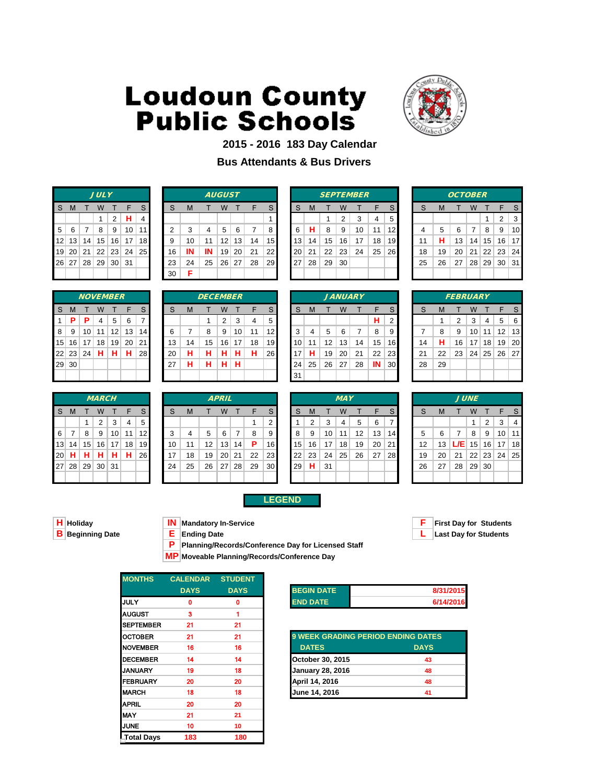

### **2015 - 2016 183 Day Calendar**

### **Bus Attendants & Bus Drivers**

|                |              |     | <b>JULY</b>       |        |                      |                |
|----------------|--------------|-----|-------------------|--------|----------------------|----------------|
| <sub>S</sub>   | $\mathsf{M}$ | T   | W                 | $\top$ | F                    | S              |
|                |              |     | $\mathbf{1}$      | $2$ H  |                      | $\overline{4}$ |
| 5 <sup>1</sup> |              | 6 7 | - 8               |        | 9   10   11          |                |
|                |              |     |                   |        | 12 13 14 15 16 17 18 |                |
|                |              |     |                   |        | 19 20 21 22 23 24 25 |                |
|                |              |     | 26 27 28 29 30 31 |        |                      |                |
|                |              |     |                   |        |                      |                |

|    |            |                 | <b>JULY</b>     |                 |     |                 |    |    |    | <b>AUGUST</b>   |    |    |           |    |    |    |    | <b>SEPTEMBER</b> |    |           |    |    | <b>OCTOBER</b> |                 |          |                      |    |
|----|------------|-----------------|-----------------|-----------------|-----|-----------------|----|----|----|-----------------|----|----|-----------|----|----|----|----|------------------|----|-----------|----|----|----------------|-----------------|----------|----------------------|----|
| S. | M          |                 | W               |                 | F   |                 | S  | M  |    | w               |    | F  | S         | S  | M  |    | W  |                  |    | S         |    | M  |                | W               |          |                      |    |
|    |            |                 |                 | 2               | н.  |                 |    |    |    |                 |    |    |           |    |    |    | 2  | ◠                | 4  | 5         |    |    |                |                 |          | $\mathcal{P}$        | 3  |
|    | $5 \mid 6$ |                 | 8               | 9               | 10  | 11 <sub>h</sub> |    | 3  | 4  | 5               | 6  |    | 8         | 6  | н  | 8  | 9  | 10               | 11 | 12        |    | 5  | 6              | 7               | 8        | 9                    | 10 |
|    | 12 13      | 14              | 15              | 16              | 17  | 18 <sup>l</sup> | 9  | 10 | 11 | 12              | 13 | 14 | 15 I      | 13 | 14 | 15 | 16 | 17               | 18 | 19        | 11 | н  | 13             | 14              | 15       | 16 17                |    |
|    | 19 20      | 21              | 22              | 23              | 24  | 25 <sub>l</sub> | 16 | IN | IN | 19 <sub>1</sub> | 20 | 21 | 22        | 20 | 21 | 22 | 23 | 24               | 25 | <b>26</b> | 18 | 19 | 20             | 21              |          | $22 \mid 23 \mid 24$ |    |
|    | 26 27      | 28 <sup>2</sup> | 29 <sup>1</sup> | 30 <sup>1</sup> | -31 |                 | 23 | 24 | 25 | 26 <sup>1</sup> | 27 | 28 | <b>29</b> | 27 | 28 | 29 | 30 |                  |    |           | 25 | 26 | 27             | 28 <sup>1</sup> | 29 30 31 |                      |    |
|    |            |                 |                 |                 |     |                 | 30 | Е  |    |                 |    |    |           |    |    |    |    |                  |    |           |    |    |                |                 |          |                      |    |

|    |    |    |                | <b>SEPTEMBER</b> |    |    |
|----|----|----|----------------|------------------|----|----|
| S  | M  | т  | W              | т                | F  | S  |
|    |    | 1  | $\overline{2}$ | 3                | 4  | 5  |
| 6  | н  | 8  | 9              | 10               | 11 | 12 |
| 13 | 14 | 15 | 16             | 17               | 18 | 19 |
| 20 | 21 | 22 | 23             | 24               | 25 | 26 |
| 27 | 28 | 29 | 30             |                  |    |    |
|    |    |    |                |                  |    |    |

|    |    | <b>OCTOBER</b> |    |            |              |    |
|----|----|----------------|----|------------|--------------|----|
| S  | M  | т              | W  | т          | F            | S  |
|    |    |                |    | 1          | 2            | 3  |
| 4  | 5  | 6              | 7  | 8          | 9            | 10 |
| 11 | н  | 13             | 14 | 15         | 16           | 17 |
| 18 | 19 | 20             | 21 |            | $22 \mid 23$ | 24 |
| 25 | 26 | 27             |    | $28$ 29 30 |              | 31 |
|    |    |                |    |            |              |    |

|    |       |    | <b>NOVEMBER</b> |    |    |    |
|----|-------|----|-----------------|----|----|----|
| S  | M     | т  | W               | т  | F  | S  |
| 1  | P     | P  | $\overline{4}$  | 5  | 6  | 7  |
| 8  | 9     | 10 | 11              | 12 | 13 | 14 |
| 15 | 16    | 17 | 18              | 19 | 20 | 21 |
|    | 22 23 | 24 | н               | н  | н  | 28 |
| 29 | 30    |    |                 |    |    |    |
|    |       |    |                 |    |    |    |

|    |    |       | <b>MARCH</b> |    |    |    |
|----|----|-------|--------------|----|----|----|
| S  | M  |       | W            | т  | F  | S  |
|    |    | 1     | 2            | 3  | 4  | 5  |
| 6  | 7  | 8     | 9            | 10 | 11 | 12 |
| 13 | 14 | 15    | 16           | 17 | 18 | 19 |
| 20 | н  | н     | н            | н  | н  | 26 |
| 27 | 28 | 29 30 |              | 31 |    |    |
|    |    |       |              |    |    |    |

|                |       | <b>NOVEMBER</b> |    |    |    |           |    |    | <b>DECEMBER</b> |    |    |    |            |    |    |    |    | <b>JANUARY</b> |    |                 |    |    | <b>FEBRUARY</b> |    |    |                   |     |
|----------------|-------|-----------------|----|----|----|-----------|----|----|-----------------|----|----|----|------------|----|----|----|----|----------------|----|-----------------|----|----|-----------------|----|----|-------------------|-----|
| S.             | M     |                 | W  |    |    |           | S  | M  |                 | W  |    |    | S          | S  | M  |    | W  |                |    | S               |    | M  |                 | W  |    |                   |     |
| 1.             | -P    | P               | 4  | 5  | 6  |           |    |    |                 | 2  | 3  | 4  | 5          |    |    |    |    |                | н  | 2               |    |    | ົ               | 3  | 4  | 5                 | - 6 |
| 8 <sup>1</sup> | -9    | 10 <sub>1</sub> | 11 | 12 | 13 | 14        | 6  |    | 8               | 9  | 10 | 11 | 12         | 3  | 4  | 5  | 6  |                | 8  | 9               |    | 8  | 9               | 10 |    | $12 \overline{ }$ | 13  |
|                | 15 16 | 17              | 18 | 19 | 20 | 211       | 13 | 14 | 15              | 16 | 17 | 18 | 19         | 10 | 11 | 12 | 13 | 14             | 15 | 16              | 14 | н  | 16              | 17 | 18 | 19                | -20 |
|                | 22 23 | 24              | н  | н  | н  | <b>28</b> | 20 | н  | н               | н  | н  | н  | <b>261</b> | 17 | н  | 19 | 20 | 21             | 22 | <b>231</b>      | 21 | 22 | 23              | 24 |    | 25 26 27          |     |
|                | 29 30 |                 |    |    |    |           | 27 | н  | н               | н  | н  |    |            | 24 | 25 | 26 | 27 | 28             | IN | 30 <sub>l</sub> | 28 | 29 |                 |    |    |                   |     |
|                |       |                 |    |    |    |           |    |    |                 |    |    |    |            | 31 |    |    |    |                |    |                 |    |    |                 |    |    |                   |     |
|                |       |                 |    |    |    |           |    |    |                 |    |    |    |            |    |    |    |    |                |    |                 |    |    |                 |    |    |                   |     |

|    |    |       |              | <b>JANUARY</b> |    |   |
|----|----|-------|--------------|----------------|----|---|
| S  | M  | т     | W            | т              | F  |   |
|    |    |       |              |                | н  |   |
| 3  | 4  | 5     | 6            | 7              | 8  |   |
| 10 | 11 |       | $12 \mid 13$ | 14             | 15 | 1 |
| 17 | н  |       | 19 20        | 21             | 22 | 2 |
| 24 | 25 | 26 27 |              | 28             | IN | Ś |
| 31 |    |       |              |                |    |   |

| 8V             |    |                         |                |    | <b>FEBR</b> |
|----------------|----|-------------------------|----------------|----|-------------|
| T              | F  | $\mathsf S$             | S              | M  | т           |
|                | н  | $\overline{\mathbf{c}}$ |                | 1  | $\mathbf 2$ |
| $\overline{7}$ | 8  | 9                       | $\overline{7}$ | 8  | 9           |
| 14             | 15 | 16                      | 14             | н  | 16          |
| 21             | 22 | 23                      | 21             | 22 | 23          |
| 28             | IN | 30                      | 28             | 29 |             |
|                |    |                         |                |    |             |

| 14 | н  | 16  | 17          | 18           | 19 | 20 |
|----|----|-----|-------------|--------------|----|----|
| 21 | 22 | 23  |             | $24 \mid 25$ | 26 | 27 |
| 28 | 29 |     |             |              |    |    |
|    |    |     |             |              |    |    |
|    |    |     |             |              |    |    |
|    |    |     |             |              |    |    |
|    |    |     | <b>JUNE</b> |              |    |    |
| S  | M  | т   | W           | T            | F  | S  |
|    |    |     | 1           | 2            | 3  | 4  |
| 5  | 6  | 7   | 8           | 9            | 10 | 11 |
| 12 | 13 | L/E | 15          | 16           | 17 | 18 |

|    |                |    | IVIARCH                |    |    |    |
|----|----------------|----|------------------------|----|----|----|
| -S | M              | Т  | W                      | T  | F  | S  |
|    |                | 1  | 2                      | 3  | 4  | 5  |
| -6 | 7              | 8  | 9                      | 10 | 11 | 12 |
| 13 |                |    | 14   15   16   17   18 |    |    | 19 |
| 20 | H.             | HI | H.                     | Н  | н  | 26 |
|    | 27 28 29 30 31 |    |                        |    |    |    |
|    |                |    |                        |    |    |    |

|          |              |                 | <b>MARCH</b>   |    |    |                 |    |    |                   | <b>APRIL</b>    |    |    |                 |    |    |    | <b>MAY</b> |    |    |           |    |    |     | <b>JUNE</b>     |                 |                 |    |
|----------|--------------|-----------------|----------------|----|----|-----------------|----|----|-------------------|-----------------|----|----|-----------------|----|----|----|------------|----|----|-----------|----|----|-----|-----------------|-----------------|-----------------|----|
| S.       | $\mathsf{M}$ |                 | w              |    | F  |                 | S  | M  |                   | W               |    | F  | S.              | S  | M  |    | W          |    | F  | S.        |    | M  |     | W               |                 |                 |    |
|          |              |                 | 2              | 3  |    | 5               |    |    |                   |                 |    |    | 2               |    | 2  | 3  | 4          | 5  | 6  |           |    |    |     |                 | 2               | 3               | 4  |
| $6 \mid$ |              | 8               | 9              | 10 | 11 | 12 <sub>l</sub> | 3  | 4  | 5                 | 6               | 7  | 8  | 9               | 8  | 9  | 10 | 11         | 12 | 13 | 14        | 5  | 6  |     | 8               | 9               | 10 <sup>1</sup> | 11 |
|          | 13 14        | 15 <sub>1</sub> | 16             | 17 | 18 | 19              | 10 | 11 | $12 \overline{ }$ | 13 <sub>1</sub> | 14 | P. | 16 I            | 15 | 16 | 17 | 18         | 19 | 20 | 21        | 12 | 13 | L/E | 15 <sup>1</sup> |                 | $16$ 17         | 18 |
|          | 20 H         | н               | н              | н  | н  | <b>26</b>       | 17 | 18 | 19                | 20 <sub>1</sub> | 21 | 22 | 23 I            | 22 | 23 | 24 | 25         | 26 | 27 | <b>28</b> | 19 | 20 | 21  | 22              |                 | 23 24           | 25 |
|          |              |                 | 27 28 29 30 31 |    |    |                 | 24 | 25 | 26                | 27              | 28 | 29 | 30 <sup>°</sup> | 29 | н  | 31 |            |    |    |           | 26 | 27 | 28  | 29              | 30 <sup>1</sup> |                 |    |
|          |              |                 |                |    |    |                 |    |    |                   |                 |    |    |                 |    |    |    |            |    |    |           |    |    |     |                 |                 |                 |    |

|  | 15 | 16 |    |  |
|--|----|----|----|--|
|  | 22 | 23 | 24 |  |
|  | 29 | н  | 31 |  |
|  |    |    |    |  |
|  |    |    |    |  |

| <b>H</b> Holiday  |  |
|-------------------|--|
| $R$ Reginning $D$ |  |

**LEGEND**

**P Planning/Records/Conference Day for Licensed Staff**

**MP Moveable Planning/Records/Conference Day**

| <b>MONTHS</b>     | <b>CALENDAR</b> | <b>STUDENT</b> |
|-------------------|-----------------|----------------|
|                   | <b>DAYS</b>     | <b>DAYS</b>    |
| <b>IJULY</b>      | 0               | 0              |
| <b>AUGUST</b>     | 3               |                |
| <b>SEPTEMBER</b>  | 21              | 21             |
| <b>OCTOBER</b>    | 21              | 21             |
| <b>NOVEMBER</b>   | 16              | 16             |
| <b>DECEMBER</b>   | 14              | 14             |
| <b>I</b> JANUARY  | 19              | 18             |
| <b>FEBRUARY</b>   | 20              | 20             |
| <b>IMARCH</b>     | 18              | 18             |
| <b>APRIL</b>      | 20              | 20             |
| IMAY              | 21              | 21             |
| <b>JUNE</b>       | 10              | 10             |
| <b>Total Days</b> | 183             | 180            |

| <b>BEGIN DATE</b> | 8/31/2015 |
|-------------------|-----------|
| <b>END DATE</b>   | 6/14/2016 |

| OCTOBER         | 21 | 21 | <b>9 WEEK GRADING PERIOD ENDING DATES</b> |             |
|-----------------|----|----|-------------------------------------------|-------------|
| <b>NOVEMBER</b> | 16 | 16 | <b>DATES</b>                              | <b>DAYS</b> |
| <b>DECEMBER</b> | 14 | 14 | October 30, 2015                          | 43          |
| JANUARY         | 19 | 18 | <b>January 28, 2016</b>                   | 48          |
| FEBRUARY        | 20 | 20 | April 14, 2016                            | 48          |
| <b>MARCH</b>    | 18 | 18 | June 14, 2016                             | 41          |



**Holymus In-Service**<br> **Holiday F First Day for Students**<br> **E Ending Date B Beginning Date E Ending Date L Last Day for Students**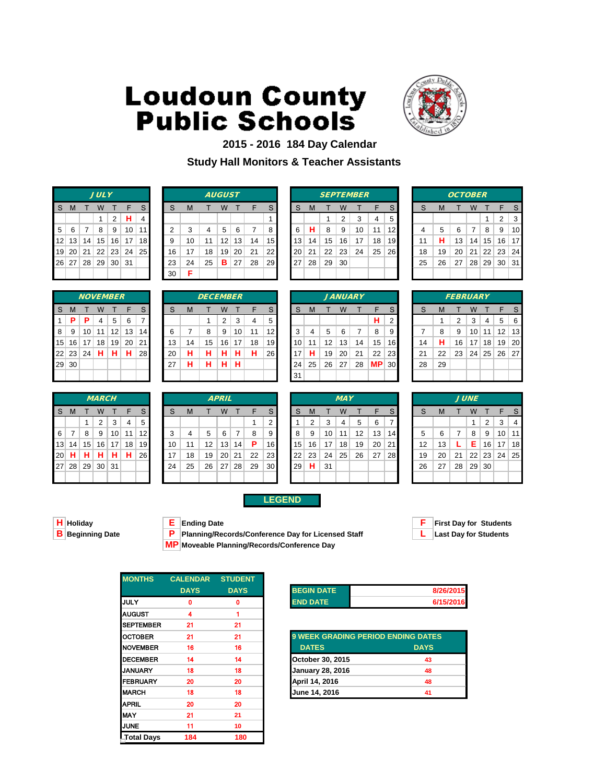

### **2015 - 2016 184 Day Calendar Study Hall Monitors & Teacher Assistants**

|   |   |           | <b>JULY</b>       |                |                      |                |
|---|---|-----------|-------------------|----------------|----------------------|----------------|
| S | M | T W       |                   | T F            |                      | S              |
|   |   |           | 1                 | 2 <sup>1</sup> | Н                    | $\overline{4}$ |
| 5 | 6 | $\vert$ 7 | 8                 | l 9 l          | 10 11                |                |
|   |   |           |                   |                | 12 13 14 15 16 17 18 |                |
|   |   |           |                   |                | 19 20 21 22 23 24 25 |                |
|   |   |           | 26 27 28 29 30 31 |                |                      |                |
|   |   |           |                   |                |                      |                |

|    |            |                 | <b>JULY</b>     |                 |     |                 |    |    |    | <b>AUGUST</b>   |    |    |           |    |    |    |    | <b>SEPTEMBER</b> |    |           |    |    | <b>OCTOBER</b> |                 |          |                      |    |
|----|------------|-----------------|-----------------|-----------------|-----|-----------------|----|----|----|-----------------|----|----|-----------|----|----|----|----|------------------|----|-----------|----|----|----------------|-----------------|----------|----------------------|----|
| S. | M          |                 | w               |                 | F   |                 | S  | м  |    | w               |    | F  | S         | S  | M  |    | W  |                  |    | S         |    | M  |                | W               |          |                      |    |
|    |            |                 |                 | 2               | н.  |                 |    |    |    |                 |    |    |           |    |    |    | 2  | ◠                | 4  | 5         |    |    |                |                 |          | $\mathcal{P}$        | 3  |
|    | $5 \mid 6$ |                 | 8               | 9               | 10  | 111             |    | 3  | 4  | 5               | 6  |    | 8         | 6  | н  | 8  | 9  | 10               | 11 | 12        |    | 5  | 6              | 7               | 8        | 9                    | 10 |
|    | 12 13      | 14              | 15              | 16              | 17  | 18 <sup>l</sup> | 9  | 10 | 11 | 12              | 13 | 14 | 15 I      | 13 | 14 | 15 | 16 | 17               | 18 | 19        | 11 | н  | 13             | 14              | 15       | 16 17                |    |
|    | 19 20      | 21              | 22              | 23              | 24  | 25              | 16 | 17 | 18 | 19 <sub>1</sub> | 20 | 21 | 22        | 20 | 21 | 22 | 23 | 24               | 25 | <b>26</b> | 18 | 19 | 20             | 21              |          | $22 \mid 23 \mid 24$ |    |
|    | 26 27      | 28 <sup>2</sup> | 29 <sup>1</sup> | 30 <sup>1</sup> | -31 |                 | 23 | 24 | 25 | в               | 27 | 28 | <b>29</b> | 27 | 28 | 29 | 30 |                  |    |           | 25 | 26 | 27             | 28 <sup>1</sup> | 29 30 31 |                      |    |
|    |            |                 |                 |                 |     |                 | 30 | Е  |    |                 |    |    |           |    |    |    |    |                  |    |           |    |    |                |                 |          |                      |    |

|    | <b>SEPTEMBER</b> |    |                |    |    |    |  |  |  |  |  |  |  |
|----|------------------|----|----------------|----|----|----|--|--|--|--|--|--|--|
| S  | М                | т  | W              | т  | F  | S  |  |  |  |  |  |  |  |
|    |                  | 1  | $\overline{2}$ | 3  | 4  | 5  |  |  |  |  |  |  |  |
| 6  | н                | 8  | 9              | 10 | 11 | 12 |  |  |  |  |  |  |  |
| 3  | 14               | 15 | 16             | 17 | 18 | 19 |  |  |  |  |  |  |  |
| 0. | 21               | 22 | 23             | 24 | 25 | 26 |  |  |  |  |  |  |  |
| 27 | 28               | 29 | 30             |    |    |    |  |  |  |  |  |  |  |
|    |                  |    |                |    |    |    |  |  |  |  |  |  |  |

|    | <i><b>OCTOBER</b></i> |    |    |              |    |    |  |  |  |  |  |  |  |  |
|----|-----------------------|----|----|--------------|----|----|--|--|--|--|--|--|--|--|
| S  | M                     | т  | W  | т            | F  | S  |  |  |  |  |  |  |  |  |
|    |                       |    |    | 1            | 2  | 3  |  |  |  |  |  |  |  |  |
| 4  | 5                     | 6  | 7  | 8            | 9  | 10 |  |  |  |  |  |  |  |  |
| 11 | н                     | 13 | 14 | 15           | 16 | 17 |  |  |  |  |  |  |  |  |
| 18 | 19                    | 20 | 21 | $22 \mid 23$ |    | 24 |  |  |  |  |  |  |  |  |
| 25 | 26                    | 27 | 28 | 29           | 30 | 31 |  |  |  |  |  |  |  |  |
|    |                       |    |    |              |    |    |  |  |  |  |  |  |  |  |

|    | <b>NOVEMBER</b> |    |    |    |    |             |  |  |  |  |  |  |  |
|----|-----------------|----|----|----|----|-------------|--|--|--|--|--|--|--|
| S  | M               | т  | W  | т  | F  | $\mathsf S$ |  |  |  |  |  |  |  |
| 1  | Р               | Р  | 4  | 5  | 6  | 7           |  |  |  |  |  |  |  |
| 8  | 9               | 10 | 11 | 12 | 13 | 14          |  |  |  |  |  |  |  |
| 15 | 16              | 17 | 18 | 19 | 20 | 21          |  |  |  |  |  |  |  |
|    | 22 23           | 24 | н  | н  | н  | 28          |  |  |  |  |  |  |  |
| 29 | 30              |    |    |    |    |             |  |  |  |  |  |  |  |
|    |                 |    |    |    |    |             |  |  |  |  |  |  |  |

|    |    |       | <b>MARCH</b>   |    |    |    |
|----|----|-------|----------------|----|----|----|
| S  | M  | т     | W              | т  | F  | S  |
|    |    | 1     | $\overline{2}$ | 3  | 4  | 5  |
| 6  | 7  | 8     | 9              | 10 | 11 | 12 |
| 13 | 14 | 15    | 16             | 17 | 18 | 19 |
| 20 | н  | н     | н              | н  | н  | 26 |
| 27 | 28 | 29 30 |                | 31 |    |    |
|    |    |       |                |    |    |    |

|                |         | <b>NOVEMBER</b> |    |    |    |                 |    |    | <b>DECEMBER</b> |    |    |    |                 |    |    |    |    | <b>JANUARY</b> |    |                 |    |    | <b>FEBRUARY</b> |                 |    |                   |     |
|----------------|---------|-----------------|----|----|----|-----------------|----|----|-----------------|----|----|----|-----------------|----|----|----|----|----------------|----|-----------------|----|----|-----------------|-----------------|----|-------------------|-----|
| S.             | M       |                 | W  |    | F  | S               | S  | M  |                 | W  |    | F  | S               | S  | M  |    | W  |                |    | S               | S  | M  |                 | W               |    |                   |     |
| 1 <sup>1</sup> | P       | Р               | 4  | 5  | 6  |                 |    |    |                 | 2  | 3  | 4  | 5               |    |    |    |    |                | н  | 2               |    |    | 2               | 3               | 4  | 5                 | - 6 |
| 8              | -9      | 10              | 11 | 12 | 13 | 14 <sub>h</sub> | 6  |    | 8               | 9  | 10 | 11 | 12 <sup>1</sup> | 3  | 4  | 5  | 6  |                | 8  | 9               |    | 8  | 9               | 10              | 11 | $12 \overline{ }$ | 13  |
|                | $15$ 16 | 17              | 18 | 19 | 20 | 211             | 13 | 14 | 15              | 16 | 17 | 18 | 191             | 10 | 11 | 12 | 13 | 14             | 15 | 16              | 14 | н  | 16              | 17              | 18 | 19                | -20 |
|                | 22 23   | 24              | н  | н  | н  | 28              | 20 | н  | н               | н  | н  | н  | 26              | 17 | н  | 19 | 20 | 21             | 22 | 23 <sub>1</sub> | 21 | 22 | 23              | 24 <sub>1</sub> | 25 | 26 27             |     |
|                | 29 30   |                 |    |    |    |                 | 27 | н  | н               | н  | н  |    |                 | 24 | 25 | 26 | 27 | 28             | ΜP | 30 <sub>1</sub> | 28 | 29 |                 |                 |    |                   |     |
|                |         |                 |    |    |    |                 |    |    |                 |    |    |    |                 | 31 |    |    |    |                |    |                 |    |    |                 |                 |    |                   |     |
|                |         |                 |    |    |    |                 |    |    |                 |    |    |    |                 |    |    |    |    |                |    |                 |    |    |                 |                 |    |                   |     |

|    |    |                 |    | <b>JANUARY</b> |           |                          |
|----|----|-----------------|----|----------------|-----------|--------------------------|
| S  | M  | т               | W  |                | F         |                          |
|    |    |                 |    |                | н         |                          |
| 3  | 4  | 5               | 6  | 7              | 8         |                          |
| 10 | 11 | 12 <sup>2</sup> | 13 | 14             | 15        | $\overline{\phantom{a}}$ |
| 17 | н  | 19              | 20 | 21             | 22        | ź                        |
| 24 | 25 | 26 27           |    | 28             | <b>MP</b> | ć                        |
| 31 |    |                 |    |                |           |                          |

|    |    | <b>FEBRUARY</b> |         |                |                                      |                |
|----|----|-----------------|---------|----------------|--------------------------------------|----------------|
| S  | M  | т               | W       | T              | F                                    | S              |
|    | 1  | $\overline{2}$  | 3       | $\overline{4}$ | 5                                    | 6              |
| 7  | 8  | 9               | 10      | $111$ 12       |                                      | 1:             |
| 14 | н  | 16              | $17$ 18 |                | ∣ 19                                 | 2 <sup>0</sup> |
| 21 | 22 |                 |         |                | $23 \mid 24 \mid 25 \mid 26 \mid 27$ |                |
| 28 | 29 |                 |         |                |                                      |                |
|    |    |                 |         |                |                                      |                |

|          |         |    | <b>MARCH</b>    |                 |    |                 |    |    |    | <b>APRIL</b>    |    |    |                 |                 |    |    | <b>MAY</b> |    |    |                 |    |    |     | <b>JUNE</b> |                |
|----------|---------|----|-----------------|-----------------|----|-----------------|----|----|----|-----------------|----|----|-----------------|-----------------|----|----|------------|----|----|-----------------|----|----|-----|-------------|----------------|
| S.       | M       |    | w               |                 | F  | S               | S  | M  |    | W               |    |    |                 | S               | M  |    | W          |    |    | <sub>S</sub>    | S  | M  |     | W           |                |
|          |         |    | 2               | 3               | 4  | 5               |    |    |    |                 |    |    | ◠               |                 | 2  |    | 4          | 5  | 6  |                 |    |    |     |             | $\overline{2}$ |
| $6 \mid$ |         | 8  | 9               | 10 <sup>°</sup> | 11 | 12 <sub>l</sub> | 3  | 4  | 5  | 6               | 7  | 8  | 9               | 8               | 9  | 10 | 11         | 12 | 13 | 14 <sup>1</sup> | 5  | 6  |     | 8           | - 9            |
|          | $13$ 14 | 15 | 16 <sup>1</sup> | 17              | 18 | 19              | 10 | 11 | 12 | 13 <sub>1</sub> | 14 | P  | 161             | 15              | 16 | 17 | 18         | 19 | 20 | 21              | 12 | 13 |     | Е.          | 16             |
|          | 20 H    | н  | н               | н               | н  | <b>26</b>       | 17 | 18 | 19 | 20 <sup>1</sup> | 21 | 22 | 23 <sub>l</sub> | 22              | 23 | 24 | 25         | 26 | 27 | <b>28</b>       | 19 | 20 | -21 | 22          | 23             |
|          | 27 28   | 29 |                 | 30 31           |    |                 | 24 | 25 | 26 | 27              | 28 | 29 | 30 <sub>l</sub> | 29 <sup>°</sup> | н  | 31 |            |    |    |                 | 26 | 27 | 28  | 29          | 30             |
|          |         |    |                 |                 |    |                 |    |    |    |                 |    |    |                 |                 |    |    |            |    |    |                 |    |    |     |             |                |

|          |         |                 | <b>MARCH</b>    |                 |    |                 |    |    |    | <b>APRIL</b>    |       |    |                 |                 |    |    | <b>MAY</b> |    |    |                 |    |    |    | <b>JUNE</b> |    |    |                 |
|----------|---------|-----------------|-----------------|-----------------|----|-----------------|----|----|----|-----------------|-------|----|-----------------|-----------------|----|----|------------|----|----|-----------------|----|----|----|-------------|----|----|-----------------|
| S M      |         |                 | W               |                 | F  |                 | S  | M  |    | W               |       | E  | S.              | S               | M  |    | W          |    |    |                 | S  | M  |    | W           |    |    | <sub>S</sub>    |
|          |         |                 | 2               | 3               | 4  | 5               |    |    |    |                 |       |    | 2               |                 | 2  | 3  | 4          | 5  | 6  |                 |    |    |    |             | 2  | 3  | 4               |
| $6 \mid$ |         | 8               | 9               | 10 <sup>1</sup> | 11 | 12 <sub>l</sub> | 3  |    | 5  | 6               | 7     | 8  | 9               | 8               | 9  | 10 | 11         | 12 | 13 | 14 <sup>1</sup> | 5  | 6  |    | 8           | 9  | 10 | 11              |
|          | $13$ 14 | 15 <sup>1</sup> | 16              | 17              | 18 | 19 <sup>°</sup> | 10 | 11 | 12 | 13 <sup>1</sup> | 14    | P  | 16 <sup>1</sup> | 15 <sup>1</sup> | 16 | 17 | 18         | 19 | 20 | 21              | 12 | 13 |    | Е.          | 16 | 17 | 18 <sup>1</sup> |
|          | 20 H    | н               | н               | н               | н  | <b>26</b>       | 17 | 18 | 19 |                 | 20 21 | 22 | 23              | 22 <sub>1</sub> | 23 | 24 | 25         | 26 | 27 | 28              | 19 | 20 | 21 | 22          | 23 | 24 | 25              |
|          |         | 27 28 29        | 30 <sup>1</sup> | 31              |    |                 | 24 | 25 | 26 | 27 <sup>2</sup> | 28    | 29 | 30 <sub>l</sub> | 29              | н  | 31 |            |    |    |                 | 26 | 27 | 28 | 29 30       |    |    |                 |
|          |         |                 |                 |                 |    |                 |    |    |    |                 |       |    |                 |                 |    |    |            |    |    |                 |    |    |    |             |    |    |                 |

**B P Planning/Records/Conference Day for Licensed Staff MP Moveable Planning/Records/Conference Day**

**LEGEND**

**H Holiday E Ending Date F First Day for Students**

| <b>MONTHS</b>    | <b>CALENDAR</b> | <b>STUDENT</b> |                   |
|------------------|-----------------|----------------|-------------------|
|                  | <b>DAYS</b>     | <b>DAYS</b>    | <b>BEGIN DATE</b> |
| <b>JULY</b>      | 0               | 0              | <b>END DATE</b>   |
| <b>AUGUST</b>    | 4               | 1              |                   |
| <b>SEPTEMBER</b> | 21              | 21             |                   |
| <b>OCTOBER</b>   | 21              | 21             | 9 WEEK GRA        |
| <b>NOVEMBER</b>  | 16              | 16             | <b>DATES</b>      |
| <b>DECEMBER</b>  | 14              | 14             | October 30, 2     |
| <b>JANUARY</b>   | 18              | 18             | January 28, 2     |
| <b>FEBRUARY</b>  | 20              | 20             | April 14, 2016    |
| <b>MARCH</b>     | 18              | 18             | June 14, 201      |
| <b>APRIL</b>     | 20              | 20             |                   |
| <b>MAY</b>       | 21              | 21             |                   |
| <b>JUNE</b>      | 11              | 10             |                   |
| Total Days       | 184             | 180            |                   |

| <b>BEGIN DATE</b> | 8/26/2015 |
|-------------------|-----------|
| <b>END DATE</b>   | 6/15/2016 |

| OCTOBER         | 21 | 21 | <b>9 WEEK GRADING PERIOD ENDING DATES</b> |             |
|-----------------|----|----|-------------------------------------------|-------------|
| <b>NOVEMBER</b> | 16 | 16 | <b>DATES</b>                              | <b>DAYS</b> |
| <b>DECEMBER</b> | 14 | 14 | October 30, 2015                          | 43          |
| JANUARY         | 18 | 18 | <b>January 28, 2016</b>                   | 48          |
| FEBRUARY        | 20 | 20 | April 14, 2016                            | 48          |
| <b>MARCH</b>    | 18 | 18 | June 14, 2016                             | 41          |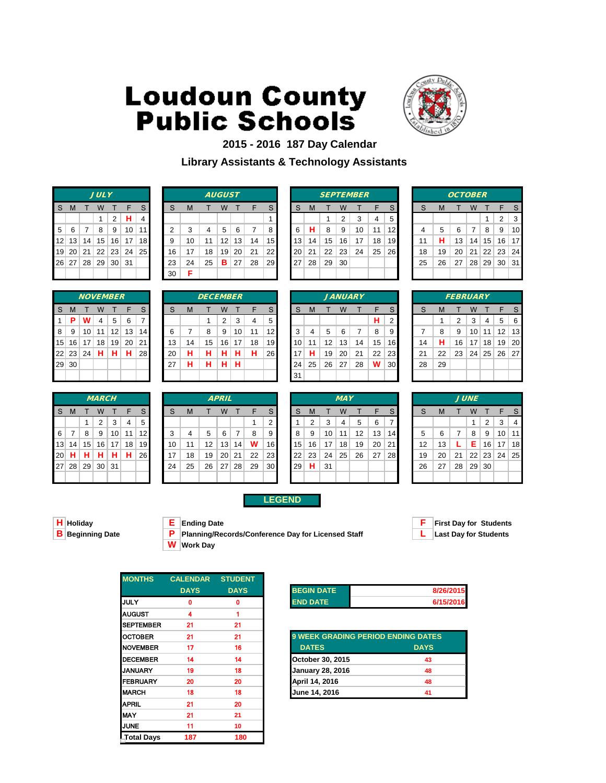

### **2015 - 2016 187 Day Calendar Library Assistants & Technology Assistants**

|   |                   | <b>JULY</b> |                      |                |
|---|-------------------|-------------|----------------------|----------------|
| S | M                 | T W T F     |                      | S              |
|   |                   | 1           | $2$ H                | $\overline{4}$ |
| 5 | 6                 | 789         | 10                   | $\vert$ 11     |
|   |                   |             | 12 13 14 15 16 17 18 |                |
|   |                   |             | 19 20 21 22 23 24 25 |                |
|   | 26 27 28 29 30 31 |             |                      |                |
|   |                   |             |                      |                |

|    |            |                 | <b>JULY</b>     |                 |     |                 |    |    |    | <b>AUGUST</b>   |    |    |           |    |    |    |    | <b>SEPTEMBER</b> |    |           |    |    | <b>OCTOBER</b> |                 |          |                      |    |
|----|------------|-----------------|-----------------|-----------------|-----|-----------------|----|----|----|-----------------|----|----|-----------|----|----|----|----|------------------|----|-----------|----|----|----------------|-----------------|----------|----------------------|----|
| S. | M          |                 | w               |                 | F   |                 | S  | м  |    | w               |    | F  | S         | S  | M  |    | W  |                  |    | S         |    | M  |                | W               |          |                      |    |
|    |            |                 |                 | 2               | н.  |                 |    |    |    |                 |    |    |           |    |    |    | 2  | ◠                | 4  | 5         |    |    |                |                 |          | $\mathcal{P}$        | 3  |
|    | $5 \mid 6$ |                 | 8               | 9               | 10  | 111             |    | 3  | 4  | 5               | 6  |    | 8         | 6  | н  | 8  | 9  | 10               | 11 | 12        |    | 5  | 6              | 7               | 8        | 9                    | 10 |
|    | 12 13      | 14              | 15              | 16              | 17  | 18 <sup>l</sup> | 9  | 10 | 11 | 12              | 13 | 14 | 15 I      | 13 | 14 | 15 | 16 | 17               | 18 | 19        | 11 | н  | 13             | 14              | 15       | 16 17                |    |
|    | 19 20      | 21              | 22              | 23              | 24  | 25              | 16 | 17 | 18 | 19 <sub>1</sub> | 20 | 21 | 22        | 20 | 21 | 22 | 23 | 24               | 25 | <b>26</b> | 18 | 19 | 20             | 21              |          | $22 \mid 23 \mid 24$ |    |
|    | 26 27      | 28 <sup>2</sup> | 29 <sup>1</sup> | 30 <sup>1</sup> | -31 |                 | 23 | 24 | 25 | в               | 27 | 28 | <b>29</b> | 27 | 28 | 29 | 30 |                  |    |           | 25 | 26 | 27             | 28 <sup>1</sup> | 29 30 31 |                      |    |
|    |            |                 |                 |                 |     |                 | 30 | Е  |    |                 |    |    |           |    |    |    |    |                  |    |           |    |    |                |                 |          |                      |    |

|   |    |    |                | <b>SEPTEMBER</b> |    |    |
|---|----|----|----------------|------------------|----|----|
| 3 | М  | т  | W              | т                | F  | S  |
|   |    | 1  | $\overline{2}$ | 3                | 4  | 5  |
| ĉ | н  | 8  | 9              | 10               | 11 | 12 |
| 3 | 14 | 15 | 16             | 17               | 18 | 19 |
| 0 | 21 | 22 | 23             | 24               | 25 | 26 |
| 7 | 28 | 29 | 30             |                  |    |    |
|   |    |    |                |                  |    |    |
|   |    |    |                |                  |    |    |

|    |    | <b>OCTOBER</b> |    |              |            |    |
|----|----|----------------|----|--------------|------------|----|
| S  | M  | т              | W  | т            | F          | S  |
|    |    |                |    | 1            | 2          | 3  |
| 4  | 5  | 6              | 7  | 8            | 9          | 10 |
| 11 | н  | 13             | 14 | 15           | 16         | 17 |
| 18 | 19 | 20             | 21 | $22 \mid 23$ |            | 24 |
| 25 | 26 | 27             | 28 | 29           | $\vert$ 30 | 31 |
|    |    |                |    |              |            |    |

|    |          |    | <b>NOVEMBER</b> |    |    |              |
|----|----------|----|-----------------|----|----|--------------|
| S  | M        | Т  | W               | т  | F  | $\mathsf{S}$ |
| 1  | P        | w  | $\overline{4}$  | 5  | 6  | 7            |
| 8  | 9        | 10 | 11              | 12 | 13 | 14           |
| 15 | 16       | 17 | 18              | 19 | 20 | 21           |
|    | 22 23 24 |    | $\mathbf H$     | н  | н  | 28           |
| 29 | 30       |    |                 |    |    |              |
|    |          |    |                 |    |    |              |

|           |                 |    | <b>MARCH</b> |                 |    |                 |    |    |    | <b>APRIL</b> |    |    |                 |    |    |    | <b>MAY</b> |    |    |                 |    |    |    | <b>JUNE</b>     |                |
|-----------|-----------------|----|--------------|-----------------|----|-----------------|----|----|----|--------------|----|----|-----------------|----|----|----|------------|----|----|-----------------|----|----|----|-----------------|----------------|
| -S        | M               |    | W            |                 |    |                 | S  | M  |    | W            |    | E  | S               | S  | M  |    | W          |    | F  | S               |    | M  |    | W               |                |
|           |                 |    | 2            | 3               | 4  | 5               |    |    |    |              |    |    | ົ               |    | 2  | 3  | 4          | 5  | 6  |                 |    |    |    |                 | $\overline{2}$ |
| 6         |                 | 8  | 9            | 10 <sup>1</sup> | 11 | 12 <sub>l</sub> | 3  |    | 5  | 6            |    | 8  | 9               | 8  | 9  | 10 | 11         | 12 | 13 | 14 <sup>1</sup> | 5  | 6  |    | 8               | -9             |
| 13        | 14              | 15 | 16           | 17              | 18 | 19              | 10 | 11 | 12 | 13           | 14 | W  | 16              | 15 | 16 | 17 | 18         | 19 | 20 | 21              | 12 | 13 |    | Е               | 16             |
| 20        | н               | н  | н            | н               | н  | 26              | 17 | 18 | 19 | 20           | 21 | 22 | 23 <sub>1</sub> | 22 | 23 | 24 | 25         | 26 | 27 | <b>28</b>       | 19 | 20 | 21 | 22 <sup>1</sup> | 23             |
| <b>27</b> | 28 <sup>1</sup> | 29 | 30           | ∣ 31            |    |                 | 24 | 25 | 26 | 27           | 28 | 29 | 30 <sub>l</sub> | 29 | н  | 31 |            |    |    |                 | 26 | 27 | 28 | 29              | 30             |
|           |                 |    |              |                 |    |                 |    |    |    |              |    |    |                 |    |    |    |            |    |    |                 |    |    |    |                 |                |

|              |         | <b>NOVEMBER</b> |    |    |    |                 |    |    | <b>DECEMBER</b> |    |    |    |     |    |    |    |    | <b>JANUARY</b> |    |                 |    |    | <b>FEBRUARY</b> |    |    |                   |     |
|--------------|---------|-----------------|----|----|----|-----------------|----|----|-----------------|----|----|----|-----|----|----|----|----|----------------|----|-----------------|----|----|-----------------|----|----|-------------------|-----|
| S.           | M       |                 | W  |    | F  | S               | S  | M  |                 | W  |    | F  | S   | S  | M  |    | W  |                |    | S               | S  | M  |                 | W  |    |                   |     |
| $\mathbf{1}$ | -P      | w               | 4  | 5  | 6  |                 |    |    |                 | 2  | 3  | 4  | 5   |    |    |    |    |                | н  | 2               |    |    | 2               | 3  | 4  | 5                 | - 6 |
| 8            | -9      | 10              | 11 | 12 | 13 | 14 <sub>h</sub> | 6  |    | 8               | 9  | 10 | 11 | 12  | 3  | 4  | 5  | 6  |                | 8  | 9               |    | 8  | 9               | 10 | 11 | $12 \overline{ }$ | 13  |
|              | $15$ 16 | 17              | 18 | 19 | 20 | 211             | 13 | 14 | 15              | 16 | 17 | 18 | 191 | 10 | 11 | 12 | 13 | 14             | 15 | 16              | 14 | н  | 16              | 17 | 18 | 19                | -20 |
|              | 22 23   | 24              | н  | н  | н  | 28              | 20 | н  | н               | н  | н  | н  | 26  | 17 | н  | 19 | 20 | 21             | 22 | 23 <sub>1</sub> | 21 | 22 | 23              | 24 | 25 | 26 27             |     |
|              | 29 30   |                 |    |    |    |                 | 27 | н  | н               | н  | н  |    |     | 24 | 25 | 26 | 27 | 28             | W  | 30 <sub>l</sub> | 28 | 29 |                 |    |    |                   |     |
|              |         |                 |    |    |    |                 |    |    |                 |    |    |    |     | 31 |    |    |    |                |    |                 |    |    |                 |    |    |                   |     |
|              |         |                 |    |    |    |                 |    |    |                 |    |    |    |     |    |    |    |    |                |    |                 |    |    |                 |    |    |                   |     |

|    |    |    |    | <i><b>JANUARY</b></i> |    |                |
|----|----|----|----|-----------------------|----|----------------|
| S  | M  | т  | W  | т                     | F  |                |
|    |    |    |    |                       | н  |                |
| 3  | 4  | 5  | 6  | 7                     | 8  |                |
| 10 | 11 | 12 | 13 | 14                    | 15 | í              |
| 17 | н  | 19 | 20 | 21                    | 22 | í              |
| 24 | 25 | 26 | 27 | 28                    | W  | $\ddot{\cdot}$ |
| 31 |    |    |    |                       |    |                |

|    |    | <b>FEBRUARY</b> |    |       |                   |     |
|----|----|-----------------|----|-------|-------------------|-----|
| S  | M  | т               | W  | т     | F                 | S   |
|    | 1  | $\overline{2}$  | 3  | 4     | 5                 | 6   |
| 7  | 8  | 9               | 10 | 11    | $12 \overline{ }$ | -13 |
| 14 | н  | 16              |    | 17 18 | 19                | 20  |
| 21 | 22 | 23              |    |       | 24   25   26   27 |     |
| 28 | 29 |                 |    |       |                   |     |
|    |    |                 |    |       |                   |     |

|          |              |                 | <b>MARCH</b>    |                 |    |                 |    |    |    | <b>APRIL</b>    |    |    |                 |                 |    |    | <b>MAY</b> |    |    |                 |    |    |    | <b>JUNE</b> |       |    |                 |
|----------|--------------|-----------------|-----------------|-----------------|----|-----------------|----|----|----|-----------------|----|----|-----------------|-----------------|----|----|------------|----|----|-----------------|----|----|----|-------------|-------|----|-----------------|
| S.       | $\mathsf{M}$ |                 | W               |                 | F  | -S              | S  | M  |    | W               |    | F  | S.              | S               |    |    | W          |    | F  |                 | S  | M  |    | W           |       |    |                 |
|          |              |                 | 2               | 3               | 4  | 5               |    |    |    |                 |    |    | 2               |                 | 2  | 3  | 4          | 5  | 6  |                 |    |    |    |             | 2     | 3  |                 |
| $6 \mid$ |              | 8               | 9               | 10 <sup>1</sup> | 11 | 12 <sub>l</sub> | 3  |    | 5  | 6               | 7  | 8  | 9               | 8               | 9  | 10 | 11         | 12 | 13 | 14 <sup>1</sup> | 5  | 6  |    | 8           | 9     | 10 | 11 <sup>1</sup> |
|          | 13 14        | 15 <sup>1</sup> | 16 <sup>1</sup> | 17              | 18 | 19I             | 10 |    | 12 | 13              | 14 | W  | 16              | 15 <sup>1</sup> | 16 | 17 | 18         | 19 | 20 | -21             | 12 | 13 |    | Е           | 16    | 17 | 18              |
|          | 20 H         | н               | н               | н               | н  | <b>26</b>       | 17 | 18 | 19 | 20 <sup>2</sup> | 21 | 22 | 23 <sub>l</sub> | 22              | 23 | 24 | 25         | 26 | 27 | <b>28</b>       | 19 | 20 | 21 |             | 22 23 | 24 | 25              |
|          | 27 28        | 29              | 30 31           |                 |    |                 | 24 | 25 | 26 | 27 <sup>1</sup> | 28 | 29 | 30 <sub>l</sub> | 29              | H. | 31 |            |    |    |                 | 26 | 27 | 28 | 29 30       |       |    |                 |
|          |              |                 |                 |                 |    |                 |    |    |    |                 |    |    |                 |                 |    |    |            |    |    |                 |    |    |    |             |       |    |                 |

### **LEGEND**

**H Holiday E Ending Date F First Day for Students B Planning/Records/Conference Day for Licensed Staff <b>L** Last Day for Students **W Work Day**



| <b>MONTHS</b>    | <b>CALENDAR</b> | <b>STUDENT</b> |                   |
|------------------|-----------------|----------------|-------------------|
|                  | <b>DAYS</b>     | <b>DAYS</b>    | <b>BEGIN DATE</b> |
| <b>JULY</b>      | Λ               | n              | <b>END DATE</b>   |
| <b>AUGUST</b>    | 4               |                |                   |
| <b>SEPTEMBER</b> | 21              | 21             |                   |
| <b>OCTOBER</b>   | 21              | 21             | 9 WEEK GRA        |
| <b>NOVEMBER</b>  | 17              | 16             | <b>DATES</b>      |
| <b>DECEMBER</b>  | 14              | 14             | October 30, 2     |
| <b>JANUARY</b>   | 19              | 18             | January 28, 2     |
| <b>FEBRUARY</b>  | 20              | 20             | April 14, 2016    |
| <b>MARCH</b>     | 18              | 18             | June 14, 201      |
| <b>APRIL</b>     | 21              | 20             |                   |
| <b>MAY</b>       | 21              | 21             |                   |
| <b>JUNE</b>      | 11              | 10             |                   |
| LTotal Days      | 187             | 180            |                   |

| <b>BEGIN DATE</b> | 8/26/2015 |
|-------------------|-----------|
| <b>FND DATF</b>   | 6/15/2016 |

| OCTOBER         | 21 | 21 | <b>9 WEEK GRADING PERIOD ENDING DATES</b> |             |
|-----------------|----|----|-------------------------------------------|-------------|
| <b>NOVEMBER</b> | 17 | 16 | <b>DATES</b>                              | <b>DAYS</b> |
| <b>DECEMBER</b> | 14 | 14 | October 30, 2015                          | 43          |
| JANUARY         | 19 | 18 | <b>January 28, 2016</b>                   | 48          |
| FEBRUARY        | 20 | 20 | April 14, 2016                            | 48          |
| <b>MARCH</b>    | 18 | 18 | June 14, 2016                             | 41          |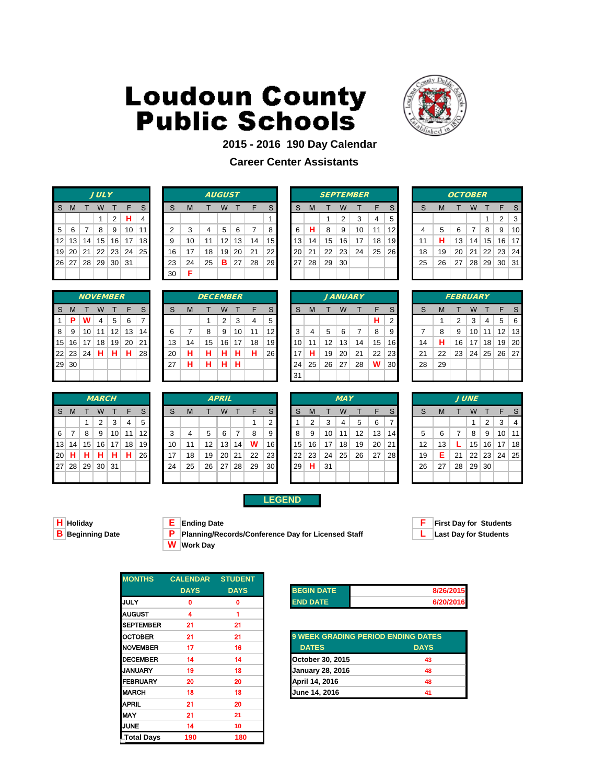

### **2015 - 2016 190 Day Calendar**

### **Career Center Assistants**

|    |   |       | <b>JULY</b>       |     |                      |                         |
|----|---|-------|-------------------|-----|----------------------|-------------------------|
| S. | M |       | T W T             |     | - F                  | S                       |
|    |   |       | 1                 | 2   | н                    | $\overline{\mathbf{4}}$ |
| 5  | 6 | l 7 I | 8                 | - 9 | 10                   | 11                      |
|    |   |       |                   |     | 12 13 14 15 16 17 18 |                         |
| 19 |   |       |                   |     | 20 21 22 23 24 25    |                         |
|    |   |       | 26 27 28 29 30 31 |     |                      |                         |
|    |   |       |                   |     |                      |                         |

|    |            |                 | <b>JULY</b> |                 |     |    |    |    |    | <b>AUGUST</b>   |    |    |                 |           |    |    |    | <b>SEPTEMBER</b> |    |           |    |    | <b>OCTOBER</b> |                 |                 |                      |    |
|----|------------|-----------------|-------------|-----------------|-----|----|----|----|----|-----------------|----|----|-----------------|-----------|----|----|----|------------------|----|-----------|----|----|----------------|-----------------|-----------------|----------------------|----|
| S. | M          |                 | w           |                 |     |    | S  | M  |    | W               |    |    | S               | S         | M  |    | W  |                  |    | S         |    | M  |                | W               |                 |                      |    |
|    |            |                 |             | 2               | н.  | 4  |    |    |    |                 |    |    |                 |           |    |    | 2  | 3                | 4  | 5         |    |    |                |                 |                 | ົ                    | 3  |
|    | $5 \mid 6$ |                 | 8           | 9               | 10  | 11 | ົ  | 3  | 4  | 5               | 6  |    | 8               | 6         | н  | 8  | 9  | 10               | 11 | 12        |    | 5  | 6              | 7               | 8               | 9                    | 10 |
|    | 12 13      | 14              | 15          | 16              | 17  | 18 | 9  | 10 | 11 | 12              | 13 | 14 | 15 <sup>1</sup> | 13        | 14 | 15 | 16 | 17               | 18 | 19        | 11 | н  | 13             | 14              | 15 <sup>1</sup> | 16 17                |    |
|    | 19 20      | l 21            | 22          | 23              | 24  | 25 | 16 | 17 | 18 | 19 <sub>1</sub> | 20 | 21 | 22              | <b>20</b> | 21 | 22 | 23 | 24               | 25 | <b>26</b> | 18 | 19 | 20             | 21              |                 | $22 \mid 23 \mid 24$ |    |
|    | 26 27      | 28 <sup>2</sup> | 29          | 30 <sup>2</sup> | -31 |    | 23 | 24 | 25 | в               | 27 | 28 | <b>29</b>       | 27        | 28 | 29 | 30 |                  |    |           | 25 | 26 | 27             | 28 <sup>1</sup> |                 | 29 30 31             |    |
|    |            |                 |             |                 |     |    | 30 | Е  |    |                 |    |    |                 |           |    |    |    |                  |    |           |    |    |                |                 |                 |                      |    |

|    |    |    |                | <b>SEPTEMBER</b> |    |    |
|----|----|----|----------------|------------------|----|----|
| S  | М  | т  | W              | т                | F  | S  |
|    |    | 1  | $\overline{2}$ | 3                | 4  | 5  |
| 6  | н  | 8  | 9              | 10               | 11 | 12 |
| 3  | 14 | 15 | 16             | 17               | 18 | 19 |
| 20 | 21 | 22 | 23             | 24               | 25 | 26 |
| 27 | 28 | 29 | 30             |                  |    |    |
|    |    |    |                |                  |    |    |

|    |    | <i><b>OCTOBER</b></i> |    |            |              |    |
|----|----|-----------------------|----|------------|--------------|----|
| S  | M  | т                     | W  | т          | F            | S  |
|    |    |                       |    | 1          | 2            | 3  |
| 4  | 5  | 6                     | 7  | 8          | 9            | 10 |
| 11 | н  | 13                    | 14 | 15         | 16           | 17 |
| 18 | 19 | 20                    | 21 |            | $22 \mid 23$ | 24 |
| 25 | 26 | 27                    |    | $28$ 29 30 |              | 31 |
|    |    |                       |    |            |              |    |

|                 |          |           | <b>NOVEMBER</b> |    |     |                |
|-----------------|----------|-----------|-----------------|----|-----|----------------|
| S               | M        |           | W               | т  | F   | S              |
| 1               | P        | w         | 4               | 5  | 6   | $\overline{7}$ |
| 8               | 9        | 10        | 11              | 12 | 13  | 14             |
| 15 <sup>2</sup> |          | $16$   17 | 18              | 19 | -20 | 21             |
|                 | 22 23 24 |           | н               | н  | н   | 28             |
| 29              | 30       |           |                 |    |     |                |
|                 |          |           |                 |    |     |                |

|           |                 |                 | <b>MARCH</b> |                 |    |                 |    |    |    | <b>APRIL</b> |    |    |                 |    |    |    | <b>MAY</b> |    |    |           |    |    |    | <b>JUNE</b>     |                |
|-----------|-----------------|-----------------|--------------|-----------------|----|-----------------|----|----|----|--------------|----|----|-----------------|----|----|----|------------|----|----|-----------|----|----|----|-----------------|----------------|
| -S        | M               |                 | W            |                 | F  |                 | S  | M  |    | W            |    | F  | S.              | S  | M  |    | W          |    | F  | S.        | S  | M  |    | W               |                |
|           |                 |                 | 2            | 3               | 4  | 5               |    |    |    |              |    |    | ີ               |    | 2  | 3  | 4          | 5  | 6  |           |    |    |    |                 | $\overline{2}$ |
| 6         |                 | 8               | 9            | 10 <sup>1</sup> | 11 | 12 <sub>l</sub> | 3  |    | 5  | 6            |    | 8  | 9               | 8  | 9  | 10 | 11         | 12 | 13 | 141       | 5  | 6  |    | 8               | -9             |
| 13        | 14              | 15              | 16           | 17              | 18 | 19 <sup>°</sup> | 10 | 11 | 12 | 13           | 14 | W  | 16              | 15 | 16 | 17 | 18         | 19 | 20 | 211       | 12 | 13 |    | 15              | 16             |
| 20        | н               | н               | н            | н               | н  | <b>26</b>       | 17 | 18 | 19 | 20           | 21 | 22 | 23 <sub>1</sub> | 22 | 23 | 24 | 25         | 26 | 27 | <b>28</b> | 19 | Е  | 21 | 22 <sup>1</sup> | 23             |
| <b>27</b> | 28 <sup>2</sup> | 29 <sup>°</sup> | 30           | 31              |    |                 | 24 | 25 | 26 | 27           | 28 | 29 | 30 <sub>l</sub> | 29 | н  | 31 |            |    |    |           | 26 | 27 | 28 | $29$ 30         |                |
|           |                 |                 |              |                 |    |                 |    |    |    |              |    |    |                 |    |    |    |            |    |    |           |    |    |    |                 |                |

|                |       | <i><b>NOVEMBER</b></i> |    |    |                 |             |    |    | <b>DECEMBER</b> |    |    |    |           |     |    |                   |    | <b>JANUARY</b> |    |                 |    |    | <b>FEBRUARY</b> |    |                 |                 |     |
|----------------|-------|------------------------|----|----|-----------------|-------------|----|----|-----------------|----|----|----|-----------|-----|----|-------------------|----|----------------|----|-----------------|----|----|-----------------|----|-----------------|-----------------|-----|
| S.             | M     |                        | W  |    |                 |             | S  | M  |                 | W  |    |    | S.        | S   | M  |                   | W  |                |    | S.              |    | M  |                 | W  |                 |                 |     |
| $\mathbf{1}$   | -P    | w                      | 4  | 5  | 6               |             |    |    |                 | 2  | 3  | 4  | 5         |     |    |                   |    |                | н  | 2               |    |    | 2               | 3  | 4               | 5               | - 6 |
| 8 <sup>1</sup> | - 9   | 10 <sup>1</sup>        | 11 | 12 | 13              | 14 I        | 6  |    | 8               | 9  | 10 | 11 | 12        | 3   | 4  | 5                 | 6  |                | 8  | 9               |    | 8  | 9               | 10 | 11              | 12 <sup>2</sup> | 13  |
|                | 15 16 | 17                     | 18 | 19 | 20 <sub>1</sub> | 21 <b>I</b> | 13 | 14 | 15              | 16 | 17 | 18 | 191       | 10  | 11 | $12 \overline{ }$ | 13 | 14             | 15 | 16              | 14 | н  | 16              | 17 | 18 <sup>1</sup> | 19 <sup>°</sup> | -20 |
|                | 22 23 | 24                     | н  | н  | н               | <b>28</b>   | 20 | н  | н               | н  | н  | н  | <b>26</b> | 17  | н  | 19                | 20 | 21             | 22 | <b>231</b>      | 21 | 22 | 23              | 24 |                 | 25 26 27        |     |
|                | 29 30 |                        |    |    |                 |             | 27 | н  | н               | н  | н  |    |           | 24  | 25 | 26                | 27 | 28             | W  | 30 <sub>l</sub> | 28 | 29 |                 |    |                 |                 |     |
|                |       |                        |    |    |                 |             |    |    |                 |    |    |    |           | -31 |    |                   |    |                |    |                 |    |    |                 |    |                 |                 |     |
|                |       |                        |    |    |                 |             |    |    |                 |    |    |    |           |     |    |                   |    |                |    |                 |    |    |                 |    |                 |                 |     |

|    |    |                 |    | <i><b>JANUARY</b></i> |    |                |
|----|----|-----------------|----|-----------------------|----|----------------|
| S  | M  | т               | W  | т                     | F  | S              |
|    |    |                 |    |                       | н  | $\overline{2}$ |
| 3  | 4  | 5               | 6  | 7                     | 8  | 9              |
| 10 | 11 | 12 <sup>2</sup> | 13 | 14                    | 15 | 16             |
| 17 | н  | 19              | 20 | 21                    | 22 | 23             |
| 24 | 25 | 26 27           |    | 28                    | W  | 30             |
| 31 |    |                 |    |                       |    |                |

|    |    | <b>FEBRUARY</b> |    |              |    |    |
|----|----|-----------------|----|--------------|----|----|
| S  | M  | т               | W  | т            | F  | S  |
|    | 1  | 2               | 3  | 4            | 5  | 6  |
| 7  | 8  | 9               | 10 | 11           | 12 | 13 |
| 14 | н  | 16              |    | 17 18        | 19 | 20 |
| 21 | 22 | 23              |    | 24   25   26 |    | 27 |
| 28 | 29 |                 |    |              |    |    |
|    |    |                 |    |              |    |    |

|          |       |                 | <b>MARCH</b> |    |    |                 |    |    |    | <b>APRIL</b>    |    |    |                 |                 |    |    | <b>MAY</b> |    |    |                 |    |    |    | <b>JUNE</b>     |    |    |                 |
|----------|-------|-----------------|--------------|----|----|-----------------|----|----|----|-----------------|----|----|-----------------|-----------------|----|----|------------|----|----|-----------------|----|----|----|-----------------|----|----|-----------------|
| S.       | - M   |                 | W            |    |    |                 | S  | M  |    | W               |    |    |                 | S               |    |    | W          |    |    |                 |    | M  |    | W               |    |    |                 |
|          |       |                 | 2            | 3  | 4  | 5               |    |    |    |                 |    |    | 2               |                 | 2  | 3  | 4          | 5  | 6  |                 |    |    |    |                 | 2  | 3  |                 |
| $6 \mid$ |       | 8               | 9            | 10 | 11 | 12 I            | 3  |    | 5  | 6               | 7  | 8  | 9               | 8               | 9  | 10 | 11         | 12 | 13 | 14 <sub>1</sub> | 5  | 6  |    | 8               | 9  | 10 | 11              |
|          | 13 14 | 15 <sup>1</sup> | 16           | 17 | 18 | 19 <sup>°</sup> | 10 |    | 12 | 13 <sup>1</sup> | 14 | w  | 16              | 15 <sup>1</sup> | 16 | 17 | 18         | 19 | 20 | -21             | 12 | 13 |    | 15 <sub>1</sub> | 16 | 17 | 18 <sup>l</sup> |
|          | 20 H  | н               | н            | н  | н  | 26 <b>I</b>     | 17 | 18 | 19 | 20 <sup>1</sup> | 21 | 22 | 23 <sub>l</sub> | $22 \,$         | 23 | 24 | 25         | 26 | 27 | 28 I            | 19 | Е  | 21 | 22              | 23 | 24 | 25              |
|          | 27 28 | 29              | 30           | 31 |    |                 | 24 | 25 | 26 | 27              | 28 | 29 | 30 <sub>l</sub> | 29              | н  | 31 |            |    |    |                 | 26 | 27 | 28 | 29 30           |    |    |                 |
|          |       |                 |              |    |    |                 |    |    |    |                 |    |    |                 |                 |    |    |            |    |    |                 |    |    |    |                 |    |    |                 |

### **LEGEND**

**B P Planning/Records/Conference Day for Licensed Staff W Work Day**



**H Holiday E Ending Date F First Day for Students**

| <b>MONTHS</b>    | <b>CALENDAR</b> | <b>STUDENT</b> |                   |
|------------------|-----------------|----------------|-------------------|
|                  | <b>DAYS</b>     | <b>DAYS</b>    | <b>BEGIN DATE</b> |
| <b>IJULY</b>     | Ω               | 0              | <b>END DATE</b>   |
| <b>AUGUST</b>    | 4               |                |                   |
| <b>SEPTEMBER</b> | 21              | 21             |                   |
| <b>OCTOBER</b>   | 21              | 21             | 9 WEEK GRA        |
| <b>NOVEMBER</b>  | 17              | 16             | <b>DATES</b>      |
| <b>DECEMBER</b>  | 14              | 14             | October 30, 2     |
| <b>JANUARY</b>   | 19              | 18             | January 28, 2     |
| <b>IFEBRUARY</b> | 20              | 20             | April 14, 2016    |
| <b>MARCH</b>     | 18              | 18             | June 14, 201      |
| <b>APRIL</b>     | 21              | 20             |                   |
| <b>MAY</b>       | 21              | 21             |                   |
| <b>JUNE</b>      | 14              | 10             |                   |
| Total Days       | 190             | 180            |                   |

| <b>BEGIN DATE</b> | 8/26/2015 |
|-------------------|-----------|
| <b>END DATE</b>   | 6/20/2016 |

| OCTOBER         | 21 | 21 | <b>9 WEEK GRADING PERIOD ENDING DATES</b> |             |
|-----------------|----|----|-------------------------------------------|-------------|
| <b>NOVEMBER</b> | 17 | 16 | <b>DATES</b>                              | <b>DAYS</b> |
| <b>DECEMBER</b> | 14 | 14 | October 30, 2015                          | 43          |
| JANUARY         | 19 | 18 | <b>January 28, 2016</b>                   | 48          |
| FEBRUARY        | 20 | 20 | April 14, 2016                            | 48          |
| <b>MARCH</b>    | 18 | 18 | June 14, 2016                             | 41          |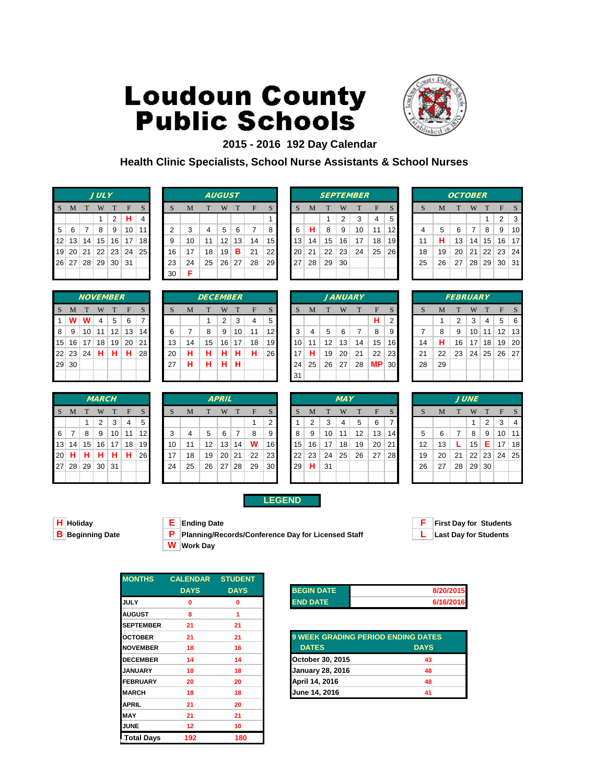

### **2015 - 2016 192 Day Calendar**

**Health Clinic Specialists, School Nurse Assistants & School Nurses**

|   |   |   | <b>JULY</b>              |                |              |    |
|---|---|---|--------------------------|----------------|--------------|----|
| S | M | T | W                        | T              | $\mathbf{F}$ | S  |
|   |   |   | 1                        | $\overline{2}$ | н            | 4  |
| 5 | 6 | 7 | 8                        | 9              | 10           | 11 |
|   |   |   | $12$   13   14   15   16 |                | 17           | 18 |
|   |   |   | 19 20 21 22 23 24        |                |              | 25 |
|   |   |   | 26 27 28 29 30 31        |                |              |    |
|   |   |   |                          |                |              |    |

|                            | W         |                 | F           |           |                 |                              | M  |    | W  |    | F             | S               |                         |                 | M  |    | W  |    | F  |                  |    | Μ  |    | W  |    | E               |    |
|----------------------------|-----------|-----------------|-------------|-----------|-----------------|------------------------------|----|----|----|----|---------------|-----------------|-------------------------|-----------------|----|----|----|----|----|------------------|----|----|----|----|----|-----------------|----|
|                            |           | 2               | н           | $4 \cdot$ |                 |                              |    |    |    |    |               |                 |                         |                 |    |    | 2  |    | 4  | 5                |    |    |    |    |    | 2               | 3  |
|                            | 8         | 9               | 10          | 11        |                 | 2                            | 3  | 4  | 5  | 6  |               | 8               |                         | 6               | н  | 8  | 9  | 10 | 11 | 12               |    | 5  | 6  | 7  | 8  | 9               | 10 |
| 14                         | 15        | 16              | 17          |           |                 | 9                            | 10 | 11 | 12 | 13 | 14            |                 |                         | 13 <sub>1</sub> | 14 | 15 | 16 | 17 | 18 | 19               |    | н  | 13 | 14 | 15 | 16 <sup>1</sup> | 17 |
| 21                         | 22        | 23              |             |           |                 | 16                           | 17 | 18 | 19 | в  | 21            | 22 <sub>1</sub> |                         | 20              | 21 | 22 | 23 | 24 | 25 | 26               | 18 | 19 | 20 | 21 | 22 | 23 <sup>1</sup> | 24 |
|                            | 29        | 30              | -31         |           |                 | 23                           | 24 | 25 | 26 | 27 | 28            |                 |                         |                 | 28 | 29 | 30 |    |    |                  | 25 | 26 | 27 | 28 | 29 | 30 31           |    |
|                            |           |                 |             |           |                 | 30                           | F  |    |    |    |               |                 |                         |                 |    |    |    |    |    |                  |    |    |    |    |    |                 |    |
| M<br>- 6<br>19 20<br>26 27 | $12$   13 | 28 <sub>1</sub> | <b>JULY</b> |           | 24 <sub>1</sub> | 18 <sup>l</sup><br><b>25</b> |    |    |    |    | <b>AUGUST</b> |                 | 15 <sup>1</sup><br>29 I |                 | 27 |    |    |    |    | <b>SEPTEMBER</b> |    |    |    |    |    | <b>OCTOBER</b>  |    |

|    |    |    |                | <b>SEPTEMBER</b> |                |    |
|----|----|----|----------------|------------------|----------------|----|
| S  | M  | T  | W              | T                | F              | S  |
|    |    | 1  | $\overline{2}$ | 3                | $\overline{4}$ | 5  |
| 6  | н  | 8  | 9              | 10               | 11             | 12 |
| 13 | 14 | 15 | 16             | 17               | 18             | 19 |
| 20 | 21 | 22 | 23             | 24               | 25             | 26 |
| 27 | 28 | 29 | 30             |                  |                |    |
|    |    |    |                |                  |                |    |
|    |    |    |                |                  |                |    |

|    |    | <b>OCTOBER</b> |                |                |    |    |
|----|----|----------------|----------------|----------------|----|----|
| S  | M  | T              | W              | T              | F  | S  |
|    |    |                |                | 1              | 2  | 3  |
| 4  | 5  | 6              | $\overline{7}$ | 8              | 9  | 10 |
| 11 | н  | 13             | 14             | 15             | 16 | 17 |
| 18 | 19 | 20             |                | $21$   22   23 |    | 24 |
| 25 | 26 | 27             |                | 28 29 30       |    | 31 |
|    |    |                |                |                |    |    |

|    |       |    | <b>NOVEMBER</b> |    |    |    |
|----|-------|----|-----------------|----|----|----|
| S  | M     | T  | W               | T  | F  | S  |
| 1  | w     | w  | 4               | 5  | 6  | 7  |
| 8  | 9     | 10 | 11              | 12 | 13 | 14 |
| 15 | 16    | 17 | 18              | 19 | 20 | 21 |
|    | 22 23 | 24 | н               | н  | н  | 28 |
| 29 | 30    |    |                 |    |    |    |
|    |       |    |                 |    |    |    |

|    |    |       | <b>MARCH</b>   |    |              |    |
|----|----|-------|----------------|----|--------------|----|
| S  | M  | T     |                | T  | $\mathbf{F}$ | S  |
|    |    | 1     | $\overline{2}$ | 3  | 4            | 5  |
| 6  | 7  | 8     | 9              | 10 | 11           | 12 |
| 13 | 14 | 15    | 16             | 17 | 18           | 19 |
| 20 | н  | н     | н              | н  | н            | 26 |
| 27 | 28 | 29 30 |                | 31 |              |    |
|    |    |       |                |    |              |    |

|          | 29 30 |    |                |    |    |                 | 27 | н  | н  | н            | н  |    |                | 24              | 25 | 26 | 27         | 28 | <b>MP</b> | 30 <sub>l</sub> | 28 | 29 |    |             |    |                 |    |
|----------|-------|----|----------------|----|----|-----------------|----|----|----|--------------|----|----|----------------|-----------------|----|----|------------|----|-----------|-----------------|----|----|----|-------------|----|-----------------|----|
|          |       |    |                |    |    |                 |    |    |    |              |    |    |                | 31              |    |    |            |    |           |                 |    |    |    |             |    |                 |    |
|          |       |    |                |    |    |                 |    |    |    |              |    |    |                |                 |    |    |            |    |           |                 |    |    |    |             |    |                 |    |
|          |       |    | <b>MARCH</b>   |    |    |                 |    |    |    | <b>APRIL</b> |    |    |                |                 |    |    | <b>MAY</b> |    |           |                 |    |    |    | <b>JUNE</b> |    |                 |    |
| S.       | M     |    | W              |    | F  |                 | S  | M  |    | W            | Т  | F  | S              | S               | M  |    | W          |    | F         | S               | S  | M  |    | W           |    |                 | S  |
|          |       |    | $\overline{2}$ | 3  | 4  | $5^{\circ}$     |    |    |    |              |    |    | $\overline{2}$ |                 |    | 3  | 4          | 5  | 6         | $\overline{ }$  |    |    |    |             | 2  | 3 <sup>1</sup>  | -4 |
| $6 \mid$ |       | 8  | 9              | 10 | 11 | 12 <sub>l</sub> | 3  | 4  | 5  | 6            | 7  | 8  | 9              | 8               | 9  | 10 | 11         | 12 | 13        | 14              | 5  | 6  |    | 8           | 9  | 10 11           |    |
|          | 13 14 | 15 | 16             | 17 | 18 | 19              | 10 | 11 | 12 | 13           | 14 | W  | 16             | 15 <sub>1</sub> | 16 | 17 | 18         | 19 | 20        | 21              | 12 | 13 |    | 15          | Е  | 17 <sub>1</sub> | 18 |
| 20 H     |       | н  | н              | н  | н  | 26              | 17 | 18 | 19 | 20           | 21 | 22 | 23             | 22              | 23 | 24 | 25         | 26 | 27        | 28              | 19 | 20 | 21 | 22          | 23 | $24 \mid 25$    |    |

| S.              | M     |                 | W            | т  | F  | S            | S  | M  |    | W            | T  | F  | S               | <sub>S</sub>    | M  |    | W          |    | F         | S               | S  | M  |    | W           |    | F               | S   |
|-----------------|-------|-----------------|--------------|----|----|--------------|----|----|----|--------------|----|----|-----------------|-----------------|----|----|------------|----|-----------|-----------------|----|----|----|-------------|----|-----------------|-----|
| 1 <sup>1</sup>  | W     | w               | 4            | 5  | 6  | ⇁            |    |    |    | 2            | 3  | 4  | 5               |                 |    |    |            |    | н         | 2               |    |    | 2  | 3           | 4  | 5 <sup>5</sup>  | - 6 |
| 8 <sup>1</sup>  | 9     | 10 <sup>1</sup> | 11           | 12 | 13 | 14           | 6  |    | 8  | 9            | 10 | 11 | 12 <sub>l</sub> | 3               | 4  | 5  | 6          |    | 8         | 9               |    | 8  | 9  | 10          | 11 | 12 <sup>2</sup> | 13  |
| 15 <sup>2</sup> | 16    | 17              | 18           | 19 | 20 | 21           | 13 | 14 | 15 | 16           | 17 | 18 | 19              | 10 <sup>1</sup> | 11 | 12 | 13         | 14 | 15        | 16              | 14 | н  | 16 | 17          | 18 | 19              | 20  |
|                 | 22 23 | 24              | н            | н  | н  | 28           | 20 | н  | н  | н            | н  | н  | 26              | 17              | н  | 19 | 20         | 21 | 22        | 23              | 21 | 22 | 23 | 24          | 25 | 26 27           |     |
|                 | 29 30 |                 |              |    |    |              | 27 | н  | н  | н            | н  |    |                 | 24              | 25 | 26 | 27         | 28 | <b>MP</b> | 30 <sup>°</sup> | 28 | 29 |    |             |    |                 |     |
|                 |       |                 |              |    |    |              |    |    |    |              |    |    |                 | -31             |    |    |            |    |           |                 |    |    |    |             |    |                 |     |
|                 |       |                 |              |    |    |              |    |    |    |              |    |    |                 |                 |    |    |            |    |           |                 |    |    |    |             |    |                 |     |
|                 |       |                 | <b>MARCH</b> |    |    |              |    |    |    | <b>APRIL</b> |    |    |                 |                 |    |    | <b>MAY</b> |    |           |                 |    |    |    | <b>JUNE</b> |    |                 |     |
| $\mathcal{S}$   | M     |                 | W            | т  | F  | $\mathbf{S}$ |    | M  |    | W            | T  | F  | $\mathcal{S}$   | $\mathcal{S}$   | M  |    | W          |    | F         | $\mathbf{S}$    |    | M  |    | W           |    | F               |     |

|    |    |       |    | <b>JANUARY</b> |           |                |
|----|----|-------|----|----------------|-----------|----------------|
| S  | M  | T     | W  | T              | F         | S              |
|    |    |       |    |                | н         | $\overline{2}$ |
| 3  | 4  | 5     | 6  | 7              | 8         | 9              |
| 10 | 11 | 12    | 13 | 14             | 15        | 16             |
| 17 | н  | 19    | 20 | 21             | 22        | 23             |
| 24 | 25 | 26 27 |    | 28             | <b>MP</b> | 30             |
| 31 |    |       |    |                |           |                |

|    |       | <b>NOVEMBER</b> |    |    |    |                 |    |    | <b>DECEMBER</b> |    |    |    |                 |    |    |    |    | <b>JANUARY</b> |           |                 |    |    | <b>FEBRUARY</b> |    |    |    |      |
|----|-------|-----------------|----|----|----|-----------------|----|----|-----------------|----|----|----|-----------------|----|----|----|----|----------------|-----------|-----------------|----|----|-----------------|----|----|----|------|
|    | M     |                 | W  |    | F  | S               | S  | M  |                 |    |    | F  | S.              | S  | м  |    | W  |                | F         | S               |    | M  |                 | W  |    | F  | -S   |
| 1. | W     | W               | 4  | 5  | 6  |                 |    |    |                 | っ  | 3  | 4  | 5               |    |    |    |    |                | н         | ົ               |    |    | ◠               | 3  | 4  | 5  | - 6  |
| 8  | 9     | 10              | 11 | 12 | 13 | 14 <sub>l</sub> | 6  |    | 8               | 9  | 10 | 11 | 12              | 3  | 4  | 5  | 6  |                | 8         | 9               |    | 8  | 9               | 10 | 11 | 12 | ∣ 13 |
|    | 15 16 | 17              | 18 | 19 | 20 | 21              | 13 | 14 | 15              | 16 | 17 | 18 | 19 <sup>1</sup> | 10 | 11 | 12 | 13 | 14             | 15        | 16 <sup>1</sup> | 14 | н  | 16              | 17 | 18 | 19 | 20   |
| 22 | 23    | 24              | Н  | н  | н  | <b>28</b>       | 20 | н  | н               | н  | н  | н  | 26              | 17 | н  | 19 | 20 | 21             | 22        | 23              | 21 | 22 | 23              | 24 | 25 | 26 | 27   |
|    | 29 30 |                 |    |    |    |                 | 27 | н  | н               | н  | н  |    |                 | 24 | 25 | 26 | 27 | 28             | <b>MP</b> | 30 <sup>l</sup> | 28 | 29 |                 |    |    |    |      |
|    |       |                 |    |    |    |                 |    |    |                 |    |    |    |                 | 31 |    |    |    |                |           |                 |    |    |                 |    |    |    |      |

|    |    |    | JUNE            |       |             |    |
|----|----|----|-----------------|-------|-------------|----|
| S  | M  | T  | W               | T     | F           | S  |
|    |    |    | 1               | 2     | 3           | 4  |
| 5  | 6  | 7  | 8               | 9     | 10          | 11 |
| 12 | 13 | L  | 15 <sup>1</sup> | Е     | 17          | 18 |
| 19 | 20 | 21 |                 |       | 22 23 24 25 |    |
| 26 | 27 | 28 |                 | 29 30 |             |    |
|    |    |    |                 |       |             |    |

**LEGEND**

- 
- 

**H Holiday E Ending Date F First Day for Students B Planning/Records/Conference Day for Licensed Staff <b>L** Last Day for Students **W Work Day**

27 28 29 30 31 24 25 26 27 28 29 30 29 **H** 31 26 27 28 29 30



| <b>MONTHS</b>    | <b>CALENDAR STUDENT</b> |             |                   |
|------------------|-------------------------|-------------|-------------------|
|                  | <b>DAYS</b>             | <b>DAYS</b> | <b>BEGIN DATE</b> |
| <b>JULY</b>      | 0                       | $\bf{0}$    | <b>END DATE</b>   |
| <b>AUGUST</b>    | 8                       | 1           |                   |
| <b>SEPTEMBER</b> | 21                      | 21          |                   |
| <b>OCTOBER</b>   | 21                      | 21          | 9 WEEK GRA        |
| <b>NOVEMBER</b>  | 18                      | 16          | <b>DATES</b>      |
| <b>DECEMBER</b>  | 14                      | 14          | October 30, 2     |
| <b>JANUARY</b>   | 18                      | 18          | January 28, 2     |
| <b>FEBRUARY</b>  | 20                      | 20          | April 14, 2016    |
| <b>MARCH</b>     | 18                      | 18          | June 14, 201      |
| <b>APRIL</b>     | 21                      | 20          |                   |
| <b>MAY</b>       | 21                      | 21          |                   |
| <b>JUNE</b>      | 12                      | 10          |                   |
| Total Days       | 192                     | 180         |                   |

| <b>BEGIN DATE</b> | 8/20/2015 |
|-------------------|-----------|
| <b>END DATE</b>   | 6/16/2016 |

| <b>OCTOBER</b>  | 21 | 21 | <b>9 WEEK GRADING PERIOD ENDING DATES</b> |             |
|-----------------|----|----|-------------------------------------------|-------------|
| <b>NOVEMBER</b> | 18 | 16 | <b>DATES</b>                              | <b>DAYS</b> |
| <b>DECEMBER</b> | 14 | 14 | October 30, 2015                          | 43          |
| <b>JANUARY</b>  | 18 | 18 | <b>January 28, 2016</b>                   | 48          |
| <b>FEBRUARY</b> | 20 | 20 | April 14, 2016                            | 48          |
| <b>MARCH</b>    | 18 | 18 | June 14, 2016                             | 41          |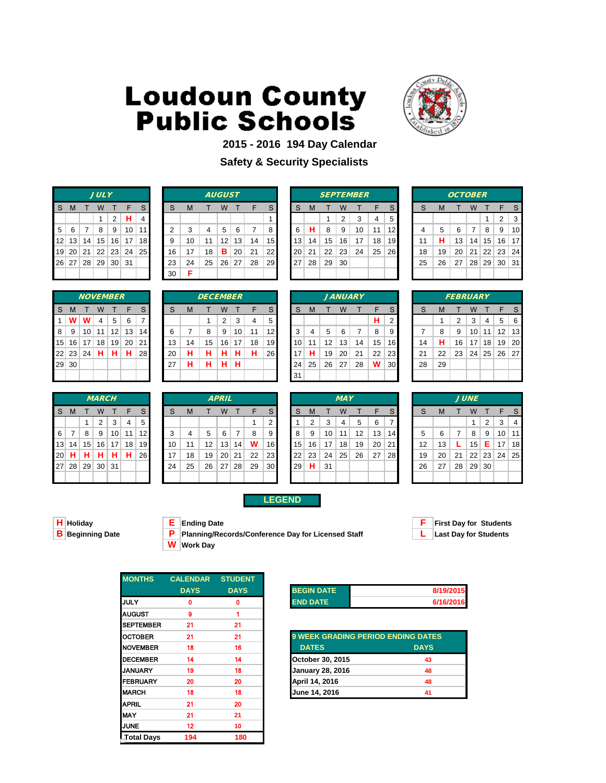

### **2015 - 2016 194 Day Calendar**

### **Safety & Security Specialists**

|    |   |                   | <b>JULY</b>       |                                               |                      |                |
|----|---|-------------------|-------------------|-----------------------------------------------|----------------------|----------------|
| S. | M | T W               |                   | $\top$                                        | -F                   | S              |
|    |   |                   | 1.                | 2                                             | $\ $ H               | $\overline{4}$ |
| 5  |   | $6 \mid 7 \mid 8$ |                   | $\begin{array}{c c c c c} 9 & 10 \end{array}$ |                      | 11             |
|    |   |                   |                   |                                               | 12 13 14 15 16 17 18 |                |
| 19 |   |                   |                   |                                               | 20 21 22 23 24 25    |                |
|    |   |                   | 26 27 28 29 30 31 |                                               |                      |                |
|    |   |                   |                   |                                               |                      |                |

|                |       |                 | <b>JULY</b> |                 |     |                 |    |    |    | <b>AUGUST</b>   |    |    |                 |                 |    |    |    | <b>SEPTEMBER</b> |    |           |    |    | <b>OCTOBER</b> |    |                 |          |    |
|----------------|-------|-----------------|-------------|-----------------|-----|-----------------|----|----|----|-----------------|----|----|-----------------|-----------------|----|----|----|------------------|----|-----------|----|----|----------------|----|-----------------|----------|----|
| S.             | M     |                 | W           |                 |     |                 | S  | M  |    | W               |    |    | S.              | S               | M  |    | W  |                  |    | S         |    | M  |                | W  |                 |          |    |
|                |       |                 |             | 2               | н   | 4               |    |    |    |                 |    |    |                 |                 |    |    | 2  |                  | 4  | 5         |    |    |                |    |                 | ົ        | 3  |
| 5 <sup>1</sup> | - 6   |                 | 8           | 9               | 10  | 11 <sub>h</sub> | ◠  | 3  | 4  | 5               | 6  |    | 8               | 6               | н  | 8  | 9  | 10               | 11 | 12        |    | 5  | 6              | 7  | 8               | 9        | 10 |
|                | 12 13 | 14              | 15          | 16              | 17  | 18 I            | 9  | 10 | 11 | 12              | 13 | 14 | 15 <sup>1</sup> | 13              | 14 | 15 | 16 | 17               | 18 | 19        | 11 | н  | 13             | 14 | 15              | 16 17    |    |
|                | 19 20 | 21              | 22          | 23              | 24  | 25              | 16 | 17 | 18 | в               | 20 | 21 | 22              | 20 <sub>1</sub> | 21 | 22 | 23 | 24               | 25 | <b>26</b> | 18 | 19 | 20             | 21 | 22 <sub>1</sub> | 23 24    |    |
|                | 26 27 | 28 <sup>1</sup> | 29          | 30 <sup>2</sup> | -31 |                 | 23 | 24 | 25 | 26 <sub>1</sub> | 27 | 28 | <b>29</b>       | 27              | 28 | 29 | 30 |                  |    |           | 25 | 26 | 27             | 28 |                 | 29 30 31 |    |
|                |       |                 |             |                 |     |                 | 30 | Е  |    |                 |    |    |                 |                 |    |    |    |                  |    |           |    |    |                |    |                 |          |    |

|              |    |     |    | <b>SEPTEMBER</b> |    |    |
|--------------|----|-----|----|------------------|----|----|
| <sub>S</sub> | M  | т   | W  | т                | F  | S  |
|              |    | 1   | 2  | 3                | 4  | 5  |
| 6            | н  | 8   | 9  | 10               | 11 | 12 |
| 13           | 14 | 15  | 16 | 17               | 18 | 19 |
| 20           | 21 | 22  | 23 | 24               | 25 | 26 |
| 27           | 28 | -29 | 30 |                  |    |    |
|              |    |     |    |                  |    |    |
|              |    |     |    |                  |    |    |

|    |    | <i><b>OCTOBER</b></i> |    |       |              |    |
|----|----|-----------------------|----|-------|--------------|----|
| S  | M  | т                     | W  | т     | F            | S  |
|    |    |                       |    | 1     | 2            | 3  |
| 4  | 5  | 6                     | 7  | 8     | 9            | 10 |
| 11 | н  | 13                    | 14 | 15    | 16           | 17 |
| 18 | 19 | 20                    | 21 |       | $22 \mid 23$ | 24 |
| 25 | 26 | 27                    |    | 28 29 | 30           | 31 |
|    |    |                       |    |       |              |    |

|                 |          |           | <b>NOVEMBER</b> |                 |    |                |
|-----------------|----------|-----------|-----------------|-----------------|----|----------------|
| S               | M        | т         | W               | т               | F  | S              |
| 1               | w        | w         | 4               | 5               | 6  | $\overline{7}$ |
| 8               | 9        | 10        | 11              | 12 <sup>1</sup> | 13 | 14             |
| 15 <sup>2</sup> |          | $16$   17 | 18              | 19              | 20 | 21             |
|                 | 22 23 24 |           | н               | н               | н  | 28             |
| 29              | 30       |           |                 |                 |    |                |
|                 |          |           |                 |                 |    |                |

|              |                 |                 | <b>MARCH</b> |                 |    |                 |    |    |    | <b>APRIL</b> |    |    |                 |    |    |    | <b>MAY</b>      |    |    |           |    |    |    | <b>JUNE</b>     |                |
|--------------|-----------------|-----------------|--------------|-----------------|----|-----------------|----|----|----|--------------|----|----|-----------------|----|----|----|-----------------|----|----|-----------|----|----|----|-----------------|----------------|
| <sub>S</sub> | M               |                 | W            |                 | F  |                 | S  | M  |    | W            |    | F  | S.              | S  | M  |    | W               |    | F  | S.        | S  | M  |    | W               |                |
|              |                 |                 | 2            | 3               | 4  | 5               |    |    |    |              |    |    | ີ               |    | 2  | 3  | 4               | 5  | 6  |           |    |    |    |                 | $\overline{2}$ |
| 6            |                 | 8               | 9            | 10 <sup>1</sup> | 11 | 12 <sub>l</sub> | 3  |    | 5  | 6            |    | 8  | 9               | 8  | 9  | 10 | 11              | 12 | 13 | 141       | 5  | 6  |    | 8               | -9             |
| 13           | 14              | 15              | 16           | 17              | 18 | 19 <sub>l</sub> | 10 | 11 | 12 | 13           | 14 | W  | 16              | 15 | 16 | 17 | 18              | 19 | 20 | 211       | 12 | 13 |    | 15              | Е              |
| 20           | н               | н               | н            | н               | н  | <b>26</b>       | 17 | 18 | 19 | 20           | 21 | 22 | 23              | 22 | 23 | 24 | 25 <sub>1</sub> | 26 | 27 | <b>28</b> | 19 | 20 | 21 | 22 <sup>1</sup> | 23             |
| <b>27</b>    | 28 <sup>1</sup> | 29 <sup>°</sup> | 30           | 31              |    |                 | 24 | 25 | 26 | 27           | 28 | 29 | 30 <sub>l</sub> | 29 | н  | 31 |                 |    |    |           | 26 | 27 | 28 | 29              | 30             |
|              |                 |                 |              |                 |    |                 |    |    |    |              |    |    |                 |    |    |    |                 |    |    |           |    |    |    |                 |                |

|                |            | <i><b>NOVEMBER</b></i> |    |    |                 |                 |    |    | <b>DECEMBER</b> |    |    |    |                 |    |    |                   |    | <b>JANUARY</b> |    |            |    |    | <b>FEBRUARY</b> |    |    |                   |     |
|----------------|------------|------------------------|----|----|-----------------|-----------------|----|----|-----------------|----|----|----|-----------------|----|----|-------------------|----|----------------|----|------------|----|----|-----------------|----|----|-------------------|-----|
| S.             | M          |                        | W  |    |                 |                 | S  | M  |                 | W  |    |    | S               | S  | M  |                   | W  |                |    | S          |    | M  |                 | w  |    |                   |     |
|                | $1 \mid W$ | w                      | 4  | 5  | 6               |                 |    |    |                 | 2  | 3  | 4  | 5               |    |    |                   |    |                | н  | 2          |    |    | 2               | 3  | 4  | 5                 | - 6 |
| 8 <sup>1</sup> | - 9        | 10 <sup>1</sup>        | 11 | 12 | 13              | 14 <sup>1</sup> | 6  |    | 8               | 9  | 10 | 11 | 12              | 3  | 4  | 5                 | 6  |                | 8  | 9          |    | 8  | 9               | 10 | 11 | $12 \overline{ }$ | 13  |
|                | $15$ 16    | 17 <sup>1</sup>        | 18 | 19 | 20 <sup>1</sup> | 211             | 13 | 14 | 15              | 16 | 17 | 18 | 19 <sup>°</sup> | 10 | 11 | $12 \overline{ }$ | 13 | 14             | 15 | 16         | 14 | н  | 16              | 17 | 18 | 19 <sup>1</sup>   | -20 |
|                | 22 23      | 24                     | н  | н  | н               | 28              | 20 | н  | н               | н  | н  | н  | 26 <b>L</b>     | 17 | н  | 19                | 20 | 21             | 22 | <b>231</b> | 21 | 22 | 23              | 24 |    | 25 26 27          |     |
|                | 29 30      |                        |    |    |                 |                 | 27 | н  | н               | н  | н  |    |                 | 24 | 25 | 26                | 27 | 28             | W  | 30 l       | 28 | 29 |                 |    |    |                   |     |
|                |            |                        |    |    |                 |                 |    |    |                 |    |    |    |                 | 31 |    |                   |    |                |    |            |    |    |                 |    |    |                   |     |
|                |            |                        |    |    |                 |                 |    |    |                 |    |    |    |                 |    |    |                   |    |                |    |            |    |    |                 |    |    |                   |     |

|    |    |    |    | <b>JANUARY</b> |    |                |
|----|----|----|----|----------------|----|----------------|
| S  | M  | т  | W  | т              | F  | S              |
|    |    |    |    |                | н  | $\overline{2}$ |
| 3  | 4  | 5  | 6  | 7              | 8  | 9              |
| 10 | 11 | 12 | 13 | 14             | 15 | 16             |
| 17 | н  | 19 | 20 | 21             | 22 | 23             |
| 24 | 25 | 26 | 27 | 28             | W  | 3 <sub>C</sub> |
| 31 |    |    |    |                |    |                |

|    |    | <b>FEBRUARY</b> |    |              |             |    |
|----|----|-----------------|----|--------------|-------------|----|
| S  | M  | Т               | W  | $\mathsf{T}$ | F           | S  |
|    | 1  | $\overline{2}$  | 3  | 4            | 5           | 6  |
| 7  | 8  | 9               | 10 | $\vert$ 11   | $\vert$ 12  | 13 |
| 14 | н  | 16              |    | 17 18        | 19          | 20 |
| 21 | 22 | 23              |    |              | 24 25 26 27 |    |
| 28 | 29 |                 |    |              |             |    |
|    |    |                 |    |              |             |    |

|          |       | <b>MARCH</b><br><b>APRIL</b> |    |    |    |                 |  |    |    |    |                 |    |    |                 |    |    |    | <b>MAY</b> |    |    |                 |    |    |    | <b>JUNE</b>     |       |    |                 |
|----------|-------|------------------------------|----|----|----|-----------------|--|----|----|----|-----------------|----|----|-----------------|----|----|----|------------|----|----|-----------------|----|----|----|-----------------|-------|----|-----------------|
| S.       | M     |                              | w  |    | F  |                 |  | S  | M  |    | W               |    | F  | S.              | S  | M  |    | W          |    |    |                 | S  | M  |    | W               |       |    |                 |
|          |       |                              | 2  | 3  | 4  | 5               |  |    |    |    |                 |    |    | 2               |    | 2  | 3  |            | 5  | 6  |                 |    |    |    |                 | 2     | 3  | 4               |
| $6 \mid$ |       | 8                            | 9  | 10 | 11 | 12 <sub>l</sub> |  | 3  |    | 5  | 6               |    | 8  | 9               | -8 | 9  | 10 | 11         | 12 | 13 | 14 <sub>1</sub> | 5  | 6  |    | 8               | 9     | 10 | 11              |
|          | 13 14 | 15                           | 16 | 17 | 18 | 19 I            |  | 10 |    | 12 | 13 <sub>1</sub> | 14 | w  | 16              | 15 | 16 | 17 | 18         | 19 | 20 | -21             | 12 | 13 |    | 15 <sup>1</sup> | Е.    | 17 | 18 <sup>l</sup> |
|          | 20 H  | н                            | н  | н  | н  | <b>26</b>       |  | 17 | 18 | 19 | 20 <sup>2</sup> | 21 | 22 | 23              | 22 | 23 | 24 | 25         | 26 | 27 | 28              | 19 | 20 | 21 |                 | 22 23 | 24 | 25 <sub>l</sub> |
|          | 27 28 | 29                           | 30 | 31 |    |                 |  | 24 | 25 | 26 | 27              | 28 | 29 | 30 <sup>1</sup> | 29 | н. | 31 |            |    |    |                 | 26 | 27 | 28 | 29 30           |       |    |                 |
|          |       |                              |    |    |    |                 |  |    |    |    |                 |    |    |                 |    |    |    |            |    |    |                 |    |    |    |                 |       |    |                 |

### **LEGEND**

| $\vert$ H Holiday          |  |
|----------------------------|--|
| $\overline{R}$ Reginning D |  |

- **B** Beginning Date **P** Planning/Records/Conference Day for Licensed Staff **L** Last Day for Students
	- **W Work Day**

**H Holiday E Ending Date F First Day for Students**

| <b>MONTHS</b>     | <b>CALENDAR</b>   | <b>STUDENT</b> |                   |
|-------------------|-------------------|----------------|-------------------|
|                   | <b>DAYS</b>       | <b>DAYS</b>    | <b>BEGIN DATE</b> |
| <b>JULY</b>       | 0                 | 0              | <b>END DATE</b>   |
| <b>AUGUST</b>     | 9                 |                |                   |
| <b>SEPTEMBER</b>  | 21                | 21             |                   |
| <b>OCTOBER</b>    | 21                | 21             | 9 WEEK GRA        |
| <b>NOVEMBER</b>   | 18                | 16             | <b>DATES</b>      |
| <b>DECEMBER</b>   | 14                | 14             | October 30, 2     |
| <b>JANUARY</b>    | 19                | 18             | January 28, 2     |
| <b>FEBRUARY</b>   | 20                | 20             | April 14, 2016    |
| <b>MARCH</b>      | 18                | 18             | June 14, 201      |
| <b>APRIL</b>      | 21                | 20             |                   |
| <b>MAY</b>        | 21                | 21             |                   |
| <b>JUNE</b>       | $12 \overline{ }$ | 10             |                   |
| <b>Total Days</b> | 194               | 180            |                   |

| <b>BEGIN DATE</b> | 8/19/2015 |
|-------------------|-----------|
| <b>END DATE</b>   | 6/16/2016 |

| OCTOBER         | 21 | 21 | <b>9 WEEK GRADING PERIOD ENDING DATES</b> |             |
|-----------------|----|----|-------------------------------------------|-------------|
| <b>NOVEMBER</b> | 18 | 16 | <b>DATES</b>                              | <b>DAYS</b> |
| <b>DECEMBER</b> | 14 | 14 | October 30, 2015                          | 43          |
| JANUARY         | 19 | 18 | <b>January 28, 2016</b>                   | 48          |
| FEBRUARY        | 20 | 20 | April 14, 2016                            | 48          |
| <b>MARCH</b>    | 18 | 18 | June 14, 2016                             | 41          |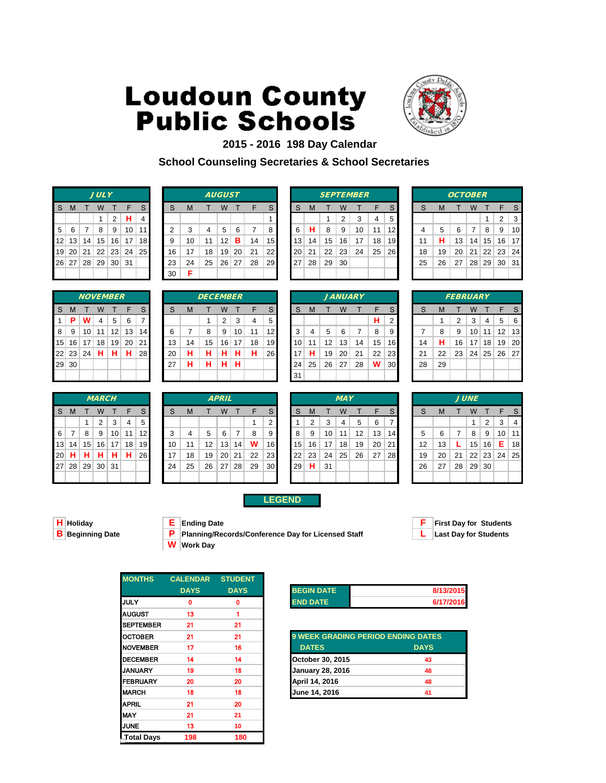

### **2015 - 2016 198 Day Calendar School Counseling Secretaries & School Secretaries**

|   |   |            | <b>JULY</b>       |        |                      |                |
|---|---|------------|-------------------|--------|----------------------|----------------|
| S | M | T W        |                   | $\top$ | $\mathsf{F}$         | S              |
|   |   |            | 1                 |        | $2$   H              | $\overline{4}$ |
| 5 |   | $6 \mid 7$ | 8   9             |        | 10                   | $\vert$ 11     |
|   |   |            |                   |        | 12 13 14 15 16 17 18 |                |
|   |   |            |                   |        | 19 20 21 22 23 24 25 |                |
|   |   |            | 26 27 28 29 30 31 |        |                      |                |
|   |   |            |                   |        |                      |                |

|                |         |                 | <b>JULY</b> |                 |     |                 |    |    |    | <b>AUGUST</b>   |    |    |                 |    |    |    |    | <b>SEPTEMBER</b> |    |                   |    |    | <b>OCTOBER</b> |                 |                 |       |     |
|----------------|---------|-----------------|-------------|-----------------|-----|-----------------|----|----|----|-----------------|----|----|-----------------|----|----|----|----|------------------|----|-------------------|----|----|----------------|-----------------|-----------------|-------|-----|
| S.             | M       |                 | W           |                 | F   |                 | S  | M  |    | W               |    | F  | S.              | S  | M  |    | W  |                  | F  | S                 | S  | M  |                | W               |                 |       | -S  |
|                |         |                 |             | 2               | н   | 4               |    |    |    |                 |    |    |                 |    |    |    | 2  | 3                | 4  | 5                 |    |    |                |                 |                 | 2     | 3   |
| 5 <sup>1</sup> | - 6     |                 | 8           | 9               | 10  | 11 <sub>h</sub> | ົ  | 3  | 4  | 5               | 6  |    | 8               | 6  | н  | 8  | 9  | 10               | 11 | $12 \overline{ }$ |    | 5  | 6              | 7               | 8               | 9     | 10  |
|                | $12$ 13 | 14 <sub>1</sub> | 15          | 16              | 17  | 18              | 9  | 10 | 11 | 12              | в  | 14 | 15 <sup>1</sup> | 13 | 14 | 15 | 16 | 17               | 18 | 19                |    | н  | 13             | 14              | 15 <sup>2</sup> | 16    | -17 |
|                | 19 20   | 21              | 22          | 23              | 24  | 25              | 16 | 17 | 18 | 19 <sub>1</sub> | 20 | 21 | 22              | 20 | 21 | 22 | 23 | 24               | 25 | <b>26</b>         | 18 | 19 | 20             | 21              | 22              | 23 24 |     |
|                | 26 27   | 28 <sup>1</sup> | 29          | 30 <sup>2</sup> | -31 |                 | 23 | 24 | 25 | 26              | 27 | 28 | <b>29</b>       | 27 | 28 | 29 | 30 |                  |    |                   | 25 | 26 | 27             | 28 <sup>1</sup> | 29 <sup>1</sup> | 30 31 |     |
|                |         |                 |             |                 |     |                 | 30 | Е  |    |                 |    |    |                 |    |    |    |    |                  |    |                   |    |    |                |                 |                 |       |     |

|    |    |    |                | <b>SEPTEMBER</b> |    |    |
|----|----|----|----------------|------------------|----|----|
| S  | M  | т  | W              | т                | F  | S  |
|    |    | 1  | $\overline{2}$ | 3                | 4  | 5  |
| 6  | н  | 8  | 9              | 10               | 11 | 12 |
| 13 | 14 | 15 | 16             | 17               | 18 | 19 |
| 20 | 21 | 22 | 23             | 24               | 25 | 26 |
| 27 | 28 | 29 | 30             |                  |    |    |
|    |    |    |                |                  |    |    |
|    |    |    |                |                  |    |    |

|    |    | <b>OCTOBER</b> |    |              |                |    |
|----|----|----------------|----|--------------|----------------|----|
| S  | M  | т              | W  | т            | F              | S  |
|    |    |                |    | 1            | $\overline{2}$ | 3  |
| 4  | 5  | 6              | 7  | 8            | 9              | 10 |
| 11 | н  | 13             | 14 | 15           | 16             | 17 |
| 18 | 19 | 20             | 21 | $22 \mid 23$ |                | 24 |
| 25 | 26 | 27             |    | 28 29        | 30             | 31 |
|    |    |                |    |              |                |    |

|    |          |    | <b>NOVEMBER</b> |    |    |                |
|----|----------|----|-----------------|----|----|----------------|
| S  | M        | Т  | W               | т  | F  | $\mathsf{S}$   |
| 1  | P        | w  | 4               | 5  | 6  | $\overline{7}$ |
| 8  | 9        | 10 | 11              | 12 | 13 | 14             |
| 15 | 16       | 17 | 18              | 19 | 20 | 21             |
|    | 22 23 24 |    | н               | н  | н  | 28             |
| 29 | 30       |    |                 |    |    |                |
|    |          |    |                 |    |    |                |

|           |                 |    | <b>MARCH</b> |                 |    |                 |    |    |    | <b>APRIL</b> |    |    |                 |    |    |    | <b>MAY</b> |    |    |                 |    |    |    | <b>JUNE</b>     |                |
|-----------|-----------------|----|--------------|-----------------|----|-----------------|----|----|----|--------------|----|----|-----------------|----|----|----|------------|----|----|-----------------|----|----|----|-----------------|----------------|
| -S        | M               |    | W            |                 |    |                 | S  | M  |    | W            |    | Е  | S               | S  | M  |    | W          |    | F  | S               |    | M  |    | W               |                |
|           |                 |    | 2            | 3               | 4  | 5               |    |    |    |              |    |    | 2               |    | 2  | 3  | 4          | 5  | 6  |                 |    |    |    |                 | $\overline{2}$ |
| 6         |                 | 8  | 9            | 10 <sup>1</sup> | 11 | 12 <sub>l</sub> | 3  |    | 5  | 6            |    | 8  | 9               | 8  | 9  | 10 | 11         | 12 | 13 | 14 <sup>1</sup> | 5  | 6  |    | 8               | - 9            |
| 13        | 14              | 15 | 16           | 17              | 18 | 19 <sup>°</sup> | 10 | 11 | 12 | 13           | 14 | W  | 16              | 15 | 16 | 17 | 18         | 19 | 20 | 21              | 12 | 13 |    | 15              | 16             |
| 20        | н               | н  | н            | н               | н  | 26              | 17 | 18 | 19 | 20           | 21 | 22 | 23 <sub>1</sub> | 22 | 23 | 24 | 25         | 26 | 27 | <b>28</b>       | 19 | 20 | 21 | 22 <sup>1</sup> | 23             |
| <b>27</b> | 28 <sup>1</sup> | 29 | 30           | ∣ 31            |    |                 | 24 | 25 | 26 | 27           | 28 | 29 | 30 <sub>l</sub> | 29 | н  | 31 |            |    |    |                 | 26 | 27 | 28 | 29              | 30             |
|           |                 |    |              |                 |    |                 |    |    |    |              |    |    |                 |    |    |    |            |    |    |                 |    |    |    |                 |                |

|            | IVVLIVIDLN      |    |    |                 |       |    |    | DLVLMDLN |    |                 |    |           |                 |    |                   | $J$ MIVUMNI |    |    |                 |    |    | <i>i LDRUMAI</i> |                 |   |             |     |
|------------|-----------------|----|----|-----------------|-------|----|----|----------|----|-----------------|----|-----------|-----------------|----|-------------------|-------------|----|----|-----------------|----|----|------------------|-----------------|---|-------------|-----|
| S M        |                 | W  |    |                 | S.    | S  | M  |          | W  |                 |    | S.        | S.              | M  |                   | W           |    |    | S.              | S  | M  |                  | W               |   | F           |     |
| $1 \mid P$ | W               | 4  | 5  | 6               |       |    |    |          | 2  | 3               | 4  | 5         |                 |    |                   |             |    | н  | 2               |    |    | 2                | 3               | 4 | 5           | - 6 |
| $8 \mid 9$ | 10 <sup>1</sup> | 11 | 12 | 13 <sup>1</sup> | 14    | 6  |    | 8        | 9  | 10 <sup>1</sup> | 11 | 12 I      | 3               | 4  | 5                 | 6           |    | 8  | 9.              |    | 8  | 9                | 10 <sup>1</sup> |   | $11$   12   | 13  |
|            | 15 16 17        | 18 | 19 |                 | 20 21 | 13 | 14 | 15       | 16 | 17              | 18 | 19        | 10 <sup>1</sup> | 11 | $12 \overline{ }$ | 13          | 14 | 15 | 16 <sup>1</sup> | 14 | н  | 16               | 17 <sup>1</sup> |   | 18 19 20    |     |
|            | 22 23 24        | н  | н. | H.              | 28    | 20 | н  | н        | н  | н               | н  | <b>26</b> | 17              | н  | 19                | 20          | 21 | 22 | 23              | 21 | 22 | 23               |                 |   | 24 25 26 27 |     |
| 29 30      |                 |    |    |                 |       | 27 | н  | н        | н  | н               |    |           | 24              | 25 | 26                | 27          | 28 | W  | 30 <sub>l</sub> | 28 | 29 |                  |                 |   |             |     |
|            |                 |    |    |                 |       |    |    |          |    |                 |    |           | 31              |    |                   |             |    |    |                 |    |    |                  |                 |   |             |     |
|            |                 |    |    |                 |       |    |    |          |    |                 |    |           |                 |    |                   |             |    |    |                 |    |    |                  |                 |   |             |     |

|    | <i><b>NOVEMBER</b></i> |                 |    |                 |    |    | <b>DECEMBER</b> |    |    |    |                 |    |    |    |    | <b>JANUARY</b> |    |                 |    |    | <b>FEBRUARY</b> |                 |                |
|----|------------------------|-----------------|----|-----------------|----|----|-----------------|----|----|----|-----------------|----|----|----|----|----------------|----|-----------------|----|----|-----------------|-----------------|----------------|
|    | W                      |                 | F  | S               | ິ  | M  |                 | W  |    |    | S               | S  | M  |    | W  |                |    | S               | c  | М  |                 | W               |                |
| W  | 4                      | 5               | 6  |                 |    |    |                 | 2  | 3  | 4  | 5               |    |    |    |    |                | н  | ົ               |    |    | ◠               | 3               | 4              |
| 10 | 11                     | 12 <sub>1</sub> | 13 | 14 <sup>1</sup> | 6  |    | 8               | 9  | 10 | 11 | 12              | 3  | 4  | 5  | 6  |                | 8  | 9               |    | 8  | 9               | 10 <sup>1</sup> | $\mathbf{1}$   |
| 17 | 18                     | 19              | 20 | 21 <sub>1</sub> | 13 | 14 | 15              | 16 | 17 | 18 | 19 <sub>l</sub> | 10 | 11 | 12 | 13 | 14             | 15 | 16 <sup>1</sup> | 14 | н  | 16              | 17 <sub>1</sub> | $\overline{1}$ |
| 24 | н                      | н               | н  | <b>28</b>       | 20 | н  | н               | н  | н  | Н  | 26              | 7  | н  | 19 | 20 | 21             | 22 | 231             | 21 | 22 | 23              | 24              | 25             |
|    |                        |                 |    |                 | 27 | н  | н               | н  | н  |    |                 | 24 | 25 | 26 | 27 | 28             | W  | 30              | 28 | 29 |                 |                 |                |
|    |                        |                 |    |                 |    |    |                 |    |    |    |                 | 31 |    |    |    |                |    |                 |    |    |                 |                 |                |

|    |    |    |    | <i>JANUARY</i> |    |                |
|----|----|----|----|----------------|----|----------------|
| S  | M  | т  | W  | т              | F  | S              |
|    |    |    |    |                | н  | $\overline{2}$ |
| 3  | 4  | 5  | 6  | 7              | 8  | 9              |
| 10 | 11 | 12 | 13 | 14             | 15 | 16             |
| 17 | н  | 19 | 20 | 21             | 22 | 23             |
| 24 | 25 | 26 | 27 | 28             | W  | 30             |
| 31 |    |    |    |                |    |                |

|    |    | <b>FEBRUARY</b> |                 |            |    |    |
|----|----|-----------------|-----------------|------------|----|----|
| S  | M  | т               | W               | т          | F  | S  |
|    | 1  | $\overline{2}$  | 3               | 4          | 5  | 6  |
| 7  | 8  | 9               | 10              | 11         | 12 | 13 |
| 14 | н  | 16              | 17 <sup>1</sup> | 18         | 19 | 20 |
| 21 | 22 | 23              |                 | $24$ 25 26 |    | 27 |
| 28 | 29 |                 |                 |            |    |    |
|    |    |                 |                 |            |    |    |

|          |       |    | <b>MARCH</b>    |     |    |                 |    |    |    | <b>APRIL</b>    |    |    |                 |                 |    |    | <b>MAY</b> |    |    |                 |    |    |    | <b>JUNE</b>     |       |    |                 |
|----------|-------|----|-----------------|-----|----|-----------------|----|----|----|-----------------|----|----|-----------------|-----------------|----|----|------------|----|----|-----------------|----|----|----|-----------------|-------|----|-----------------|
| S.       | M     |    | W               |     | F  |                 | S  | M  |    | W               |    |    | S               | S               | м  |    | W          |    |    |                 | S  | м  |    | W               |       |    | S.              |
|          |       |    | 2               | 3   | 4  | 5               |    |    |    |                 |    |    | 2               |                 | 2  | 3  | 4          | 5  | 6  |                 |    |    |    |                 | 2     | 3  | 4               |
| $6 \mid$ |       | 8  | 9               | 10  | 11 | 12 <sub>l</sub> | 3  |    | 5  | 6               |    | 8  | 9               | 8               | 9  | 10 | 11         | 12 | 13 | 14 <sub>h</sub> | 5  | 6  |    | 8               | 9     | 10 | 11              |
|          | 13 14 | 15 | 16              | 17  | 18 | 19              | 10 |    | 12 | 13              | 14 | w  | 16              | 15 <sup>1</sup> | 16 | 17 | 18         | 19 | 20 | 21              | 12 | 13 |    | 15 <sub>1</sub> | 16    | Е  | 18 <sup>l</sup> |
|          | 20 H  | н  | н               | н   | н  | <b>26</b>       | 17 | 18 | 19 | 20 <sup>1</sup> | 21 | 22 | 23 <sub>l</sub> | $22 \,$         | 23 | 24 | 25         | 26 | 27 | <b>28</b>       | 19 | 20 | 21 |                 | 22 23 | 24 | 25              |
|          | 27 28 | 29 | 30 <sup>1</sup> | -31 |    |                 | 24 | 25 | 26 | 27              | 28 | 29 | 30 <sup>1</sup> | 29              | H. | 31 |            |    |    |                 | 26 | 27 | 28 | 29 30           |       |    |                 |
|          |       |    |                 |     |    |                 |    |    |    |                 |    |    |                 |                 |    |    |            |    |    |                 |    |    |    |                 |       |    |                 |

### **LEGEND**

**H Holiday E Ending Date F First Day for Students B Planning/Records/Conference Day for Licensed Staff <b>L** Last Day for Students **W Work Day**



| <b>MONTHS</b>     | <b>CALENDAR STUDENT</b> |             |                   |
|-------------------|-------------------------|-------------|-------------------|
|                   | <b>DAYS</b>             | <b>DAYS</b> | <b>BEGIN DATE</b> |
| <b>IJULY</b>      | Ω                       | O           | <b>END DATE</b>   |
| <b>AUGUST</b>     | 13                      |             |                   |
| <b>SEPTEMBER</b>  | 21                      | 21          |                   |
| <b>OCTOBER</b>    | 21                      | 21          | 9 WEEK GRA        |
| <b>NOVEMBER</b>   | 17                      | 16          | <b>DATES</b>      |
| <b>DECEMBER</b>   | 14                      | 14          | October 30, 2     |
| <b>JANUARY</b>    | 19                      | 18          | January 28, 2     |
| <b>FEBRUARY</b>   | 20                      | 20          | April 14, 2016    |
| <b>MARCH</b>      | 18                      | 18          | June 14, 201      |
| <b>APRIL</b>      | 21                      | 20          |                   |
| <b>MAY</b>        | 21                      | 21          |                   |
| <b>JUNE</b>       | 13                      | 10          |                   |
| <b>Total Days</b> | 198                     | 180         |                   |

| <b>BEGIN DATE</b> | 8/13/2015 |
|-------------------|-----------|
| <b>END DATE</b>   | 6/17/2016 |

| OCTOBER         | 21 | 21 | <b>9 WEEK GRADING PERIOD ENDING DATES</b> |             |
|-----------------|----|----|-------------------------------------------|-------------|
| <b>NOVEMBER</b> | 17 | 16 | <b>DATES</b>                              | <b>DAYS</b> |
| DECEMBER        | 14 | 14 | October 30, 2015                          | 43          |
| JANUARY         | 19 | 18 | <b>January 28, 2016</b>                   | 48          |
| FEBRUARY        | 20 | 20 | April 14, 2016                            | 48          |
| <b>MARCH</b>    | 18 | 18 | June 14, 2016                             | 41          |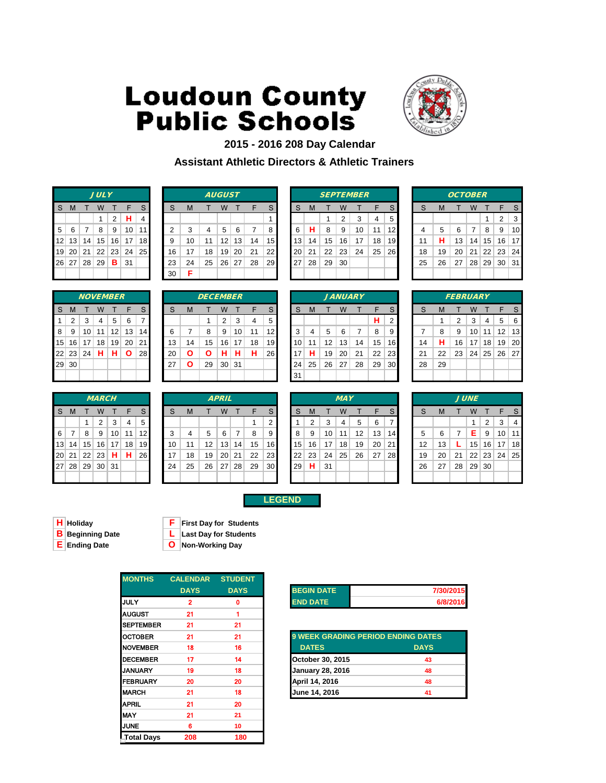

### **2015 - 2016 208 Day Calendar Assistant Athletic Directors & Athletic Trainers**

|   |   |            | <b>JULY</b>             |              |                      |                         |
|---|---|------------|-------------------------|--------------|----------------------|-------------------------|
| S | M | T          | W                       | $\top$       | - F                  | S                       |
|   |   |            | $\mathbf{1}$            | $\mathbf{2}$ | н                    | $\overline{\mathbf{4}}$ |
| 5 |   | $6 \mid 7$ | 8                       | l 9.         | 10                   | $\vert$ 11              |
|   |   |            |                         |              | 12 13 14 15 16 17 18 |                         |
|   |   |            |                         |              | 19 20 21 22 23 24 25 |                         |
|   |   |            | 26 27 28 29 <b>B</b> 31 |              |                      |                         |
|   |   |            |                         |              |                      |                         |

|                |         |                 | <b>JULY</b> |    |                 |                 |    |    |    | <b>AUGUST</b>   |    |    |                 |    |    |    |    | <b>SEPTEMBER</b> |    |    |    |    | <b>OCTOBER</b> |                 |                 |       |    |
|----------------|---------|-----------------|-------------|----|-----------------|-----------------|----|----|----|-----------------|----|----|-----------------|----|----|----|----|------------------|----|----|----|----|----------------|-----------------|-----------------|-------|----|
| S.             | M       |                 | W           |    |                 |                 | S  | M  |    | W               |    | F  | S.              | S  | M  |    | W  |                  | ᄃ  | S  | S  | M  |                | W               |                 |       |    |
|                |         |                 |             | 2  | н               | 4               |    |    |    |                 |    |    |                 |    |    |    | 2  | 3                | 4  | 5  |    |    |                |                 |                 | 2     | 3  |
| 5 <sup>1</sup> | - 6     |                 | 8           | 9  | 10              | 11 <sub>h</sub> | ົ  | 3  | 4  | 5               | 6  |    | 8               | 6  | н  | 8  | 9  | 10               | 11 | 12 |    | 5  | 6              | 7               | 8               | 9     | 10 |
|                | $12$ 13 | 14 <sub>1</sub> | 15          | 16 | 17              | 18              | 9  | 10 | 11 | 12              | 13 | 14 | 15 <sup>1</sup> | 13 | 14 | 15 | 16 | 17               | 18 | 19 | 11 | н  | 13             | 14              | 15 <sup>2</sup> | 16 17 |    |
|                | 19 20   | 21              | 22          | 23 | 24 <sub>1</sub> | 25              | 16 | 17 | 18 | 19 <sub>1</sub> | 20 | 21 | 22              | 20 | 21 | 22 | 23 | 24               | 25 | 26 | 18 | 19 | 20             | 21              | 22              | 23 24 |    |
|                | 26 27   | 28 <sup>1</sup> | 29          | B  | -31             |                 | 23 | 24 | 25 | 26              | 27 | 28 | <b>29</b>       | 27 | 28 | 29 | 30 |                  |    |    | 25 | 26 | 27             | 28 <sup>1</sup> | 29 30 31        |       |    |
|                |         |                 |             |    |                 |                 | 30 | Е  |    |                 |    |    |                 |    |    |    |    |                  |    |    |    |    |                |                 |                 |       |    |

|    |    |    |                | <b>SEPTEMBER</b> |    |    |
|----|----|----|----------------|------------------|----|----|
| S  | М  | т  | W              | т                | F  | S  |
|    |    | 1  | $\overline{2}$ | 3                | 4  | 5  |
| 6  | н  | 8  | 9              | 10               | 11 | 12 |
| 13 | 14 | 15 | 16             | 17               | 18 | 19 |
| 20 | 21 | 22 | 23             | 24               | 25 | 26 |
| 27 | 28 | 29 | 30             |                  |    |    |
|    |    |    |                |                  |    |    |
|    |    |    |                |                  |    |    |

|    |    | <b>OCTOBER</b> |    |              |    |    |
|----|----|----------------|----|--------------|----|----|
| S  | M  | т              | W  | т            | F  | S  |
|    |    |                |    | 1            | 2  | 3  |
| 4  | 5  | 6              | 7  | 8            | 9  | 10 |
| 11 | н  | 13             | 14 | 15           | 16 | 17 |
| 18 | 19 | 20             | 21 | $22 \mid 23$ |    | 24 |
| 25 | 26 | 27             |    | $28$ 29 30   |    | 31 |
|    |    |                |    |              |    |    |

|    |                |    | <b>NOVEMBER</b> |    |    |                |
|----|----------------|----|-----------------|----|----|----------------|
| S  | M              | т  | W               |    | F  | $\mathsf{S}$   |
| 1  | $\overline{2}$ | 3  | 4               | 5  | 6  | $\overline{7}$ |
| 8  | 9              | 10 | 11              | 12 | 13 | 14             |
| 15 | 16             | 17 | 18              | 19 | 20 | 21             |
|    | 22 23          | 24 | н               | н  | Ο  | 28             |
| 29 | 30             |    |                 |    |    |                |
|    |                |    |                 |    |    |                |

|                 |    |                 | <b>MARCH</b> |                 |    |                 |    |    |    | <b>APRIL</b> |    |    |                 |                 |    |    | <b>MAY</b>      |    |    |                 |    |    |    | <b>JUNE</b> |                |
|-----------------|----|-----------------|--------------|-----------------|----|-----------------|----|----|----|--------------|----|----|-----------------|-----------------|----|----|-----------------|----|----|-----------------|----|----|----|-------------|----------------|
| -S              | M  |                 | w            |                 |    | <sub>S</sub>    | S  | M  |    | w            |    | F  | S               | S               | м  |    | W               |    |    | S               | S  | M  |    | W           |                |
|                 |    |                 | 2            | 3               | 4  | 5               |    |    |    |              |    |    | っ               |                 | 2  | 3  | 4               | 5  | 6  |                 |    |    |    |             | $\overline{2}$ |
| 6               | 7  | 8               | 9            | 10 <sup>1</sup> | 11 | 12              | 3  |    | 5  | 6            | 7  | 8  | 9               | 8               | 9  | 10 | 11              | 12 | 13 | 14 <sup>1</sup> | 5  | 6  | 7  | Е.          | 9              |
| 13              | 14 | 15 <sup>1</sup> | 16           | 17              | 18 | 19              | 10 | 11 | 12 | 13           | 14 | 15 | 16              | 15              | 16 | 17 | 18 <sub>1</sub> | 19 | 20 | 21              | 12 | 13 |    | 15          | 16             |
| 20 <sup>1</sup> | 21 | 22              | 23           | н               | н  | 26 <sub>1</sub> | 17 | 18 | 19 | 20           | 21 | 22 | 23              | 22 <sub>1</sub> | 23 | 24 | 25              | 26 | 27 | 28              | 19 | 20 | 21 | 22          | 23             |
| 27              | 28 | 29              | 30           | 31              |    |                 | 24 | 25 | 26 | 27           | 28 | 29 | 30 <sub>l</sub> | <b>29</b>       | н. | 31 |                 |    |    |                 | 26 | 27 | 28 | 29          | 3 <sub>C</sub> |
|                 |    |                 |              |                 |    |                 |    |    |    |              |    |    |                 |                 |    |    |                 |    |    |                 |    |    |    |             |                |

|       |                 | W<br>$\overline{2}$ | 3  | F<br>4          | S<br>5 | S  | M  |    | W            |    | F  | S.<br>2         | S         | M<br>2 | 3                 | <b>MAY</b><br>W<br>4 | 5  | F<br>6 | S.<br>7         | S  | M  |    | <b>JUNE</b><br>W | 2  | F<br>3   | - S<br>4 |
|-------|-----------------|---------------------|----|-----------------|--------|----|----|----|--------------|----|----|-----------------|-----------|--------|-------------------|----------------------|----|--------|-----------------|----|----|----|------------------|----|----------|----------|
|       |                 |                     |    |                 |        |    |    |    |              |    |    |                 |           |        |                   |                      |    |        |                 |    |    |    |                  |    |          |          |
| S M   |                 |                     |    |                 |        |    |    |    |              |    |    |                 |           |        |                   |                      |    |        |                 |    |    |    |                  |    |          |          |
|       |                 | <b>MARCH</b>        |    |                 |        |    |    |    | <b>APRIL</b> |    |    |                 |           |        |                   |                      |    |        |                 |    |    |    |                  |    |          |          |
| 29 30 |                 |                     |    |                 |        | 27 | Ο  | 29 | 30 31        |    |    |                 | 24<br>-31 | 25     | 26                | 27                   | 28 | 29     | 30 <sub>l</sub> | 28 | 29 |    |                  |    |          |          |
| 22 23 | ∃24 ار          | н                   | н  | $\mathbf{o}$    | 28     | 20 | O  | O  | н            | н  | н  | <b>26</b>       | 17        | н      | 19                | 20                   | 21 | 22     | 23              | 21 | 22 | 23 | 24 <sub>1</sub>  |    | 25 26 27 |          |
| 15 16 | 17 <sup>1</sup> | 18                  | 19 | 20 <sub>1</sub> | 211    | 13 | 14 | 15 | 16           | 17 | 18 | 19 <sup>°</sup> | 10        | 11     | $12 \overline{ }$ | 13                   | 14 | 15     | 16 <sup>1</sup> | 14 | н  | 16 | 17               | 18 | 19 20    |          |

|    |       | <i><b>NOVEMBER</b></i> |    |    |              |                 |    |    | <i><b>DECEMBER</b></i> |    |       |    |                 |    |    |    |    | <i>JANUARY</i> |    |                 |    |    | <i><b>FEBRUARY</b></i> |    |       |                   |                |
|----|-------|------------------------|----|----|--------------|-----------------|----|----|------------------------|----|-------|----|-----------------|----|----|----|----|----------------|----|-----------------|----|----|------------------------|----|-------|-------------------|----------------|
| S. | M     |                        | W  |    |              |                 | S  | M  |                        | w  |       |    | S               | S  | M  |    | W  |                |    | <sub>S</sub>    |    | м  |                        | W  |       |                   |                |
|    | 2     | 3                      | 4  | 5  | 6            |                 |    |    |                        | 2  | 3     | 4  | 5               |    |    |    |    |                | н  | $\overline{2}$  |    |    | 2                      | 3  | 4     | 5                 | 6              |
| 8  | -9    | 10                     | 11 | 12 | 13           | 14 <sup>1</sup> | 6  |    | 8                      | 9  | 10    | 11 | 12 <sub>l</sub> | 3  | 4  | 5  | 6  |                | 8  | 9               |    | 8  | 9                      | 10 | 11    | $12 \overline{ }$ | $\overline{1}$ |
|    | 15 16 | 17                     | 18 | 19 | 20           | <b>211</b>      | 13 | 14 | 15                     | 16 | 17    | 18 | 19 <sup>l</sup> | 10 | 11 | 12 | 13 | 14             | 15 | 16              | 14 | н  | 16                     | 17 | 18    | 19                | 2 <sup>0</sup> |
|    | 22 23 | 24                     | н. | н  | $\mathbf{o}$ | <b>28</b>       | 20 | O  | O                      | н  | н     | н  | <b>26</b>       | 17 | н  | 19 | 20 | 21             | 22 | 23              | 21 | 22 | 23                     |    | 24 25 | 26 2              |                |
|    | 29 30 |                        |    |    |              |                 | 27 | O  | 29                     |    | 30 31 |    |                 | 24 | 25 | 26 | 27 | 28             | 29 | 30 <sup>1</sup> | 28 | 29 |                        |    |       |                   |                |
|    |       |                        |    |    |              |                 |    |    |                        |    |       |    |                 | 31 |    |    |    |                |    |                 |    |    |                        |    |       |                   |                |
|    |       |                        |    |    |              |                 |    |    |                        |    |       |    |                 |    |    |    |    |                |    |                 |    |    |                        |    |       |                   |                |

|    |    |    | <b>JANUARY</b> |    |    |
|----|----|----|----------------|----|----|
| М  | т  | F  | S              |    |    |
|    |    | н  | $\overline{2}$ |    |    |
| 4  | 5  | 6  | $\overline{7}$ | 8  | 9  |
| 11 | 12 | 13 | 14             | 15 | 16 |
| н  | 19 | 20 | 21             | 22 | 23 |
| 25 | 26 | 27 | 28             | 29 | 30 |
|    |    |    |                |    |    |

|      |    |    | <b>NOVEMBER</b> |    |    |    |    |    | <b>DECEMBER</b> |       |                 |    |                 |    |    |    |    | <b>JANUARY</b> |    |                 |    |    | <b>FEBRUARY</b> |                 |    |                   |              |
|------|----|----|-----------------|----|----|----|----|----|-----------------|-------|-----------------|----|-----------------|----|----|----|----|----------------|----|-----------------|----|----|-----------------|-----------------|----|-------------------|--------------|
| S    | M  |    | W               |    |    | S  | S  | M  |                 | W     |                 | ᄃ  | S               | S  | м  |    | W  |                |    | S               | S  | м  |                 |                 |    | F                 | <sub>S</sub> |
|      | 2  | 3  | 4               | 5  | 6  |    |    |    |                 | າ     | 3               | 4  | 5               |    |    |    |    |                | н  | 2               |    |    | ົ               | 3               | 4  | 5                 | -6           |
| 8    | 9  | 10 | 11              | 12 | 13 | 14 | 6  |    | 8               | 9     | 10 <sub>1</sub> | 11 | 12              | 3  | 4  | 5  | 6  |                | 8  | 9               |    | 8  | 9               | 10              | 11 | $12 \overline{ }$ | 13           |
| I5 I | 16 | 17 | 18              | 19 | 20 | 21 | 13 | 14 | 15              | 16    | 17              | 18 | 19              | 10 | 11 | 12 | 13 | 14             | 15 | 16 <sup>1</sup> | 14 | н  | 16              | 17              | 18 | 19                | 20           |
| 22   | 23 | 24 | н               | н  | Ο  | 28 | 20 | Ο  | O               | н     | н               | н  | 26 <sup>1</sup> | 17 | н  | 19 | 20 | 21             | 22 | 23              | 21 | 22 | 23              | 24 <sup>1</sup> | 25 | 26                | 27           |
| չց∣  | 30 |    |                 |    |    |    | 27 | O  | 29              | 30 31 |                 |    |                 | 24 | 25 | 26 | 27 | 28             | 29 | 30 <sup>°</sup> | 28 | 29 |                 |                 |    |                   |              |
|      |    |    |                 |    |    |    |    |    |                 |       |                 |    |                 | 31 |    |    |    |                |    |                 |    |    |                 |                 |    |                   |              |

|          | <b>MARCH</b> |                 |                 |                 |    |                 |  |    |    |    |                 |    |    |                 |    |    |    |            |    |    |                 |    |    |    |                 |    |    |                 |
|----------|--------------|-----------------|-----------------|-----------------|----|-----------------|--|----|----|----|-----------------|----|----|-----------------|----|----|----|------------|----|----|-----------------|----|----|----|-----------------|----|----|-----------------|
|          |              |                 |                 |                 |    |                 |  |    |    |    | <b>APRIL</b>    |    |    |                 |    |    |    | <b>MAY</b> |    |    |                 |    |    |    | <b>JUNE</b>     |    |    |                 |
| S.       | $\mathsf{M}$ |                 | w               |                 | F  |                 |  | S  | M  |    | W               |    | F  | S               | S  | M  |    | W          |    | F  | S               | S  | м  |    | W               |    |    | <sub>S</sub>    |
|          |              |                 | 2               | 3               | 4  |                 |  |    |    |    |                 |    |    | 2               |    | 2  | 3  | 4          | 5  | 6  |                 |    |    |    |                 | 2  | 3  | 4               |
| $6 \mid$ |              | 8               | 9               | 10 <sup>1</sup> | 11 | 12 <sub>l</sub> |  | 3  |    | 5  | 6               | 7  | 8  | 9               | 8  | 9  | 10 |            | 12 | 13 | 14              | 5  | 6  | 7  | Е               | 9  | 10 | 11              |
|          | 13   14      | 15 <sup>1</sup> | 16              | 17              | 18 | 19              |  | 10 |    | 12 | 13 <sup>1</sup> | 14 | 15 | 16 I            | 15 | 16 | 17 | 18         | 19 | 20 | 21              | 12 | 13 |    | 15 <sup>1</sup> | 16 | 17 | 18 <sup>l</sup> |
|          | 20 21        | 22              | 23 <sub>1</sub> | н               | н  | <b>26</b>       |  | 17 | 18 | 19 | 20 21           |    | 22 | 23              | 22 | 23 | 24 | 25         | 26 | 27 | 28 <sub>h</sub> | 19 | 20 | 21 | 22 23           |    | 24 | 25 <sub>l</sub> |
|          | 27 28        | 29              | 30 31           |                 |    |                 |  | 24 | 25 | 26 | 27 <sup>2</sup> | 28 | 29 | 30 <sup>l</sup> | 29 | н. | 31 |            |    |    |                 | 26 | 27 | 28 | 29 30           |    |    |                 |
|          |              |                 |                 |                 |    |                 |  |    |    |    |                 |    |    |                 |    |    |    |            |    |    |                 |    |    |    |                 |    |    |                 |

**LEGEND**

**E Ending Date O Non-Working Day**

- **H Holiday F F First Day for Students**<br>**B B Beginning Date L** Last Day for Students **L** Last Day for Students
	-
	-

| <b>MONTHS</b>    | <b>CALENDAR</b> | <b>STUDENT</b> |                   |
|------------------|-----------------|----------------|-------------------|
|                  | <b>DAYS</b>     | <b>DAYS</b>    | <b>BEGIN DATE</b> |
| <b>JULY</b>      | $\overline{2}$  | 0              | <b>END DATE</b>   |
| <b>AUGUST</b>    | 21              |                |                   |
| <b>SEPTEMBER</b> | 21              | 21             |                   |
| <b>OCTOBER</b>   | 21              | 21             | 9 WEEK GRA        |
| <b>INOVEMBER</b> | 18              | 16             | <b>DATES</b>      |
| <b>DECEMBER</b>  | 17              | 14             | October 30, 2     |
| <b>JANUARY</b>   | 19              | 18             | January 28, 2     |
| <b>IFEBRUARY</b> | 20              | 20             | April 14, 2016    |
| <b>MARCH</b>     | 21              | 18             | June 14, 201      |
| <b>APRIL</b>     | 21              | 20             |                   |
| <b>MAY</b>       | 21              | 21             |                   |
| <b>JUNE</b>      | 6               | 10             |                   |
| Total Days       | 208             | 180            |                   |

| <b>BEGIN DATE</b> | 7/30/2015 |
|-------------------|-----------|
| <b>END DATE</b>   | 6/8/2016  |

| OCTOBER         | 21 | 21 | <b>9 WEEK GRADING PERIOD ENDING DATES</b> |             |
|-----------------|----|----|-------------------------------------------|-------------|
| <b>NOVEMBER</b> | 18 | 16 | <b>DATES</b>                              | <b>DAYS</b> |
| <b>DECEMBER</b> | 17 | 14 | October 30, 2015                          | 43          |
| JANUARY         | 19 | 18 | <b>January 28, 2016</b>                   | 48          |
| FEBRUARY        | 20 | 20 | April 14, 2016                            | 48          |
| <b>MARCH</b>    | 21 | 18 | June 14, 2016                             | 41          |
|                 |    |    |                                           |             |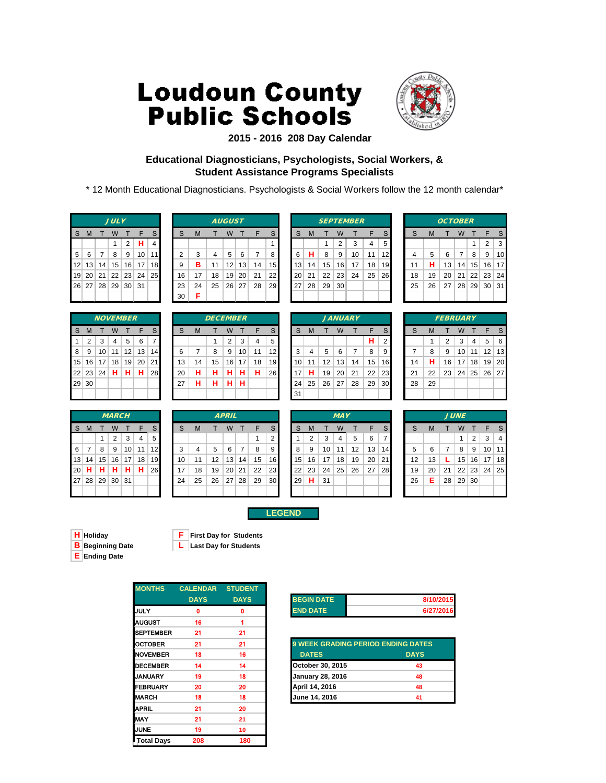

### **2015 - 2016 208 Day Calendar**

### **Educational Diagnosticians, Psychologists, Social Workers, & Student Assistance Programs Specialists**

\* 12 Month Educational Diagnosticians. Psychologists & Social Workers follow the 12 month calendar\*

|  | <b>JULY</b>       |                      |           |
|--|-------------------|----------------------|-----------|
|  | S M T W T F       |                      | S         |
|  | $\mathbf{1}$      | $2$ H                | $\vert$ 4 |
|  |                   | 5 6 7 8 9 10 11      |           |
|  |                   | 12 13 14 15 16 17 18 |           |
|  |                   | 19 20 21 22 23 24 25 |           |
|  | 26 27 28 29 30 31 |                      |           |
|  |                   |                      |           |

|                 |          |                 | <b>NOVEMBER</b> |    |    |                |
|-----------------|----------|-----------------|-----------------|----|----|----------------|
| S               | М        | T               | W               | T  | F  | S              |
| 1               | 2        | 3               | 4               | 5  | 6  | $\overline{7}$ |
| 8               | 9        | 10              | 11              | 12 | 13 | 14             |
| 15 <sup>2</sup> | 16       | 17 <sup>1</sup> | 18              | 19 | 20 | 21             |
|                 | 22 23 24 |                 | H.              | н. | н  | 28             |
| 29              | 30       |                 |                 |    |    |                |
|                 |          |                 |                 |    |    |                |

|    |    |    | <i><b>MARCH</b></i> |                 |    |    |
|----|----|----|---------------------|-----------------|----|----|
| S  | M  | т  | W                   | т               | F  | S  |
|    |    | 1  | $\overline{2}$      | 3               | 4  | 5  |
| 6  | 7  | 8  | 9                   | 10              | 11 | 12 |
| 13 | 14 | 15 | 16                  | 17 <sup>1</sup> | 18 | 19 |
| 20 | н  | н  | н                   | н               | н  | 26 |
|    |    |    | 27 28 29 30 31      |                 |    |    |
|    |    |    |                     |                 |    |    |

|            |         |          | <b>JULY</b> |                 |                 |                 |    |    |    | <b>AUGUST</b>   |    |    |                 |    |    |    |    | <b>SEPTEMBER</b> |    |                 |    |    | <b>OCTOBER</b> |    |                 |                 |    |
|------------|---------|----------|-------------|-----------------|-----------------|-----------------|----|----|----|-----------------|----|----|-----------------|----|----|----|----|------------------|----|-----------------|----|----|----------------|----|-----------------|-----------------|----|
| S.         | M       |          | W           |                 |                 |                 | S  | M  |    | W               |    |    | S.              | S  | M  |    | W  |                  |    | S.              |    | M  |                | W  |                 |                 |    |
|            |         |          |             | 2               | н               | 4               |    |    |    |                 |    |    |                 |    |    |    | 2  | 3                | 4  | 5               |    |    |                |    |                 | 2               | 3  |
| $5 \mid 6$ |         |          | 8           | 9               | 10 <sup>1</sup> | 11              |    | 3  | 4  | 5               | 6  | 7  | 8               | 6  | н  | 8  | 9  | 10               | 11 | 12              |    | 5  | 6              | 7  | 8               | 9               | 10 |
|            | $12$ 13 | 14       | 15          | 16              | 17              | 18              | 9  | в  | 11 | 12              | 13 | 14 | 15 <sup>1</sup> | 13 | 14 | 15 | 16 | 17               | 18 | 19 <sup>l</sup> | 11 | н  | 13             | 14 | 15 <sup>1</sup> | 16 <sup>1</sup> | 17 |
|            |         | 19 20 21 | 22          | 23              | 24              | 25 <sup>1</sup> | 16 | 17 | 18 | 19 <sub>1</sub> | 20 | 21 | 221             | 20 | 21 | 22 | 23 | 24               | 25 | <b>26</b>       | 18 | 19 | 20             | 21 |                 | 22 23 24        |    |
|            | 26 27   |          | 28 29       | 30 <sup>2</sup> | -31             |                 | 23 | 24 | 25 | 26              | 27 | 28 | 29              | 27 | 28 | 29 | 30 |                  |    |                 | 25 | 26 | 27             | 28 | 29              | 30 31           |    |
|            |         |          |             |                 |                 |                 | 30 | F  |    |                 |    |    |                 |    |    |    |    |                  |    |                 |    |    |                |    |                 |                 |    |

|                 |       |    | <b>NOVEMBER</b> |    |    |                 |    |    | <b>DECEMBER</b> |                |    |    |                 |    |    |    |    | <b>JANUARY</b> |    |                 |    |    | <b>FEBRUARY</b> |    |    |                   |    |
|-----------------|-------|----|-----------------|----|----|-----------------|----|----|-----------------|----------------|----|----|-----------------|----|----|----|----|----------------|----|-----------------|----|----|-----------------|----|----|-------------------|----|
| S.              | M     |    | W               |    | F  | S               | S  | M  |                 | W              |    | F  | S.              | S  | M  |    | W  |                | ᄃ  | S.              |    | M  |                 | W  |    | ⊑                 |    |
| 1               | 2     | 3  | 4               | 5  | 6  |                 |    |    |                 | $\overline{2}$ | 3  | 4  | 5               |    |    |    |    |                | н  | 2               |    |    | 2               | 3  | 4  | 5                 | 6  |
| 8               | 9     | 10 | 11              | 12 | 13 | 14 <sub>l</sub> | 6  |    | 8               | 9              | 10 | 11 | 12              | 3  | 4  | 5  | 6  |                | 8  | 9               |    | 8  | 9               | 10 | 11 | $12 \overline{ }$ | 13 |
| 15 <sup>2</sup> | 16    | 17 | 18              | 19 | 20 | 211             | 13 | 14 | 15              | 16             | 17 | 18 | 19 <sup>l</sup> | 10 | 11 | 12 | 13 | 14             | 15 | 16 <sup>1</sup> | 14 | н  | 16              | 17 | 18 | 19                | 20 |
|                 | 22 23 | 24 | н               | н  | н  | 28              | 20 | н  | н               | н              | н  | н  | <b>26</b>       | 17 | н  | 19 | 20 | 21             | 22 | 23              | 21 | 22 | 23              | 24 | 25 | 26                | 27 |
|                 | 29 30 |    |                 |    |    |                 | 27 | Н  | н               | н              | н  |    |                 | 24 | 25 | 26 | 27 | 28             | 29 | 30              | 28 | 29 |                 |    |    |                   |    |
|                 |       |    |                 |    |    |                 |    |    |                 |                |    |    |                 | 31 |    |    |    |                |    |                 |    |    |                 |    |    |                   |    |
|                 |       |    |                 |    |    |                 |    |    |                 |                |    |    |                 |    |    |    |    |                |    |                 |    |    |                 |    |    |                   |    |

|              | <b>MARCH</b> |                 |    |     |    |                 | <b>APRIL</b> |    |    |                 |    |    |                 | <b>MAY</b> |    |    |    |     |    |                 | <b>JUNE</b> |    |    |                 |                 |                 |     |
|--------------|--------------|-----------------|----|-----|----|-----------------|--------------|----|----|-----------------|----|----|-----------------|------------|----|----|----|-----|----|-----------------|-------------|----|----|-----------------|-----------------|-----------------|-----|
| <sub>S</sub> | M            |                 | W  |     |    |                 | S            | M  |    | w               |    |    | S               | S          | M  |    | W  |     |    | S.              |             | M  |    | W               |                 |                 |     |
|              |              |                 | 2  | 3   | 4  | 5               |              |    |    |                 |    |    | 2               |            | 2  | 3  | 4  | 5   | 6  |                 |             |    |    |                 | 2               | 3               | 4   |
| $6 \mid$     |              | 8               | 9  | 10  | 11 | 12 <sub>l</sub> | 3            | 4  | 5  | 6               | 7  | 8  | 9               | 8          | 9  | 10 | 11 | 12  | 13 | 14 <sub>1</sub> |             | 6  |    | 8               | 9               | 10 <sup>1</sup> | 11  |
|              | 13 14        | 15 <sup>1</sup> | 16 | 17  | 18 | 19 <sup>°</sup> | 10           | 11 | 12 | 13 <sub>1</sub> | 14 | 15 | 16              | 15         | 16 | 17 | 18 | 19  | 20 | 21              | 12          | 13 |    | 15 <sup>1</sup> | 16 <sup>1</sup> | 17              | 18  |
|              | 20 H         | н               | н  | н   | н  | 26              | 17           | 18 | 19 | 20 <sup>1</sup> | 21 | 22 | <b>231</b>      | 22         | 23 | 24 | 25 | -26 | 27 | <b>28</b>       | 19          | 20 | 21 | 22              |                 | 23 24           | -25 |
|              |              | 27   28   29    | 30 | -31 |    |                 | 24           | 25 | 26 | 27              | 28 | 29 | 30 <sup>l</sup> | <b>29</b>  | н  | 31 |    |     |    |                 | 26          | Е  | 28 | 29 <sup>°</sup> | 30              |                 |     |
|              |              |                 |    |     |    |                 |              |    |    |                 |    |    |                 |            |    |    |    |     |    |                 |             |    |    |                 |                 |                 |     |

|                    |    |    |    |                | <b>SEPTEMBER</b> |    |
|--------------------|----|----|----|----------------|------------------|----|
| $\mathbf{\dot{i}}$ | S  | М  | T  | W              | т                | F  |
|                    |    |    | 1  | $\overline{2}$ | 3                | 4  |
|                    | 6  | н  | 8  | 9              | 10               | 11 |
| 5                  | 13 | 14 | 15 | 16             | 17               | 18 |
| $\overline{2}$     | 20 | 21 | 22 | 23             | 24               | 25 |
| )                  | 27 | 28 | 29 | 30             |                  |    |
|                    |    |    |    |                |                  |    |

|    | <i>JANUARY</i> |    |    |    |    |                |  |  |  |  |  |  |  |
|----|----------------|----|----|----|----|----------------|--|--|--|--|--|--|--|
| S  | М              | F  | S  |    |    |                |  |  |  |  |  |  |  |
|    |                |    |    |    | н  | $\overline{2}$ |  |  |  |  |  |  |  |
| 3  | 4              | 5  | 6  | 7  | 8  | 9              |  |  |  |  |  |  |  |
| 10 | 11             | 12 | 13 | 14 | 15 | 16             |  |  |  |  |  |  |  |
| 17 | н              | 19 | 20 | 21 | 22 | 23             |  |  |  |  |  |  |  |
| 24 | 25             | 26 | 27 | 28 | 29 | 30             |  |  |  |  |  |  |  |
| 31 |                |    |    |    |    |                |  |  |  |  |  |  |  |

|                                 | <b>OCTOBER</b> |    |    |    |            |    |  |  |  |  |  |  |  |  |  |
|---------------------------------|----------------|----|----|----|------------|----|--|--|--|--|--|--|--|--|--|
| S<br>S<br>F<br>M<br>w<br>т<br>т |                |    |    |    |            |    |  |  |  |  |  |  |  |  |  |
|                                 |                |    |    | 1  | 2          | 3  |  |  |  |  |  |  |  |  |  |
| 4                               | 5              | 6  | 7  | 8  | 9          | 10 |  |  |  |  |  |  |  |  |  |
| 11                              | н              | 13 | 14 | 15 | 16         | 17 |  |  |  |  |  |  |  |  |  |
| 18                              | 19             | 20 | 21 |    | 22 23      | 24 |  |  |  |  |  |  |  |  |  |
| 25                              | 26             | 27 | 28 | 29 | $\vert$ 30 | 31 |  |  |  |  |  |  |  |  |  |
|                                 |                |    |    |    |            |    |  |  |  |  |  |  |  |  |  |

|                                            | <b>FEBRUARY</b> |                |    |            |    |    |  |  |  |  |  |  |  |  |  |
|--------------------------------------------|-----------------|----------------|----|------------|----|----|--|--|--|--|--|--|--|--|--|
| S<br>S<br>F<br>$\mathsf{T}$<br>т<br>M<br>W |                 |                |    |            |    |    |  |  |  |  |  |  |  |  |  |
|                                            | 1               | $\overline{2}$ | 3  | 4          | 5  | 6  |  |  |  |  |  |  |  |  |  |
| 7                                          | 8               | 9              | 10 | 11         | 12 | 13 |  |  |  |  |  |  |  |  |  |
| 14                                         | н               | 16             | 17 | 18         | 19 | 20 |  |  |  |  |  |  |  |  |  |
| 21                                         | 22              | 23             |    | $24$ 25 26 |    | 27 |  |  |  |  |  |  |  |  |  |
| 28                                         | 29              |                |    |            |    |    |  |  |  |  |  |  |  |  |  |
|                                            |                 |                |    |            |    |    |  |  |  |  |  |  |  |  |  |

|    |    |    | <b>JUNE</b> |              |                  |                         |
|----|----|----|-------------|--------------|------------------|-------------------------|
| S  | М  | т  | W           | $\mathsf{T}$ | F                | S                       |
|    |    |    | 1           | 2            | 3                | $\overline{\mathbf{4}}$ |
| 5  | 6  | 7  | 8           | 9            | 10               | 11                      |
| 12 | 13 | L  |             | 15 16        | 17               | 18                      |
| 19 | 20 | 21 |             | 22 23        | $\vert 24 \vert$ | 25                      |
| 26 | E  | 28 | 29          | 30           |                  |                         |
|    |    |    |             |              |                  |                         |

**LEGEND**



**H Holiday F First Day for Students**

| <b>MONTHS</b>    | <b>CALENDAR</b> | <b>STUDENT</b> |                   |
|------------------|-----------------|----------------|-------------------|
|                  | <b>DAYS</b>     | <b>DAYS</b>    | <b>BEGIN DATE</b> |
| <b>JULY</b>      | 0               | 0              | <b>END DATE</b>   |
| <b>AUGUST</b>    | 16              | 1              |                   |
| <b>SEPTEMBER</b> | 21              | 21             |                   |
| <b>OCTOBER</b>   | 21              | 21             | 9 WEEK GRA        |
| <b>NOVEMBER</b>  | 18              | 16             | <b>DATES</b>      |
| <b>DECEMBER</b>  | 14              | 14             | October 30, 2     |
| <b>JANUARY</b>   | 19              | 18             | January 28, 2     |
| <b>FEBRUARY</b>  | 20              | 20             | April 14, 201     |
| <b>MARCH</b>     | 18              | 18             | June 14, 201      |
| <b>APRIL</b>     | 21              | 20             |                   |
| <b>MAY</b>       | 21              | 21             |                   |
| <b>JUNE</b>      | 19              | 10             |                   |
| LTotal Days      | 208             | 180            |                   |

| <b>BEGIN DATE</b> | 8/10/2015 |
|-------------------|-----------|
| <b>END DATE</b>   | 6/27/2016 |

| OCTOBER         | 21 | 21 | <b>9 WEEK GRADING PERIOD ENDING DATES</b> |                |
|-----------------|----|----|-------------------------------------------|----------------|
| <b>NOVEMBER</b> | 18 | 16 | <b>DATES</b>                              | <b>DAYS</b>    |
| <b>DECEMBER</b> | 14 | 14 | October 30, 2015                          | 43             |
| <b>JANUARY</b>  | 19 | 18 | <b>January 28, 2016</b>                   | 48             |
| FEBRUARY        | 20 | 20 | April 14, 2016                            | 48             |
| MARCH           | 18 | 18 | <b>June 14, 2016</b>                      | 4 <sup>1</sup> |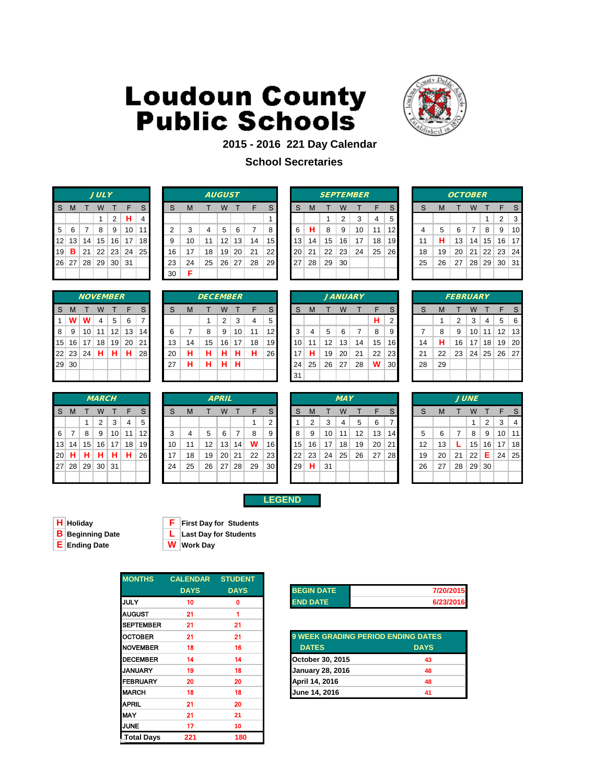

### **2015 - 2016 221 Day Calendar**

### **School Secretaries**

|                                   | JUL Y |     |                   |    |                                   |                |  |  |  |  |  |  |  |  |
|-----------------------------------|-------|-----|-------------------|----|-----------------------------------|----------------|--|--|--|--|--|--|--|--|
| S<br>$\mathbf{F}$<br>S<br>M T W T |       |     |                   |    |                                   |                |  |  |  |  |  |  |  |  |
|                                   |       |     | 1                 |    | $2$   H                           | $\overline{4}$ |  |  |  |  |  |  |  |  |
| 5 <sup>1</sup>                    |       | 6 7 | $\overline{8}$    | ∣9 | 10                                | $\vert$ 11     |  |  |  |  |  |  |  |  |
|                                   |       |     |                   |    | 12 13 14 15 16 17 18              |                |  |  |  |  |  |  |  |  |
| 19                                |       |     |                   |    | <b>B</b>   21   22   23   24   25 |                |  |  |  |  |  |  |  |  |
|                                   |       |     | 26 27 28 29 30 31 |    |                                   |                |  |  |  |  |  |  |  |  |
|                                   |       |     |                   |    |                                   |                |  |  |  |  |  |  |  |  |

|    | <b>JULY</b><br><b>AUGUST</b> |                 |                 |                 |                 |                 |  |    |    | <b>SEPTEMBER</b> |                 |    |    |           |           | <b>OCTOBER</b> |    |    |    |    |           |    |    |    |    |                 |          |    |
|----|------------------------------|-----------------|-----------------|-----------------|-----------------|-----------------|--|----|----|------------------|-----------------|----|----|-----------|-----------|----------------|----|----|----|----|-----------|----|----|----|----|-----------------|----------|----|
| S. | M                            |                 | W               |                 |                 |                 |  | S  | M  |                  | W               |    |    | S.        | S         | M              |    | W  |    |    | S         |    | M  |    | W  |                 |          |    |
|    |                              |                 |                 | 2               | н.              | 4               |  |    |    |                  |                 |    |    |           |           |                |    | 2  | 3  | 4  | 5         |    |    |    |    |                 | 2        | 3  |
|    | $5 \mid 6$                   |                 | 8               | 9               | 10 <sup>1</sup> | 11              |  | ◠  | 3  | 4                | 5               | 6  |    | 8         | 6         | н              | 8  | 9  | 10 | 11 | 12        |    | 5  | 6  | 7  | 8               | 9        | 10 |
|    | 12 13                        | 14              | 15              | 16              | 17              | 18 <sup>l</sup> |  | 9  | 10 | 11               | 12              | 13 | 14 | 15 I      | 13        | 14             | 15 | 16 | 17 | 18 | 19        |    | н  | 13 | 14 | 15 <sup>1</sup> | 16 17    |    |
|    | 19 $B$                       | 21              | 22              | 23              | 24 <sup>1</sup> | 25 I            |  | 16 | 17 | 18               | 19 <sub>1</sub> | 20 | 21 | 22        | <b>20</b> | 21             | 22 | 23 | 24 | 25 | <b>26</b> | 18 | 19 | 20 | 21 |                 | 22 23 24 |    |
|    | 26 27                        | 28 <sup>1</sup> | 29 <sup>1</sup> | 30 <sup>1</sup> | -31             |                 |  | 23 | 24 | 25               | 26 <sup>1</sup> | 27 | 28 | <b>29</b> | 27        | 28             | 29 | 30 |    |    |           | 25 | 26 | 27 | 28 | 29 30 31        |          |    |
|    |                              |                 |                 |                 |                 |                 |  | 30 | Е  |                  |                 |    |    |           |           |                |    |    |    |    |           |    |    |    |    |                 |          |    |

|    | <b>SEPTEMBER</b> |    |                |    |    |    |  |  |  |  |  |  |  |  |  |
|----|------------------|----|----------------|----|----|----|--|--|--|--|--|--|--|--|--|
| S  | М                | т  | W              | т  | F  | S  |  |  |  |  |  |  |  |  |  |
|    |                  | 1  | $\overline{2}$ | 3  | 4  | 5  |  |  |  |  |  |  |  |  |  |
| 6  | н                | 8  | 9              | 10 | 11 | 12 |  |  |  |  |  |  |  |  |  |
| 3  | 14               | 15 | 16             | 17 | 18 | 19 |  |  |  |  |  |  |  |  |  |
| 0. | 21               | 22 | 23             | 24 | 25 | 26 |  |  |  |  |  |  |  |  |  |
| 27 | 28               | 29 | 30             |    |    |    |  |  |  |  |  |  |  |  |  |
|    |                  |    |                |    |    |    |  |  |  |  |  |  |  |  |  |

|    |    | <b>OCTOBER</b> |       |    |              |    |
|----|----|----------------|-------|----|--------------|----|
| S  | M  | Т              | W     | т  | F            | S  |
|    |    |                |       | 1  | 2            | 3  |
| 4  | 5  | 6              | 7     | 8  | 9            | 10 |
| 11 | н  | 13             | 14    | 15 | 16           | 17 |
| 18 | 19 | 20             | 21    |    | $22 \mid 23$ | 24 |
| 25 | 26 | 27             | 28 29 |    | 30           | 31 |
|    |    |                |       |    |              |    |

|    |       |    | <b>NOVEMBER</b> |    |    |                |
|----|-------|----|-----------------|----|----|----------------|
| S  | M     | т  | W               | т  | F  | S              |
| 1  | w     | w  | 4               | 5  | 6  | $\overline{7}$ |
| 8  | 9     | 10 | 11              | 12 | 13 | 14             |
| 15 | 16    | 17 | 18              | 19 | 20 | 21             |
|    | 22 23 | 24 | н               | н  | н  | 28             |
| 29 | 30    |    |                 |    |    |                |
|    |       |    |                 |    |    |                |

|    |          |    | <b>MARCH</b> |            |    |    |
|----|----------|----|--------------|------------|----|----|
| S  | M        | т  | W            | т          | F  | S  |
|    |          | 1  | 2            | 3          | 4  | 5  |
| 6  | 7        | 8  | 9            | 10         | 11 | 12 |
| 13 | 14       | 15 | 16           | $\vert$ 17 | 18 | 19 |
| 20 | н        | н  | н            | н          | н  | 26 |
| 27 | 28 29 30 |    |              | ∣ 31       |    |    |
|    |          |    |              |            |    |    |

|                |         | <b>NOVEMBER</b> |    |    |                 |                 |    |    | <b>DECEMBER</b> |    |    |    |                 |    |    |    |    | <b>JANUARY</b> |    |                 |    |    | <b>FEBRUARY</b> |    |                 |                      |     |
|----------------|---------|-----------------|----|----|-----------------|-----------------|----|----|-----------------|----|----|----|-----------------|----|----|----|----|----------------|----|-----------------|----|----|-----------------|----|-----------------|----------------------|-----|
| S.             | M       |                 | W  |    |                 |                 | S  | M  |                 | W  |    |    | S               | S  | M  |    | W  |                |    | S               |    | м  |                 | W  |                 |                      |     |
| $\mathbf{1}$   | W       | W               | 4  | 5  | -6              |                 |    |    |                 | 2  | 3  | 4  | 5               |    |    |    |    |                | н  | 2               |    |    | ົ               | 3  | 4               | 5                    | -6  |
| 8 <sup>1</sup> | -9      | 10 <sub>1</sub> | 11 | 12 | 13 <sub>1</sub> | 14 <sup>1</sup> | 6  |    | 8               | 9  | 10 | 11 | 12              | 3  | 4  | 5  | 6  |                | 8  | 9               |    | 8  | 9               | 10 | 11              | 12 <sub>1</sub>      | 13  |
|                | $15$ 16 | 17              | 18 | 19 | 20 <sup>1</sup> | 211             | 13 | 14 | 15              | 16 | 17 | 18 | 19              | 10 | 11 | 12 | 13 | 14             | 15 | 16              | 14 | н  | 16              | 17 | 18 <sup>1</sup> | 19 <sup>1</sup>      | -20 |
|                | 22 23   | 24              | н  | н  | н               | 28              | 20 | н  | н               | н  | н  | н  | 26 <sub>l</sub> | 17 | н  | 19 | 20 | 21             | 22 | 23              | 21 | 22 | 23              | 24 |                 | $25 \mid 26 \mid 27$ |     |
|                | 29 30   |                 |    |    |                 |                 | 27 | н  | н               | н  | н  |    |                 | 24 | 25 | 26 | 27 | 28             | W  | 30 <sub>h</sub> | 28 | 29 |                 |    |                 |                      |     |
|                |         |                 |    |    |                 |                 |    |    |                 |    |    |    |                 | 31 |    |    |    |                |    |                 |    |    |                 |    |                 |                      |     |
|                |         |                 |    |    |                 |                 |    |    |                 |    |    |    |                 |    |    |    |    |                |    |                 |    |    |                 |    |                 |                      |     |

|    |    |                 |    | <b>JANUARY</b> |    |                |
|----|----|-----------------|----|----------------|----|----------------|
| S  | M  | т               | W  | т              | F  | ς              |
|    |    |                 |    |                | н  | 2              |
| 3  | 4  | 5               | 6  | 7              | 8  | Š              |
| 10 | 11 | 12 <sup>2</sup> | 13 | 14             | 15 | $\mathbf{1}$   |
| 17 | н  | 19              | 20 | 21             | 22 | $\overline{2}$ |
| 24 | 25 | 26 27           |    | 28             | W  | 3              |
| 31 |    |                 |    |                |    |                |

|    |    | <b>FEBRUARY</b> |    |        |             |    |
|----|----|-----------------|----|--------|-------------|----|
| S  | M  | T               | W  | $\top$ | F           | S  |
|    | 1  | 2               | 3  | 4      | 5           | 6  |
| 7  | 8  | 9               | 10 | 11     | 12          | 13 |
| 14 | н  | 16              | 17 | 18     | 19          | 20 |
| 21 | 22 | 23              |    |        | 24 25 26 27 |    |
| 28 | 29 |                 |    |        |             |    |
|    |    |                 |    |        |             |    |

|     |         |    | <b>MARCH</b> |                 |    |           |    |    |    | <b>APRIL</b> |       |    |                 |    |    |    | <b>MAY</b>      |    |    |                 |    |    |    | <b>JUNE</b>     |                |    |                 |
|-----|---------|----|--------------|-----------------|----|-----------|----|----|----|--------------|-------|----|-----------------|----|----|----|-----------------|----|----|-----------------|----|----|----|-----------------|----------------|----|-----------------|
| S.  | -M      |    | W            |                 | F  | S.        | S  | м  |    | W            |       | F  | S.              | S  | M  |    | W               |    |    | S               | S  | M  |    | W               |                |    | S               |
|     |         |    | 2            | 3               | 4  | 5         |    |    |    |              |       |    | ◠               |    |    | 3  |                 | 5  | 6  |                 |    |    |    |                 | $\overline{2}$ | 3  | 4               |
| 6   | - 7     | 8  | 9            | 10 <sup>1</sup> | 11 | 12        | 3  | 4  | 5  | 6            |       | 8  | 9               | 8  | 9  | 10 | 11              | 12 | 13 | 14              | 5  | 6  | 7  | 8               | 9              | 10 | 11              |
|     | 13 14   | 15 | 16           | 17              | 18 | 19        | 10 | 11 | 12 |              | 13 14 | w  | 16              | 15 | 16 | 17 | 18              | 19 | 20 | 21 <sup>1</sup> | 12 | 13 |    | 15 <sup>1</sup> | 16             | 17 | 18 <sup>l</sup> |
| 20∣ | н       | н  | н            | н.              | н  | <b>26</b> | 17 | 18 | 19 | 20           | 21    | 22 | 23              | 22 | 23 | 24 | 25 <sup>2</sup> | 26 | 27 | <b>28</b>       | 19 | 20 | 21 | 22              | Е.             | 24 | 25              |
|     | 27   28 | 29 | 30 31        |                 |    |           | 24 | 25 | 26 | 27           | 28    | 29 | 30 <sup>°</sup> | 29 | н  | 31 |                 |    |    |                 | 26 | 27 | 28 | 29 30           |                |    |                 |
|     |         |    |              |                 |    |           |    |    |    |              |       |    |                 |    |    |    |                 |    |    |                 |    |    |    |                 |                |    |                 |

| MARCH            |    |    |                 |    |    |    | <b>APRIL</b> |    |    |                 |    |    |    | <b>MAY</b> |    |    |                 |    |    | <b>JUNE</b> |    |
|------------------|----|----|-----------------|----|----|----|--------------|----|----|-----------------|----|----|----|------------|----|----|-----------------|----|----|-------------|----|
| W                |    |    | S               | S  | M  |    | W            |    |    | S               | S  | M  |    | w          |    | F  | S               | S  | M  |             | W  |
| 2                | 3  | 4  | 5               |    |    |    |              |    |    | 2               |    | っ  | 3  | 4          | 5  | 6  | 7               |    |    |             | 1  |
| 9                | 10 | 11 | 12 <sup>1</sup> | 3  |    | 5  | 6            |    | 8  | 9               | 8  | 9  | 10 | 11         | 12 | 13 | 14 <sup>1</sup> | 5  | 6  |             | -8 |
| 5 16             | 17 | 18 | 19 <sup>1</sup> | 10 | 11 | 12 | 13           | 14 | W  | 16              | 15 | 16 | 17 | 18         | 19 | 20 | 21              | 12 | 13 |             | 15 |
| н                | н  | н  | <b>26</b>       | 17 | 18 | 19 | 20           | 21 | 22 | 23 <sub>l</sub> | 22 | 23 | 24 | 25         | 26 | 27 | <b>28</b>       | 19 | 20 | 21          | 22 |
| $9 \mid 30 \mid$ | 31 |    |                 | 24 | 25 | 26 | 27           | 28 | 29 | 30 <sub>l</sub> | 29 | н  | 31 |            |    |    |                 | 26 | 27 | 28          | 29 |
|                  |    |    |                 |    |    |    |              |    |    |                 |    |    |    |            |    |    |                 |    |    |             |    |

|  | - | . .<br>e. | г |
|--|---|-----------|---|

**H** Holiday **F F First Day for Students**<br> **B** Beginning Date **L** Last Day for Students **L** Last Day for Students

**E Ending Date W Work Day**

| <b>MONTHS</b>    | <b>CALENDAR</b> | <b>STUDENT</b> |
|------------------|-----------------|----------------|
|                  | <b>DAYS</b>     | <b>DAYS</b>    |
| <b>JULY</b>      | 10              | 0              |
| <b>AUGUST</b>    | 21              |                |
| <b>SEPTEMBER</b> | 21              | 21             |
| <b>OCTOBER</b>   | 21              | 21             |
| <b>NOVEMBER</b>  | 18              | 16             |
| <b>DECEMBER</b>  | 14              | 14             |
| <b>JANUARY</b>   | 19              | 18             |
| <b>IFEBRUARY</b> | 20              | 20             |
| <b>MARCH</b>     | 18              | 18             |
| <b>APRIL</b>     | 21              | 20             |
| <b>MAY</b>       | 21              | 21             |
| <b>JUNE</b>      | 17              | 10             |
| Total Days       | 221             | 180            |

| <b>BEGIN DATE</b> | 7/20/2015 |
|-------------------|-----------|
| <b>END DATE</b>   | 6/23/2016 |

| OCTOBER         | 21 | 21 | <b>9 WEEK GRADING PERIOD ENDING DATES</b> |             |
|-----------------|----|----|-------------------------------------------|-------------|
| <b>NOVEMBER</b> | 18 | 16 | <b>DATES</b>                              | <b>DAYS</b> |
| <b>DECEMBER</b> | 14 | 14 | October 30, 2015                          | 43          |
| JANUARY         | 19 | 18 | <b>January 28, 2016</b>                   | 48          |
| FEBRUARY        | 20 | 20 | April 14, 2016                            | 48          |
| MARCH           | 18 | 18 | June 14, 2016                             | 41          |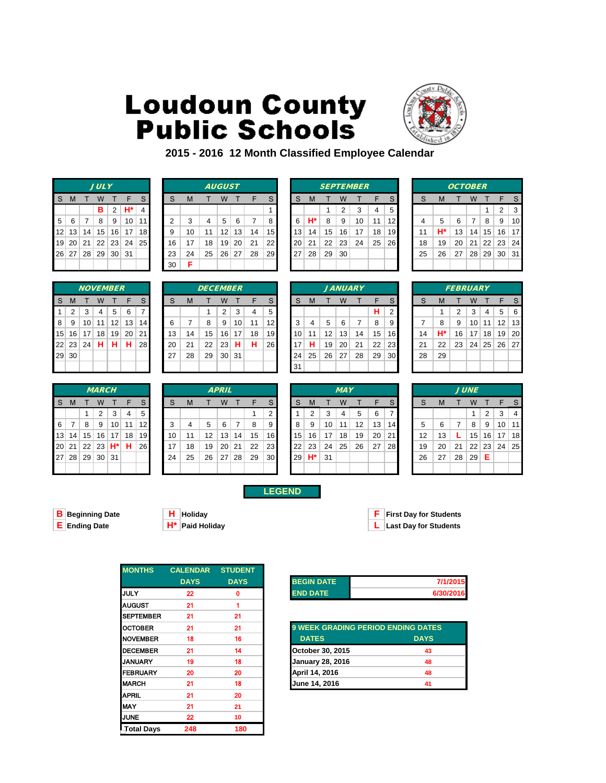

**2015 - 2016 12 Month Classified Employee Calendar** 

|   |   |   | <b>JULY</b>       |     |                      |   |
|---|---|---|-------------------|-----|----------------------|---|
| S | M | T |                   | W T | $\blacksquare$       | S |
|   |   |   | в                 |     | $2 \mathsf{H}^*$     | 4 |
| 5 | 6 |   | 78                |     | 9   10   11          |   |
|   |   |   |                   |     | 12 13 14 15 16 17 18 |   |
|   |   |   |                   |     | 19 20 21 22 23 24 25 |   |
|   |   |   | 26 27 28 29 30 31 |     |                      |   |
|   |   |   |                   |     |                      |   |

|                |    | <b>NOVEMBER</b> |    |    |    |  |
|----------------|----|-----------------|----|----|----|--|
| M              |    | W               | т  | F  | S  |  |
| $\overline{2}$ | 3  | 4               | 5  | 6  | 7  |  |
| 9              | 10 | 11              | 12 | 13 | 14 |  |
| 16             | 17 | 18              | 19 | 20 | 21 |  |
| 23             | 24 | н               | н  | н  | 28 |  |
| 30             |    |                 |    |    |    |  |
|                |    |                 |    |    |    |  |

|     |    |       | <b>MARCH</b> |                 |    |                 |    |    |    | <b>APRIL</b> |    |    |                 |    |       |    | <b>MAY</b> |    |    |    |                   |    |    | <b>JUNE</b>    |                |
|-----|----|-------|--------------|-----------------|----|-----------------|----|----|----|--------------|----|----|-----------------|----|-------|----|------------|----|----|----|-------------------|----|----|----------------|----------------|
| -S  | M  |       | W            |                 |    | S               | S  | M  |    | W            |    | F  | S               | S  | M     |    | W          |    | F  | S  | S                 | M  |    | W              |                |
|     |    |       | 2            | 3               | 4  | 5               |    |    |    |              |    |    | ົ               |    | 2     | 3  | 4          | 5  | 6  |    |                   |    |    | $\overline{ }$ | $\overline{2}$ |
| - 6 |    | 8     | 9            | 10 <sup>1</sup> | 11 | 12 <sub>l</sub> | 3  | 4  | 5  | 6            |    | 8  | 9               | 8  | 9     | 10 | 11         | 12 | 13 | 14 | 5                 | 6  |    | 8              | 9              |
| 13  | 14 | 15    | 16           | 17 <sup>1</sup> | 18 | 19              | 10 | 11 | 12 | 13           | 14 | 15 | 16              | 15 | 16    | 17 | 18         | 19 | 20 | 21 | $12 \overline{ }$ | 13 |    | 15             | 16             |
| 20  | 21 | 22    | 23           | $H^*$           | н  | 26              | 17 | 18 | 19 | 20           | 21 | 22 | 23              | 22 | 23    | 24 | 25         | 26 | 27 | 28 | 19                | 20 | 21 | 22             | $2^{\circ}$    |
| 27  |    | 28 29 | 30           | -31             |    |                 | 24 | 25 | 26 | 27           | 28 | 29 | 30 <sub>l</sub> | 29 | $H^*$ | 31 |            |    |    |    | 26                | 27 | 28 | 29             | Е              |
|     |    |       |              |                 |    |                 |    |    |    |              |    |    |                 |    |       |    |            |    |    |    |                   |    |    |                |                |

|            |         |    | JUL Y |                 |                 |                 |    |    |    | <i><b>AUGUST</b></i> |       |    |                 |                 |    |    |    | <i><b>SEPTEMBER</b></i> |    |                   |    |    | <i><b>OCTOBER</b></i> |                 |            |       |    |
|------------|---------|----|-------|-----------------|-----------------|-----------------|----|----|----|----------------------|-------|----|-----------------|-----------------|----|----|----|-------------------------|----|-------------------|----|----|-----------------------|-----------------|------------|-------|----|
| S M        |         |    | w     |                 |                 |                 | S  | M  |    | W                    |       |    | S.              | S               | M  |    | W  |                         |    | S                 |    | M  |                       | W               |            |       |    |
|            |         |    | в     | 2               | н*              | 4               |    |    |    |                      |       |    |                 |                 |    |    | 2  | 3                       | 4  | 5                 |    |    |                       |                 |            | 2     | 3  |
| $5 \mid 6$ |         |    | 8     | 9               | 10 <sup>1</sup> | 11              |    |    | 4  | 5                    | 6     |    | 8               | 6               | H* | 8  | 9  | 10                      | 11 | $12 \overline{ }$ |    | 5  | 6                     | 7               | 8          | 9     | 10 |
|            | $12$ 13 | 14 | 15    | 16              | 17 <sup>1</sup> | 18 <sup>l</sup> | 9  | 10 | 11 | 12                   | 13    | 14 | 15 <sup>1</sup> | 13 <sub>1</sub> | 14 | 15 | 16 | 17                      | 18 | 19                | 11 | H* | 13                    | 14              | 15         | 16 17 |    |
|            | 19 20   | 21 | 22    | 23              | 24 <sup>1</sup> | 25 I            | 16 | 17 | 18 | 19 <sub>1</sub>      | 20    | 21 | 22              | 20 <sup>1</sup> | 21 | 22 | 23 | 24                      | 25 | <b>26</b>         | 18 | 19 | 20                    | 21              | 22 23 24   |       |    |
|            | 26 27   |    | 28 29 | 30 <sup>2</sup> | -31             |                 | 23 | 24 | 25 |                      | 26 27 | 28 | <b>29</b>       | 27              | 28 | 29 | 30 |                         |    |                   | 25 | 26 | 27                    | 28 <sup>1</sup> | $29$ 30 31 |       |    |
|            |         |    |       |                 |                 |                 | 30 | Е  |    |                      |       |    |                 |                 |    |    |    |                         |    |                   |    |    |                       |                 |            |       |    |
|            |         |    |       |                 |                 |                 |    |    |    |                      |       |    |                 |                 |    |    |    |                         |    |                   |    |    |                       |                 |            |       |    |

|    |    |    |                | <b>SEPTEMBER</b> |    |                |
|----|----|----|----------------|------------------|----|----------------|
| S  | M  | т  | W              | т                | F  | S              |
|    |    | 1  | $\overline{2}$ | 3                | 4  | 5              |
| 6  | H* | 8  | 9              | 10               | 11 | 12             |
| 13 | 14 | 15 | 16             | 17               | 18 | 1 <sup>5</sup> |
| 20 | 21 | 22 | 23             | 24               | 25 | 26             |
| 27 | 28 | 29 | 30             |                  |    |                |
|    |    |    |                |                  |    |                |

|    |    | <b>OCTOBER</b> |    |    |              |    |
|----|----|----------------|----|----|--------------|----|
| S  | M  | T              | W  | т  | F            | S  |
|    |    |                |    | 1  | 2            | 3  |
| 4  | 5  | 6              | 7  | 8  | 9            | 10 |
| 11 | H* | 13             | 14 | 15 | 16           | 17 |
| 18 | 19 | 20             | 21 |    | $22 \mid 23$ | 24 |
| 25 | 26 | 27             | 28 | 29 | 30           | 31 |
|    |    |                |    |    |              |    |

|                 |       | <b>NOVEMBER</b> |    |    |    |     |    |    | <b>DECEMBER</b> |                 |    |    |                 |    |    |    |    | <b>JANUARY</b> |    |                 |    |    | <b>FEBRUARY</b> |    |                 |                      |     |
|-----------------|-------|-----------------|----|----|----|-----|----|----|-----------------|-----------------|----|----|-----------------|----|----|----|----|----------------|----|-----------------|----|----|-----------------|----|-----------------|----------------------|-----|
| S.              | M     |                 | W  |    |    | S   | S  | M  |                 | W               |    |    | S.              | S  | M  |    | W  |                |    | S               | S  | M  |                 | W  |                 |                      |     |
|                 | 2     | 3               | 4  | 5  | 6  |     |    |    |                 | ົ               | 3  | 4  | 5               |    |    |    |    |                | н  | 2               |    |    | っ               | 3  | 4               | 5                    | -6  |
| 8               | -9    | 10 <sup>1</sup> | 11 | 12 | 13 | 141 | 6  |    | 8               | 9               | 10 | 11 | 12              | 3  | 4  | 5  | 6  |                | 8  | 9               |    | 8  | 9               | 10 | 11              | $12 \overline{ }$    | 13  |
| 15 <sup>1</sup> | 16    | 17              | 18 | 19 | 20 | 211 | 13 | 14 | 15              | 16              | 17 | 18 | 191             | 10 | 11 | 12 | 13 | 14             | 15 | 16              | 14 | H* | 16              | 17 | 18 <sup>1</sup> | 19                   | -20 |
|                 | 22 23 | 24              | н  | н  | н  | 28  | 20 | 21 | 22              | 23              | н  | н  | 26 <sub>l</sub> | 17 | н  | 19 | 20 | 21             | 22 | 23              | 21 | 22 | 23              | 24 |                 | $25 \mid 26 \mid 27$ |     |
|                 | 29 30 |                 |    |    |    |     | 27 | 28 | 29              | 30 <sup>2</sup> | 31 |    |                 | 24 | 25 | 26 | 27 | 28             | 29 | 30 <sub>l</sub> | 28 | 29 |                 |    |                 |                      |     |
|                 |       |                 |    |    |    |     |    |    |                 |                 |    |    |                 | 31 |    |    |    |                |    |                 |    |    |                 |    |                 |                      |     |
|                 |       |                 |    |    |    |     |    |    |                 |                 |    |    |                 |    |    |    |    |                |    |                 |    |    |                 |    |                 |                      |     |

|              |    |    |       | <i>JANUARY</i> |    |                |
|--------------|----|----|-------|----------------|----|----------------|
| <sub>S</sub> | M  | т  | W     | т              | F  | S              |
|              |    |    |       |                | н  | 2              |
| 3            | 4  | 5  | 6     | 7              | 8  | ç              |
| 10           | 11 | 12 | 13    | 14             | 15 | 1 <sub>1</sub> |
| 17           | н  | 19 | 20    | 21             | 22 | 2:             |
| 24           | 25 |    | 26 27 | 28             | 29 | 3              |
| 31           |    |    |       |                |    |                |

|    |    | <b>FEBRUARY</b> |    |       |               |    |
|----|----|-----------------|----|-------|---------------|----|
| S  | M  | т               | W  | т     | F             | S  |
|    | 1  | 2               | 3  | 4     | 5             | 6  |
| 7  | 8  | 9               | 10 | 11    | -12           | 13 |
| 14 | H* | 16              |    | 17 18 | 19            | 20 |
| 21 | 22 | 23              |    |       | $24$ 25 26 27 |    |
| 28 | 29 |                 |    |       |               |    |
|    |    |                 |    |       |               |    |

|          |       |                 | <b>MARCH</b>    |                 |    |                 |    |    |    | <b>APRIL</b>    |       |    |                 |                 |       |    | <b>MAY</b> |    |    |           |    |    |    | <b>JUNE</b>     |    |                 |                 |
|----------|-------|-----------------|-----------------|-----------------|----|-----------------|----|----|----|-----------------|-------|----|-----------------|-----------------|-------|----|------------|----|----|-----------|----|----|----|-----------------|----|-----------------|-----------------|
| S.       | - M   |                 | W               |                 | F  |                 | S  | M  |    | W               |       | F  | S.              | S               |       |    | W          |    |    |           | S  | M  |    | W               |    | F               | -S              |
|          |       |                 | 2               | 3               | 4  | 5               |    |    |    |                 |       |    | 2               |                 | 2     | 3  | 4          | 5  | 6  |           |    |    |    |                 | 2  | 3               | 4               |
| $6 \mid$ |       | 8               | 9               | 10 <sup>1</sup> | 11 | 12 I            | 3  |    | 5  | 6               | 7     | 8  | 9               | 8               | 9     | 10 | 11         | 12 | 13 | 141       | 5  | 6  |    | 8               | 9  | 10 <sup>1</sup> | 11 <b>h</b>     |
|          | 13 14 | 15 <sup>1</sup> | 16              | 17              | 18 | 19 <sup>°</sup> | 10 | 11 | 12 | 13              | 14    | 15 | 16              | 15 <sup>1</sup> | 16    | 17 | 18         | 19 | 20 | -21       | 12 | 13 |    | 15 <sub>1</sub> | 16 | 17              | 18 <sup>l</sup> |
|          | 20 21 | 22              | 23 <sup>1</sup> | $H^*$           | н  | <b>26</b>       | 17 | 18 | 19 |                 | 20 21 | 22 | 23              | 22 <sub>1</sub> | 23    | 24 | 25         | 26 | 27 | <b>28</b> | 19 | 20 | 21 | 22 23           |    | 24              | 25              |
|          | 27 28 | 29              | 30 31           |                 |    |                 | 24 | 25 | 26 | 27 <sup>1</sup> | 28    | 29 | 30 <sup>1</sup> | 29              | $H^*$ | 31 |            |    |    |           | 26 | 27 | 28 | 29              | Е  |                 |                 |
|          |       |                 |                 |                 |    |                 |    |    |    |                 |       |    |                 |                 |       |    |            |    |    |           |    |    |    |                 |    |                 |                 |

**LEGEND**

**B** Beginning Date **H** Holi

**E Ending Date H<sup>\*</sup> Paid Holiday** 

| idav         |  |  |
|--------------|--|--|
| ىرەلە:اھلالە |  |  |



| <b>MONTHS</b>    | <b>CALENDAR</b> | <b>STUDENT</b> |                   |
|------------------|-----------------|----------------|-------------------|
|                  | <b>DAYS</b>     | <b>DAYS</b>    | <b>BEGIN DATE</b> |
| <b>JULY</b>      | 22              | 0              | <b>END DATE</b>   |
| <b>AUGUST</b>    | 21              |                |                   |
| <b>SEPTEMBER</b> | 21              | 21             |                   |
| <b>OCTOBER</b>   | 21              | 21             | 9 WEEK GRA        |
| <b>NOVEMBER</b>  | 18              | 16             | <b>DATES</b>      |
| <b>DECEMBER</b>  | 21              | 14             | October 30, 2     |
| <b>UANUARY</b>   | 19              | 18             | January 28, 2     |
| <b>FEBRUARY</b>  | 20              | 20             | April 14, 2016    |
| <b>IMARCH</b>    | 21              | 18             | June 14, 201      |
| <b>APRIL</b>     | 21              | 20             |                   |
| IMAY             | 21              | 21             |                   |
| <b>JUNE</b>      | 22              | 10             |                   |
| LTotal Days      | 248             | 180            |                   |

| <b>BEGIN DATE</b> | 7/1/2015  |
|-------------------|-----------|
| END DATE          | 6/30/2016 |

| OCTOBER         | 21 | 21 | <b>9 WEEK GRADING PERIOD ENDING DATES</b> |             |
|-----------------|----|----|-------------------------------------------|-------------|
| <b>NOVEMBER</b> | 18 | 16 | <b>DATES</b>                              | <b>DAYS</b> |
| <b>DECEMBER</b> | 21 | 14 | October 30, 2015                          | 43          |
| JANUARY         | 19 | 18 | <b>January 28, 2016</b>                   | 48          |
| FEBRUARY        | 20 | 20 | April 14, 2016                            | 48          |
| <b>MARCH</b>    | 21 | 18 | <b>June 14, 2016</b>                      | 41          |